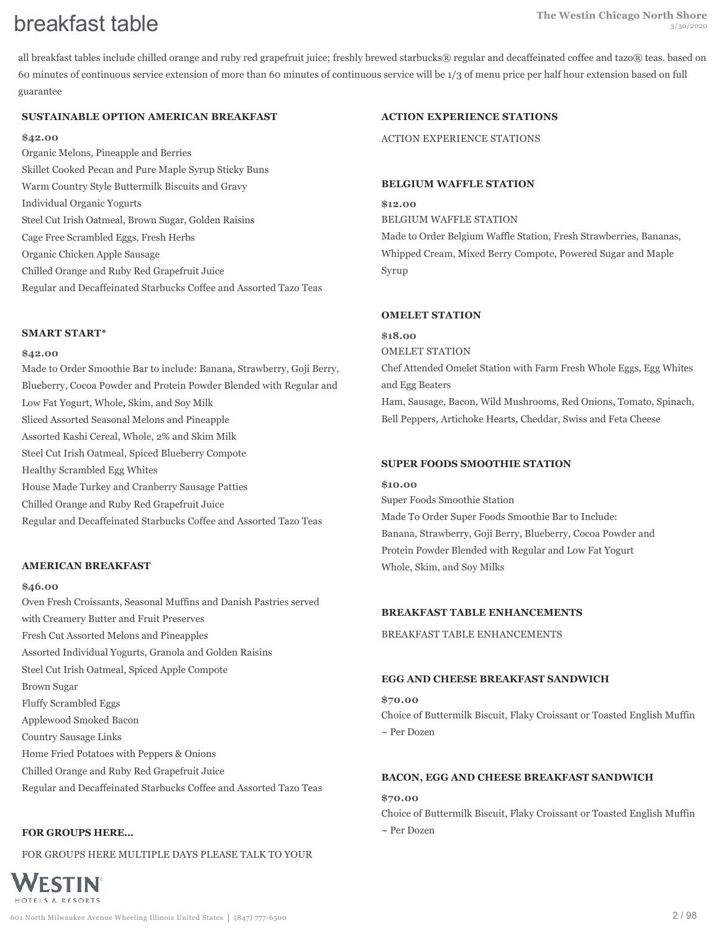all breakfast tables include chilled orange and ruby red grapefruit juice; freshly brewed starbucks® regular and decaffeinated coffee and tazo® teas. based on 60 minutes of continuous service extension of more than 60 minutes of continuous service will be 1/3 of menu price per half hour extension based on full guarantee

## **SUSTAINABLE OPTION AMERICAN BREAKFAST**

#### **\$42.00**

Organic Melons, Pineapple and Berries Skillet Cooked Pecan and Pure Maple Syrup Sticky Buns Warm Country Style Buttermilk Biscuits and Gravy Individual Organic Yogurts Steel Cut Irish Oatmeal, Brown Sugar, Golden Raisins Cage Free Scrambled Eggs, Fresh Herbs Organic Chicken Apple Sausage Chilled Orange and Ruby Red Grapefruit Juice Regular and Decaffeinated Starbucks Coffee and Assorted Tazo Teas

#### **SMART START\***

#### **\$42.00**

Made to Order Smoothie Bar to include: Banana, Strawberry, Goji Berry, Blueberry, Cocoa Powder and Protein Powder Blended with Regular and Low Fat Yogurt, Whole, Skim, and Soy Milk Sliced Assorted Seasonal Melons and Pineapple Assorted Kashi Cereal, Whole, 2% and Skim Milk Steel Cut Irish Oatmeal, Spiced Blueberry Compote Healthy Scrambled Egg Whites House Made Turkey and Cranberry Sausage Patties Chilled Orange and Ruby Red Grapefruit Juice Regular and Decaffeinated Starbucks Coffee and Assorted Tazo Teas

#### **AMERICAN BREAKFAST**

#### **\$46.00**

Oven Fresh Croissants, Seasonal Muffins and Danish Pastries served with Creamery Butter and Fruit Preserves Fresh Cut Assorted Melons and Pineapples Assorted Individual Yogurts, Granola and Golden Raisins Steel Cut Irish Oatmeal, Spiced Apple Compote Brown Sugar Fluffy Scrambled Eggs Applewood Smoked Bacon Country Sausage Links Home Fried Potatoes with Peppers & Onions Chilled Orange and Ruby Red Grapefruit Juice

## Regular and Decaffeinated Starbucks Coffee and Assorted Tazo Teas

#### **FOR GROUPS HERE...**

WESTIN HOTELS & RESORTS

FOR GROUPS HERE MULTIPLE DAYS PLEASE TALK TO YOUR



ACTION EXPERIENCE STATIONS

#### **BELGIUM WAFFLE STATION**

**\$12.00** BELGIUM WAFFLE STATION Made to Order Belgium Waffle Station, Fresh Strawberries, Bananas, Whipped Cream, Mixed Berry Compote, Powered Sugar and Maple Syrup

#### **OMELET STATION**

**\$18.00** OMELET STATION Chef Attended Omelet Station with Farm Fresh Whole Eggs, Egg Whites and Egg Beaters Ham, Sausage, Bacon, Wild Mushrooms, Red Onions, Tomato, Spinach, Bell Peppers, Artichoke Hearts, Cheddar, Swiss and Feta Cheese

#### **SUPER FOODS SMOOTHIE STATION**

**\$10.00** Super Foods Smoothie Station Made To Order Super Foods Smoothie Bar to Include: Banana, Strawberry, Goji Berry, Blueberry, Cocoa Powder and Protein Powder Blended with Regular and Low Fat Yogurt Whole, Skim, and Soy Milks

#### **BREAKFAST TABLE ENHANCEMENTS**

BREAKFAST TABLE ENHANCEMENTS

#### **EGG AND CHEESE BREAKFAST SANDWICH**

**\$70.00** Choice of Buttermilk Biscuit, Flaky Croissant or Toasted English Muffin ~ Per Dozen

#### **BACON, EGG AND CHEESE BREAKFAST SANDWICH**

#### **\$70.00**

Choice of Buttermilk Biscuit, Flaky Croissant or Toasted English Muffin ~ Per Dozen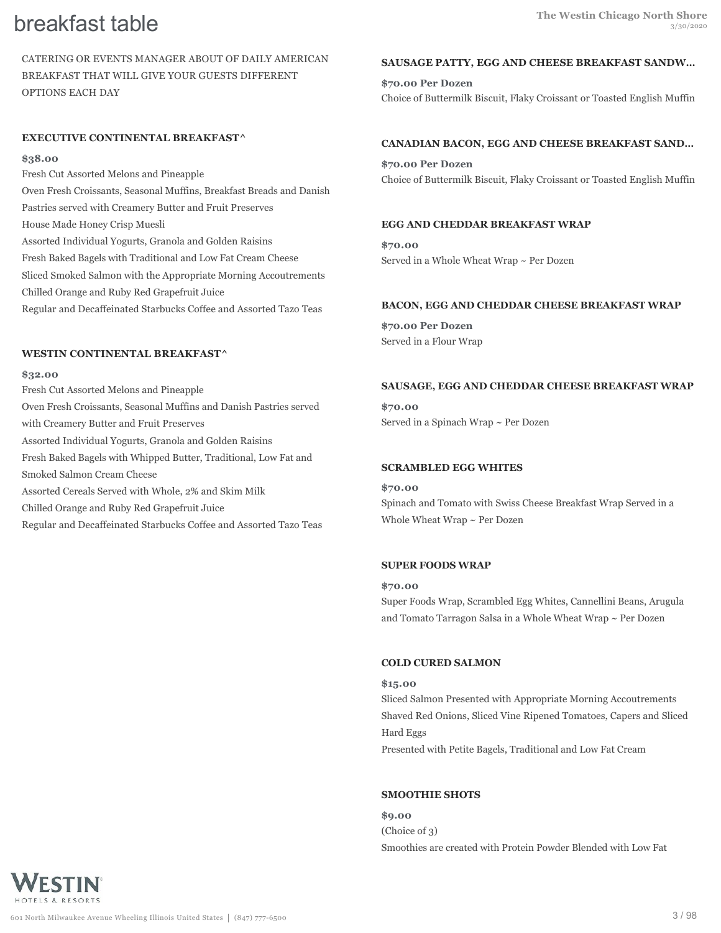CATERING OR EVENTS MANAGER ABOUT OF DAILY AMERICAN BREAKFAST THAT WILL GIVE YOUR GUESTS DIFFERENT OPTIONS EACH DAY

#### **EXECUTIVE CONTINENTAL BREAKFAST^**

#### **\$38.00**

Fresh Cut Assorted Melons and Pineapple Oven Fresh Croissants, Seasonal Muffins, Breakfast Breads and Danish Pastries served with Creamery Butter and Fruit Preserves House Made Honey Crisp Muesli Assorted Individual Yogurts, Granola and Golden Raisins Fresh Baked Bagels with Traditional and Low Fat Cream Cheese Sliced Smoked Salmon with the Appropriate Morning Accoutrements Chilled Orange and Ruby Red Grapefruit Juice Regular and Decaffeinated Starbucks Coffee and Assorted Tazo Teas

#### **WESTIN CONTINENTAL BREAKFAST^**

#### **\$32.00**

Fresh Cut Assorted Melons and Pineapple Oven Fresh Croissants, Seasonal Muffins and Danish Pastries served with Creamery Butter and Fruit Preserves Assorted Individual Yogurts, Granola and Golden Raisins Fresh Baked Bagels with Whipped Butter, Traditional, Low Fat and Smoked Salmon Cream Cheese Assorted Cereals Served with Whole, 2% and Skim Milk Chilled Orange and Ruby Red Grapefruit Juice Regular and Decaffeinated Starbucks Coffee and Assorted Tazo Teas

#### **SAUSAGE PATTY, EGG AND CHEESE BREAKFAST SANDW…**

**\$70.00 Per Dozen** Choice of Buttermilk Biscuit, Flaky Croissant or Toasted English Muffin

#### **CANADIAN BACON, EGG AND CHEESE BREAKFAST SAND…**

**\$70.00 Per Dozen** Choice of Buttermilk Biscuit, Flaky Croissant or Toasted English Muffin

#### **EGG AND CHEDDAR BREAKFAST WRAP**

**\$70.00** Served in a Whole Wheat Wrap ~ Per Dozen

#### **BACON, EGG AND CHEDDAR CHEESE BREAKFAST WRAP**

**\$70.00 Per Dozen** Served in a Flour Wrap

#### **SAUSAGE, EGG AND CHEDDAR CHEESE BREAKFAST WRAP**

**\$70.00** Served in a Spinach Wrap ~ Per Dozen

### **SCRAMBLED EGG WHITES**

**\$70.00** Spinach and Tomato with Swiss Cheese Breakfast Wrap Served in a Whole Wheat Wrap  $\sim$  Per Dozen

#### **SUPER FOODS WRAP**

#### **\$70.00**

Super Foods Wrap, Scrambled Egg Whites, Cannellini Beans, Arugula and Tomato Tarragon Salsa in a Whole Wheat Wrap ~ Per Dozen

#### **COLD CURED SALMON**

**\$15.00** Sliced Salmon Presented with Appropriate Morning Accoutrements Shaved Red Onions, Sliced Vine Ripened Tomatoes, Capers and Sliced Hard Eggs Presented with Petite Bagels, Traditional and Low Fat Cream

#### **SMOOTHIE SHOTS**

**\$9.00** (Choice of 3) Smoothies are created with Protein Powder Blended with Low Fat

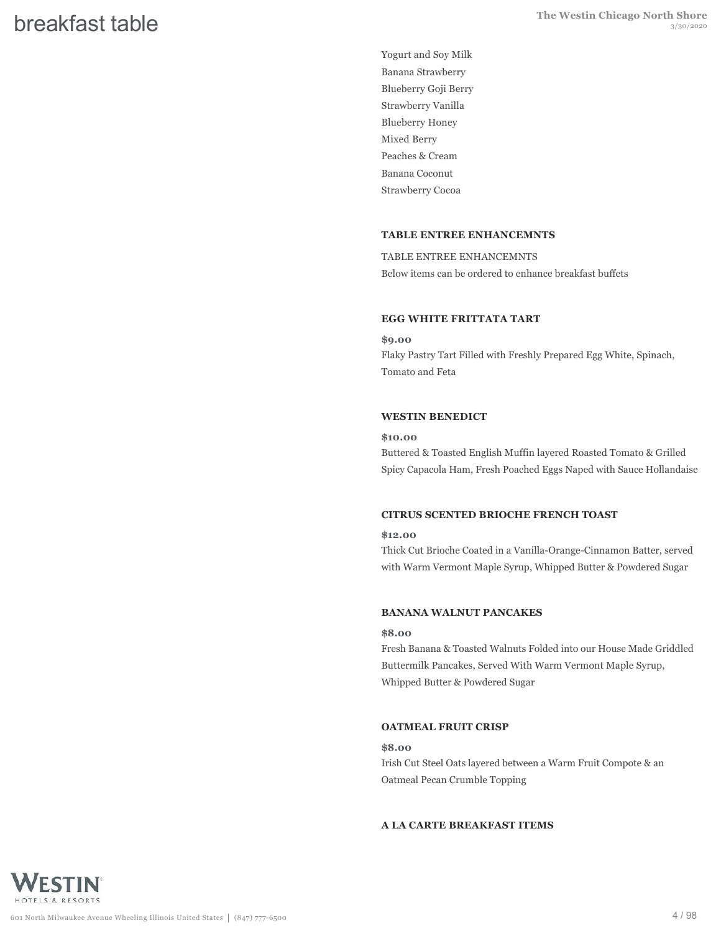Yogurt and Soy Milk Banana Strawberry Blueberry Goji Berry Strawberry Vanilla Blueberry Honey Mixed Berry Peaches & Cream Banana Coconut Strawberry Cocoa

#### **TABLE ENTREE ENHANCEMNTS**

TABLE ENTREE ENHANCEMNTS Below items can be ordered to enhance breakfast buffets

#### **EGG WHITE FRITTATA TART**

**\$9.00** Flaky Pastry Tart Filled with Freshly Prepared Egg White, Spinach, Tomato and Feta

#### **WESTIN BENEDICT**

#### **\$10.00**

Buttered & Toasted English Muffin layered Roasted Tomato & Grilled Spicy Capacola Ham, Fresh Poached Eggs Naped with Sauce Hollandaise

#### **CITRUS SCENTED BRIOCHE FRENCH TOAST**

#### **\$12.00**

Thick Cut Brioche Coated in a Vanilla-Orange-Cinnamon Batter, served with Warm Vermont Maple Syrup, Whipped Butter & Powdered Sugar

#### **BANANA WALNUT PANCAKES**

#### **\$8.00**

Fresh Banana & Toasted Walnuts Folded into our House Made Griddled Buttermilk Pancakes, Served With Warm Vermont Maple Syrup, Whipped Butter & Powdered Sugar

#### **OATMEAL FRUIT CRISP**

#### **\$8.00**

Irish Cut Steel Oats layered between a Warm Fruit Compote & an Oatmeal Pecan Crumble Topping

### **A LA CARTE BREAKFAST ITEMS**

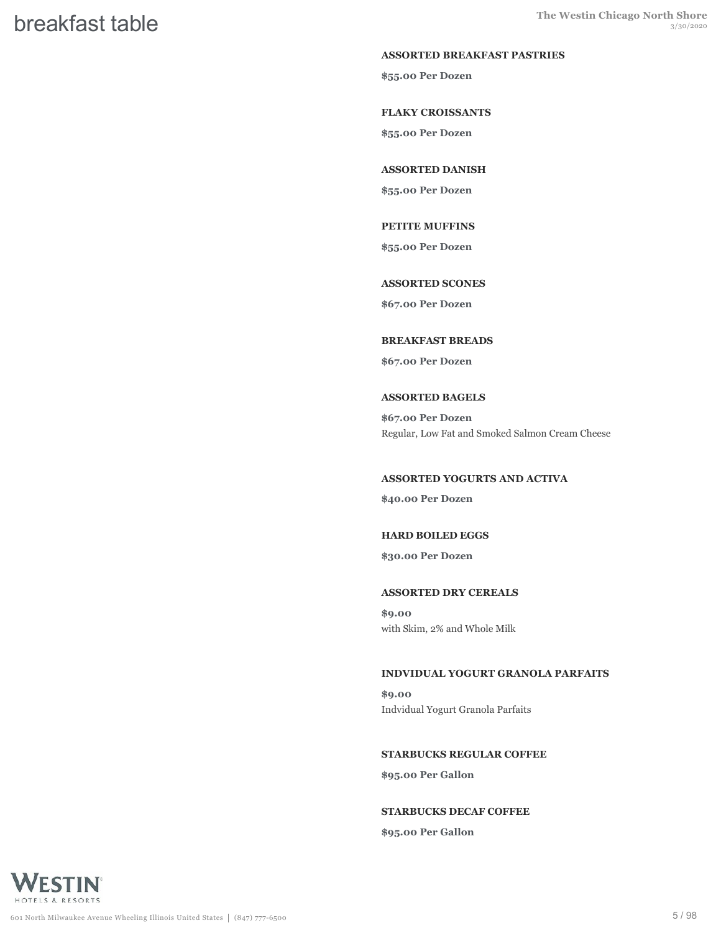#### **ASSORTED BREAKFAST PASTRIES**

**\$55.00 Per Dozen**

#### **FLAKY CROISSANTS**

**\$55.00 Per Dozen**

#### **ASSORTED DANISH**

**\$55.00 Per Dozen**

#### **PETITE MUFFINS**

**\$55.00 Per Dozen**

#### **ASSORTED SCONES**

**\$67.00 Per Dozen**

#### **BREAKFAST BREADS**

**\$67.00 Per Dozen**

#### **ASSORTED BAGELS**

**\$67.00 Per Dozen** Regular, Low Fat and Smoked Salmon Cream Cheese

#### **ASSORTED YOGURTS AND ACTIVA**

**\$40.00 Per Dozen**

#### **HARD BOILED EGGS**

**\$30.00 Per Dozen**

#### **ASSORTED DRY CEREALS**

**\$9.00** with Skim, 2% and Whole Milk

#### **INDVIDUAL YOGURT GRANOLA PARFAITS**

**\$9.00** Indvidual Yogurt Granola Parfaits

#### **STARBUCKS REGULAR COFFEE**

**\$95.00 Per Gallon**

#### **STARBUCKS DECAF COFFEE**

**\$95.00 Per Gallon**

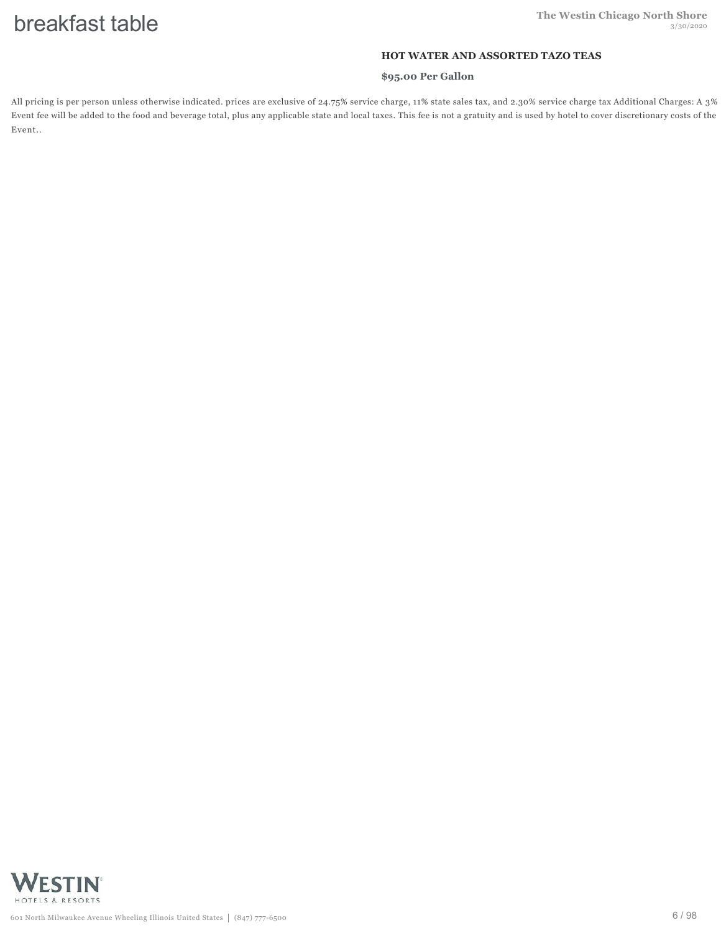#### **HOT WATER AND ASSORTED TAZO TEAS**

#### **\$95.00 Per Gallon**

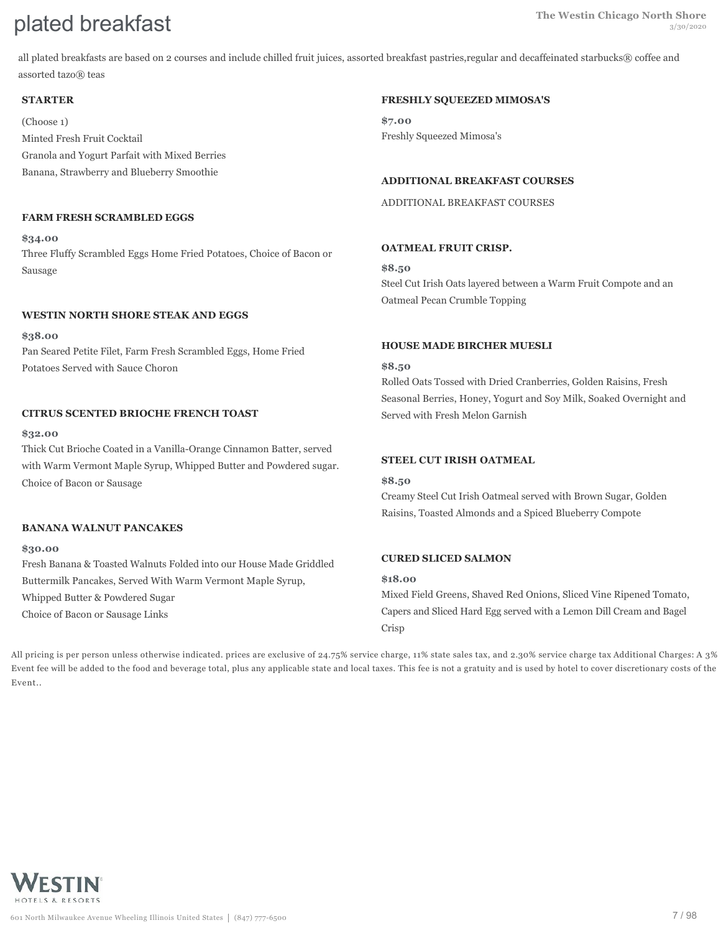# **Plated breakfast Shore The Westin Chicago North Shore plated breakfast**

all plated breakfasts are based on 2 courses and include chilled fruit juices, assorted breakfast pastries,regular and decaffeinated starbucks® coffee and assorted tazo® teas

#### **STARTER**

(Choose 1) Minted Fresh Fruit Cocktail Granola and Yogurt Parfait with Mixed Berries Banana, Strawberry and Blueberry Smoothie

#### **FARM FRESH SCRAMBLED EGGS**

#### **\$34.00**

Three Fluffy Scrambled Eggs Home Fried Potatoes, Choice of Bacon or Sausage

### **WESTIN NORTH SHORE STEAK AND EGGS**

**\$38.00** Pan Seared Petite Filet, Farm Fresh Scrambled Eggs, Home Fried Potatoes Served with Sauce Choron

#### **CITRUS SCENTED BRIOCHE FRENCH TOAST**

#### **\$32.00**

Thick Cut Brioche Coated in a Vanilla-Orange Cinnamon Batter, served with Warm Vermont Maple Syrup, Whipped Butter and Powdered sugar. Choice of Bacon or Sausage

#### **BANANA WALNUT PANCAKES**

#### **\$30.00**

Fresh Banana & Toasted Walnuts Folded into our House Made Griddled Buttermilk Pancakes, Served With Warm Vermont Maple Syrup,

Whipped Butter & Powdered Sugar

Choice of Bacon or Sausage Links

### **FRESHLY SQUEEZED MIMOSA'S**

**\$7.00** Freshly Squeezed Mimosa's

#### **ADDITIONAL BREAKFAST COURSES**

ADDITIONAL BREAKFAST COURSES

#### **OATMEAL FRUIT CRISP.**

**\$8.50** Steel Cut Irish Oats layered between a Warm Fruit Compote and an Oatmeal Pecan Crumble Topping

### **HOUSE MADE BIRCHER MUESLI**

#### **\$8.50**

Rolled Oats Tossed with Dried Cranberries, Golden Raisins, Fresh Seasonal Berries, Honey, Yogurt and Soy Milk, Soaked Overnight and Served with Fresh Melon Garnish

### **STEEL CUT IRISH OATMEAL**

#### **\$8.50**

Creamy Steel Cut Irish Oatmeal served with Brown Sugar, Golden Raisins, Toasted Almonds and a Spiced Blueberry Compote

#### **CURED SLICED SALMON**

#### **\$18.00**

Mixed Field Greens, Shaved Red Onions, Sliced Vine Ripened Tomato, Capers and Sliced Hard Egg served with a Lemon Dill Cream and Bagel Crisp

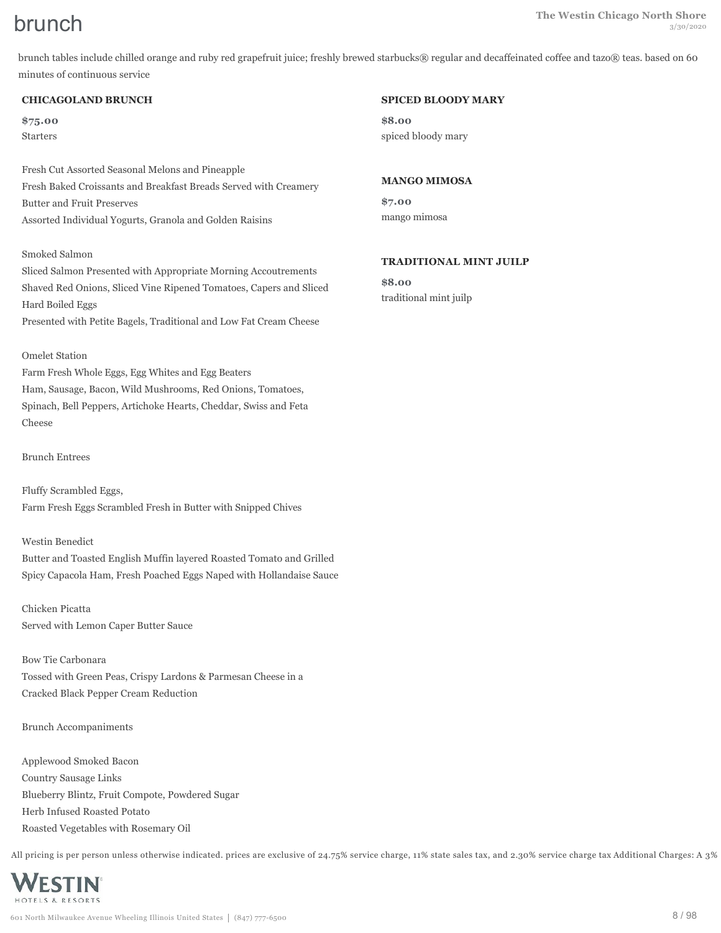brunch tables include chilled orange and ruby red grapefruit juice; freshly brewed starbucks® regular and decaffeinated coffee and tazo® teas. based on 60 minutes of continuous service

#### **CHICAGOLAND BRUNCH**

**\$75.00** Starters

Fresh Cut Assorted Seasonal Melons and Pineapple Fresh Baked Croissants and Breakfast Breads Served with Creamery Butter and Fruit Preserves Assorted Individual Yogurts, Granola and Golden Raisins

#### Smoked Salmon

Sliced Salmon Presented with Appropriate Morning Accoutrements Shaved Red Onions, Sliced Vine Ripened Tomatoes, Capers and Sliced Hard Boiled Eggs Presented with Petite Bagels, Traditional and Low Fat Cream Cheese

#### Omelet Station

Farm Fresh Whole Eggs, Egg Whites and Egg Beaters Ham, Sausage, Bacon, Wild Mushrooms, Red Onions, Tomatoes, Spinach, Bell Peppers, Artichoke Hearts, Cheddar, Swiss and Feta Cheese

#### Brunch Entrees

Fluffy Scrambled Eggs, Farm Fresh Eggs Scrambled Fresh in Butter with Snipped Chives

#### Westin Benedict

Butter and Toasted English Muffin layered Roasted Tomato and Grilled Spicy Capacola Ham, Fresh Poached Eggs Naped with Hollandaise Sauce

Chicken Picatta Served with Lemon Caper Butter Sauce

Bow Tie Carbonara Tossed with Green Peas, Crispy Lardons & Parmesan Cheese in a Cracked Black Pepper Cream Reduction

Brunch Accompaniments

Applewood Smoked Bacon Country Sausage Links Blueberry Blintz, Fruit Compote, Powdered Sugar Herb Infused Roasted Potato Roasted Vegetables with Rosemary Oil

All pricing is per person unless otherwise indicated. prices are exclusive of 24.75% service charge, 11% state sales tax, and 2.30% service charge tax Additional Charges: A 3%



#### 601 North Milwaukee Avenue Wheeling Illinois United States (847) 777-6500 8 / 98

#### **SPICED BLOODY MARY**

**\$8.00** spiced bloody mary

#### **MANGO MIMOSA**

**\$7.00** mango mimosa

#### **TRADITIONAL MINT JUILP**

**\$8.00** traditional mint juilp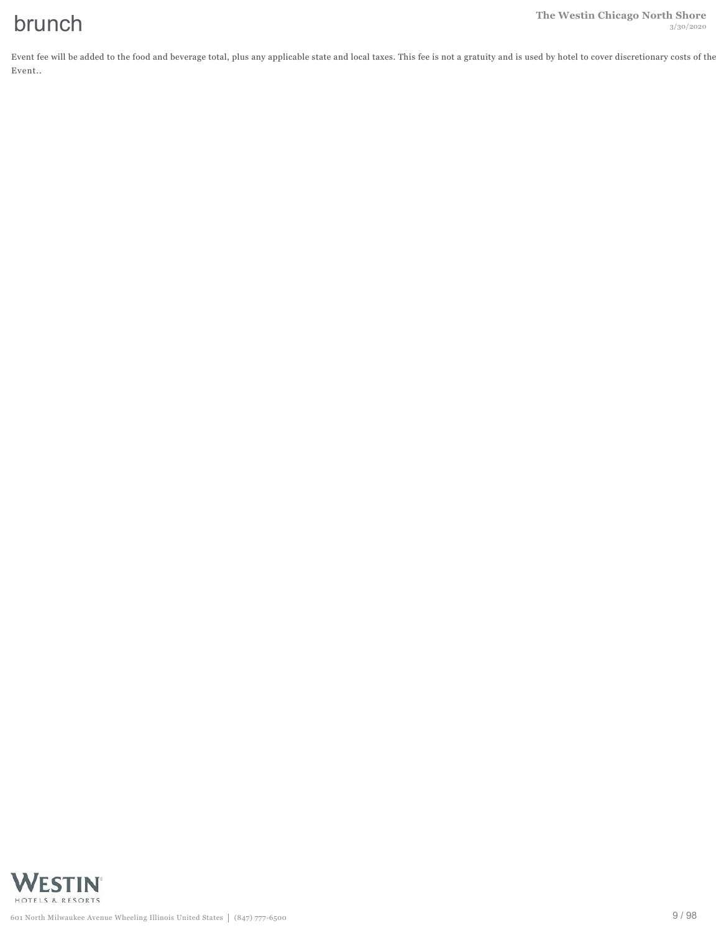Event fee will be added to the food and beverage total, plus any applicable state and local taxes. This fee is not a gratuity and is used by hotel to cover discretionary costs of the Event..

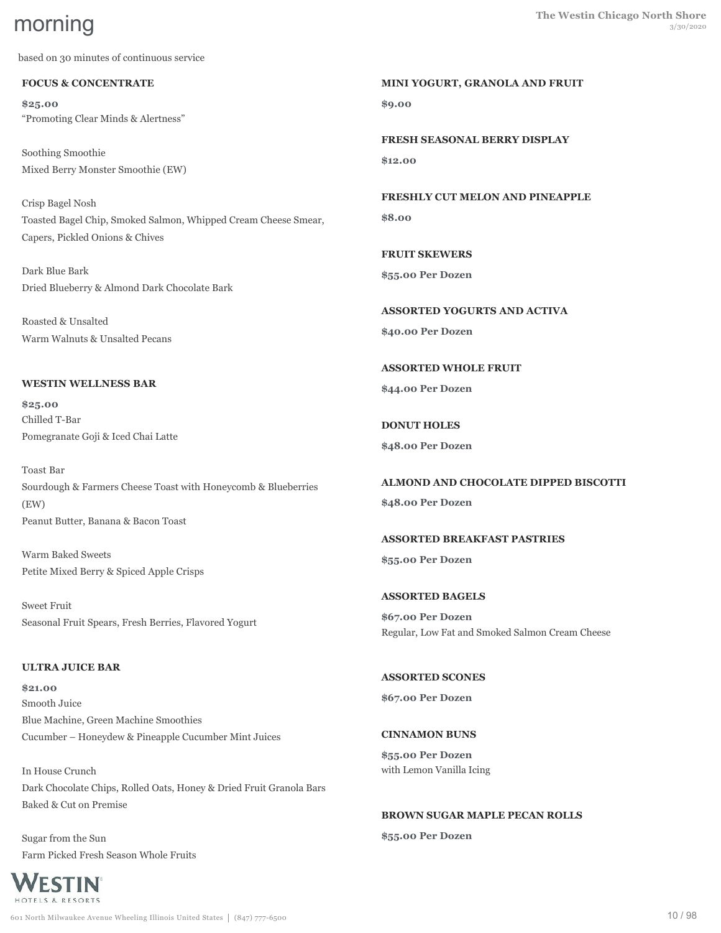based on 30 minutes of continuous service

#### **FOCUS & CONCENTRATE**

**\$25.00** "Promoting Clear Minds & Alertness"

Soothing Smoothie Mixed Berry Monster Smoothie (EW)

Crisp Bagel Nosh Toasted Bagel Chip, Smoked Salmon, Whipped Cream Cheese Smear, Capers, Pickled Onions & Chives

Dark Blue Bark Dried Blueberry & Almond Dark Chocolate Bark

Roasted & Unsalted Warm Walnuts & Unsalted Pecans

#### **WESTIN WELLNESS BAR**

**\$25.00** Chilled T-Bar Pomegranate Goji & Iced Chai Latte

Toast Bar Sourdough & Farmers Cheese Toast with Honeycomb & Blueberries (EW) Peanut Butter, Banana & Bacon Toast

Warm Baked Sweets Petite Mixed Berry & Spiced Apple Crisps

Sweet Fruit Seasonal Fruit Spears, Fresh Berries, Flavored Yogurt

### **ULTRA JUICE BAR**

**\$21.00** Smooth Juice Blue Machine, Green Machine Smoothies Cucumber – Honeydew & Pineapple Cucumber Mint Juices

In House Crunch Dark Chocolate Chips, Rolled Oats, Honey & Dried Fruit Granola Bars Baked & Cut on Premise

Sugar from the Sun Farm Picked Fresh Season Whole Fruits



**MINI YOGURT, GRANOLA AND FRUIT \$9.00**

**FRESH SEASONAL BERRY DISPLAY \$12.00**

**FRESHLY CUT MELON AND PINEAPPLE \$8.00**

**FRUIT SKEWERS \$55.00 Per Dozen**

**ASSORTED YOGURTS AND ACTIVA \$40.00 Per Dozen**

**ASSORTED WHOLE FRUIT \$44.00 Per Dozen**

**DONUT HOLES \$48.00 Per Dozen**

**ALMOND AND CHOCOLATE DIPPED BISCOTTI \$48.00 Per Dozen**

**ASSORTED BREAKFAST PASTRIES \$55.00 Per Dozen**

**ASSORTED BAGELS \$67.00 Per Dozen** Regular, Low Fat and Smoked Salmon Cream Cheese

**ASSORTED SCONES \$67.00 Per Dozen**

#### **CINNAMON BUNS**

**\$55.00 Per Dozen** with Lemon Vanilla Icing

**BROWN SUGAR MAPLE PECAN ROLLS \$55.00 Per Dozen**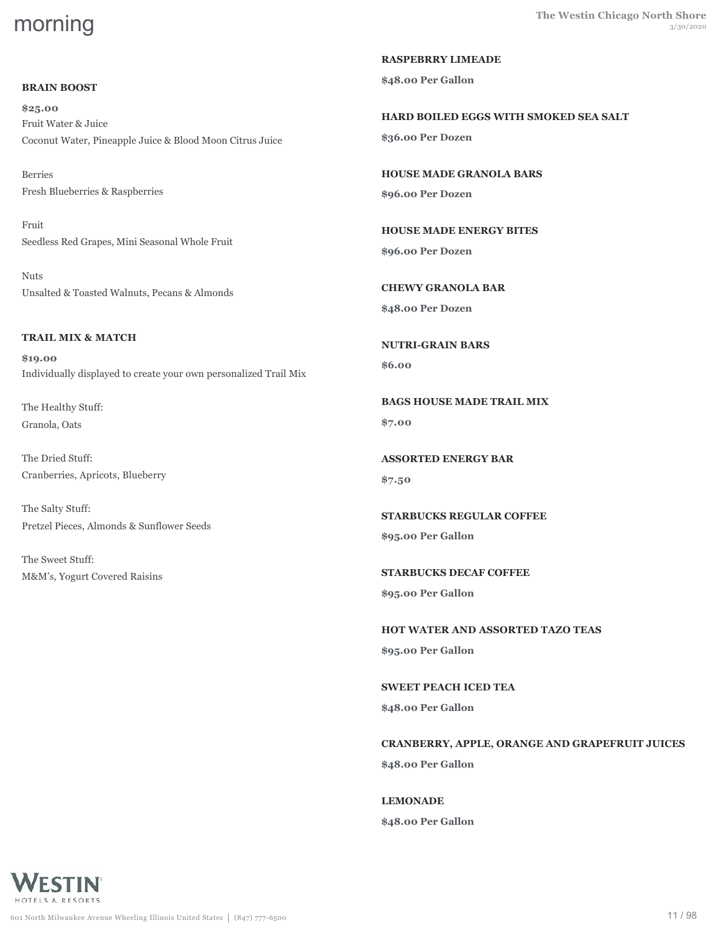# **BRAIN BOOST**

**\$25.00** Fruit Water & Juice Coconut Water, Pineapple Juice & Blood Moon Citrus Juice

Berries Fresh Blueberries & Raspberries

Fruit Seedless Red Grapes, Mini Seasonal Whole Fruit

Nuts Unsalted & Toasted Walnuts, Pecans & Almonds

# **TRAIL MIX & MATCH**

**\$19.00** Individually displayed to create your own personalized Trail Mix

The Healthy Stuff: Granola, Oats

The Dried Stuff: Cranberries, Apricots, Blueberry

The Salty Stuff: Pretzel Pieces, Almonds & Sunflower Seeds

The Sweet Stuff: M&M's, Yogurt Covered Raisins **RASPEBRRY LIMEADE**

**\$48.00 Per Gallon**

**HARD BOILED EGGS WITH SMOKED SEA SALT \$36.00 Per Dozen**

**HOUSE MADE GRANOLA BARS \$96.00 Per Dozen**

**HOUSE MADE ENERGY BITES \$96.00 Per Dozen**

**CHEWY GRANOLA BAR \$48.00 Per Dozen**

**NUTRI-GRAIN BARS \$6.00**

**BAGS HOUSE MADE TRAIL MIX \$7.00**

**ASSORTED ENERGY BAR \$7.50**

**STARBUCKS REGULAR COFFEE \$95.00 Per Gallon**

**STARBUCKS DECAF COFFEE \$95.00 Per Gallon**

**HOT WATER AND ASSORTED TAZO TEAS \$95.00 Per Gallon**

**SWEET PEACH ICED TEA \$48.00 Per Gallon**

**CRANBERRY, APPLE, ORANGE AND GRAPEFRUIT JUICES \$48.00 Per Gallon**

**LEMONADE \$48.00 Per Gallon**

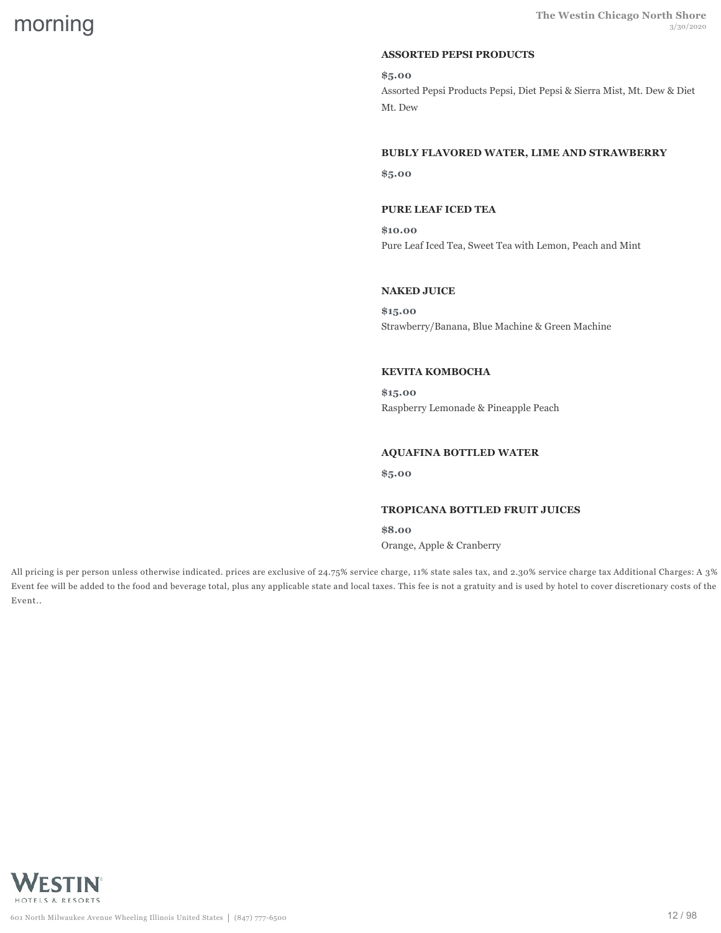# **ASSORTED PEPSI PRODUCTS**

**\$5.00** Assorted Pepsi Products Pepsi, Diet Pepsi & Sierra Mist, Mt. Dew & Diet Mt. Dew

# **BUBLY FLAVORED WATER, LIME AND STRAWBERRY**

**\$5.00**

#### **PURE LEAF ICED TEA**

**\$10.00** Pure Leaf Iced Tea, Sweet Tea with Lemon, Peach and Mint

#### **NAKED JUICE**

**\$15.00** Strawberry/Banana, Blue Machine & Green Machine

#### **KEVITA KOMBOCHA**

**\$15.00** Raspberry Lemonade & Pineapple Peach

### **AQUAFINA BOTTLED WATER**

**\$5.00**

#### **TROPICANA BOTTLED FRUIT JUICES**

**\$8.00** Orange, Apple & Cranberry

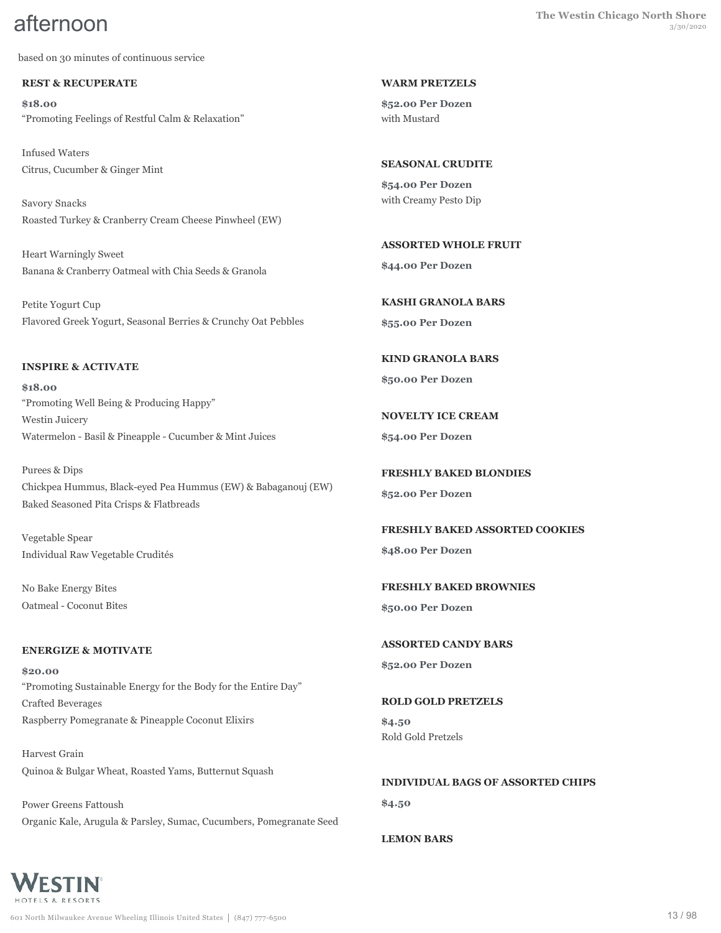based on 30 minutes of continuous service

#### **REST & RECUPERATE**

**\$18.00** "Promoting Feelings of Restful Calm & Relaxation"

Infused Waters Citrus, Cucumber & Ginger Mint

Savory Snacks Roasted Turkey & Cranberry Cream Cheese Pinwheel (EW)

Heart Warningly Sweet Banana & Cranberry Oatmeal with Chia Seeds & Granola

Petite Yogurt Cup Flavored Greek Yogurt, Seasonal Berries & Crunchy Oat Pebbles

#### **INSPIRE & ACTIVATE**

**\$18.00** "Promoting Well Being & Producing Happy" Westin Juicery Watermelon - Basil & Pineapple - Cucumber & Mint Juices

Purees & Dips Chickpea Hummus, Black-eyed Pea Hummus (EW) & Babaganouj (EW) Baked Seasoned Pita Crisps & Flatbreads

Vegetable Spear Individual Raw Vegetable Crudités

No Bake Energy Bites Oatmeal - Coconut Bites

#### **ENERGIZE & MOTIVATE**

**\$20.00** "Promoting Sustainable Energy for the Body for the Entire Day" Crafted Beverages Raspberry Pomegranate & Pineapple Coconut Elixirs

Harvest Grain Quinoa & Bulgar Wheat, Roasted Yams, Butternut Squash

Power Greens Fattoush Organic Kale, Arugula & Parsley, Sumac, Cucumbers, Pomegranate Seed

#### **WARM PRETZELS**

**\$52.00 Per Dozen** with Mustard

**SEASONAL CRUDITE**

**\$54.00 Per Dozen** with Creamy Pesto Dip

**ASSORTED WHOLE FRUIT \$44.00 Per Dozen**

**KASHI GRANOLA BARS \$55.00 Per Dozen**

**KIND GRANOLA BARS \$50.00 Per Dozen**

**NOVELTY ICE CREAM \$54.00 Per Dozen**

**FRESHLY BAKED BLONDIES \$52.00 Per Dozen**

**FRESHLY BAKED ASSORTED COOKIES \$48.00 Per Dozen**

**FRESHLY BAKED BROWNIES \$50.00 Per Dozen**

**ASSORTED CANDY BARS**

**\$52.00 Per Dozen**

**ROLD GOLD PRETZELS \$4.50** Rold Gold Pretzels

**INDIVIDUAL BAGS OF ASSORTED CHIPS \$4.50**

**LEMON BARS**

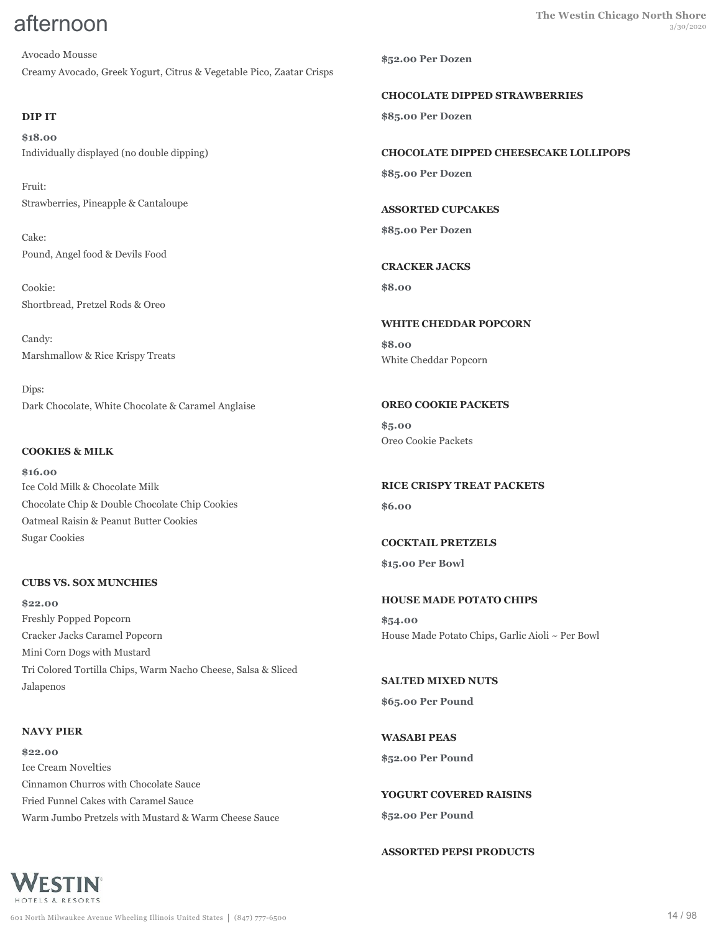Avocado Mousse Creamy Avocado, Greek Yogurt, Citrus & Vegetable Pico, Zaatar Crisps

# **DIP IT**

**\$18.00** Individually displayed (no double dipping)

Fruit: Strawberries, Pineapple & Cantaloupe

Cake: Pound, Angel food & Devils Food

Cookie: Shortbread, Pretzel Rods & Oreo

Candy: Marshmallow & Rice Krispy Treats

Dips: Dark Chocolate, White Chocolate & Caramel Anglaise

### **COOKIES & MILK**

**\$16.00** Ice Cold Milk & Chocolate Milk Chocolate Chip & Double Chocolate Chip Cookies Oatmeal Raisin & Peanut Butter Cookies Sugar Cookies

#### **CUBS VS. SOX MUNCHIES**

**\$22.00** Freshly Popped Popcorn Cracker Jacks Caramel Popcorn Mini Corn Dogs with Mustard Tri Colored Tortilla Chips, Warm Nacho Cheese, Salsa & Sliced Jalapenos

# **NAVY PIER**

**\$22.00** Ice Cream Novelties Cinnamon Churros with Chocolate Sauce Fried Funnel Cakes with Caramel Sauce Warm Jumbo Pretzels with Mustard & Warm Cheese Sauce **\$52.00 Per Dozen**

**CHOCOLATE DIPPED STRAWBERRIES \$85.00 Per Dozen**

**CHOCOLATE DIPPED CHEESECAKE LOLLIPOPS \$85.00 Per Dozen**

**ASSORTED CUPCAKES**

**\$85.00 Per Dozen**

# **CRACKER JACKS**

**\$8.00**

**WHITE CHEDDAR POPCORN \$8.00** White Cheddar Popcorn

# **OREO COOKIE PACKETS**

**\$5.00** Oreo Cookie Packets

**RICE CRISPY TREAT PACKETS \$6.00**

**COCKTAIL PRETZELS \$15.00 Per Bowl**

# **HOUSE MADE POTATO CHIPS**

**\$54.00** House Made Potato Chips, Garlic Aioli ~ Per Bowl

**SALTED MIXED NUTS \$65.00 Per Pound**

**WASABI PEAS \$52.00 Per Pound**

**YOGURT COVERED RAISINS \$52.00 Per Pound**

**ASSORTED PEPSI PRODUCTS**

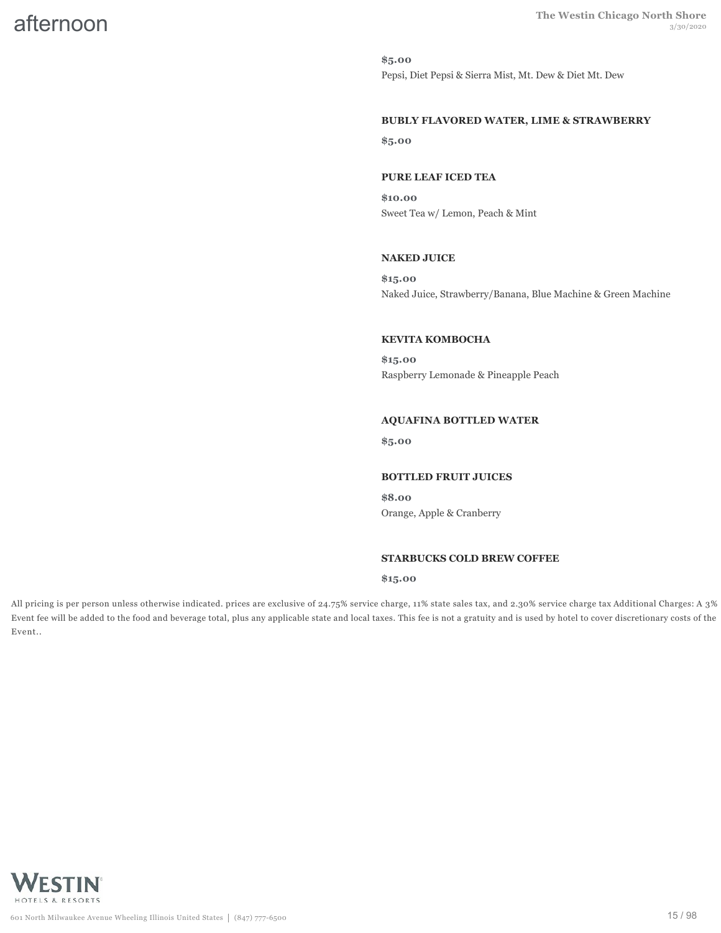**\$5.00** Pepsi, Diet Pepsi & Sierra Mist, Mt. Dew & Diet Mt. Dew

#### **BUBLY FLAVORED WATER, LIME & STRAWBERRY**

**\$5.00**

#### **PURE LEAF ICED TEA**

**\$10.00** Sweet Tea w/ Lemon, Peach & Mint

#### **NAKED JUICE**

**\$15.00** Naked Juice, Strawberry/Banana, Blue Machine & Green Machine

#### **KEVITA KOMBOCHA**

**\$15.00** Raspberry Lemonade & Pineapple Peach

#### **AQUAFINA BOTTLED WATER**

**\$5.00**

#### **BOTTLED FRUIT JUICES**

**\$8.00** Orange, Apple & Cranberry

#### **STARBUCKS COLD BREW COFFEE**

#### **\$15.00**

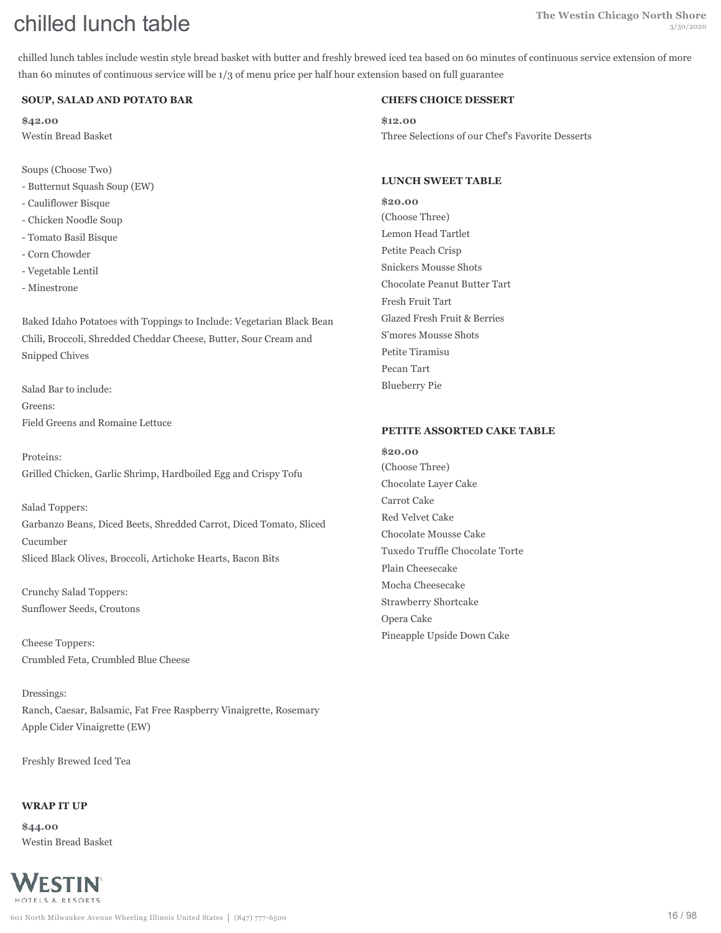chilled lunch tables include westin style bread basket with butter and freshly brewed iced tea based on 60 minutes of continuous service extension of more than 60 minutes of continuous service will be 1/3 of menu price per half hour extension based on full guarantee

#### **SOUP, SALAD AND POTATO BAR**

**\$42.00** Westin Bread Basket

Soups (Choose Two)

- Butternut Squash Soup (EW)
- Cauliflower Bisque
- Chicken Noodle Soup
- Tomato Basil Bisque
- Corn Chowder
- Vegetable Lentil
- Minestrone

Baked Idaho Potatoes with Toppings to Include: Vegetarian Black Bean Chili, Broccoli, Shredded Cheddar Cheese, Butter, Sour Cream and Snipped Chives

Salad Bar to include: Greens: Field Greens and Romaine Lettuce

Proteins: Grilled Chicken, Garlic Shrimp, Hardboiled Egg and Crispy Tofu

Salad Toppers: Garbanzo Beans, Diced Beets, Shredded Carrot, Diced Tomato, Sliced Cucumber Sliced Black Olives, Broccoli, Artichoke Hearts, Bacon Bits

Crunchy Salad Toppers: Sunflower Seeds, Croutons

Cheese Toppers: Crumbled Feta, Crumbled Blue Cheese

Dressings: Ranch, Caesar, Balsamic, Fat Free Raspberry Vinaigrette, Rosemary Apple Cider Vinaigrette (EW)

Freshly Brewed Iced Tea

#### **WRAP IT UP**

**\$44.00** Westin Bread Basket



#### **CHEFS CHOICE DESSERT**

**\$12.00** Three Selections of our Chef's Favorite Desserts

#### **LUNCH SWEET TABLE**

**\$20.00** (Choose Three) Lemon Head Tartlet Petite Peach Crisp Snickers Mousse Shots Chocolate Peanut Butter Tart Fresh Fruit Tart Glazed Fresh Fruit & Berries S'mores Mousse Shots Petite Tiramisu Pecan Tart Blueberry Pie

#### **PETITE ASSORTED CAKE TABLE**

**\$20.00** (Choose Three) Chocolate Layer Cake Carrot Cake Red Velvet Cake Chocolate Mousse Cake Tuxedo Truffle Chocolate Torte Plain Cheesecake Mocha Cheesecake Strawberry Shortcake Opera Cake Pineapple Upside Down Cake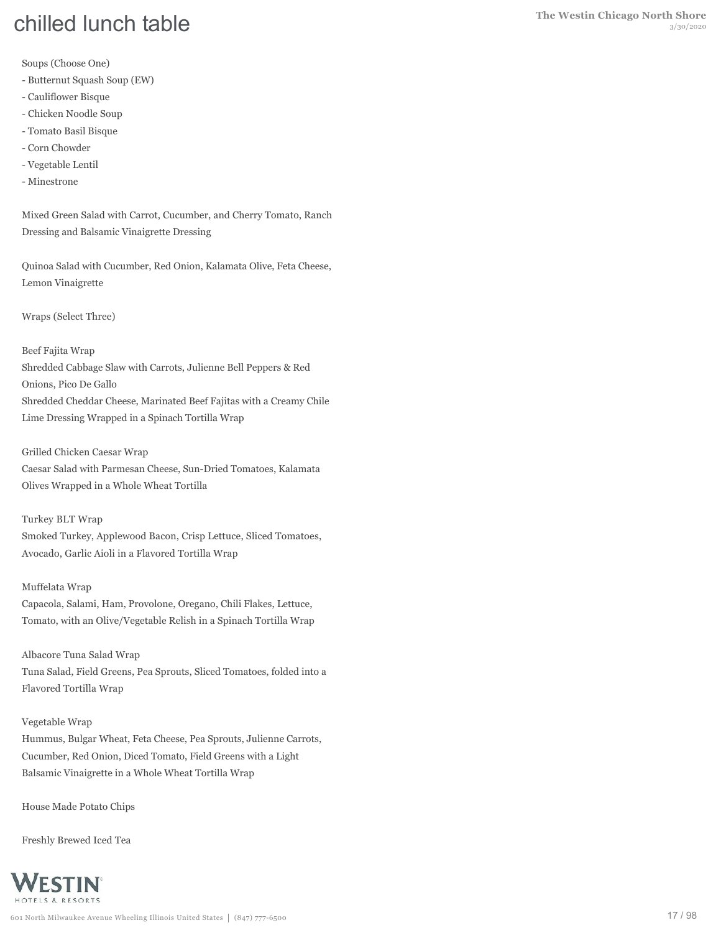Soups (Choose One)

- Butternut Squash Soup (EW)
- Cauliflower Bisque
- Chicken Noodle Soup
- Tomato Basil Bisque
- Corn Chowder
- Vegetable Lentil
- Minestrone

Mixed Green Salad with Carrot, Cucumber, and Cherry Tomato, Ranch Dressing and Balsamic Vinaigrette Dressing

Quinoa Salad with Cucumber, Red Onion, Kalamata Olive, Feta Cheese, Lemon Vinaigrette

Wraps (Select Three)

Beef Fajita Wrap Shredded Cabbage Slaw with Carrots, Julienne Bell Peppers & Red Onions, Pico De Gallo Shredded Cheddar Cheese, Marinated Beef Fajitas with a Creamy Chile Lime Dressing Wrapped in a Spinach Tortilla Wrap

Grilled Chicken Caesar Wrap Caesar Salad with Parmesan Cheese, Sun-Dried Tomatoes, Kalamata Olives Wrapped in a Whole Wheat Tortilla

Turkey BLT Wrap Smoked Turkey, Applewood Bacon, Crisp Lettuce, Sliced Tomatoes, Avocado, Garlic Aioli in a Flavored Tortilla Wrap

#### Muffelata Wrap

Capacola, Salami, Ham, Provolone, Oregano, Chili Flakes, Lettuce, Tomato, with an Olive/Vegetable Relish in a Spinach Tortilla Wrap

Albacore Tuna Salad Wrap Tuna Salad, Field Greens, Pea Sprouts, Sliced Tomatoes, folded into a Flavored Tortilla Wrap

#### Vegetable Wrap

Hummus, Bulgar Wheat, Feta Cheese, Pea Sprouts, Julienne Carrots, Cucumber, Red Onion, Diced Tomato, Field Greens with a Light Balsamic Vinaigrette in a Whole Wheat Tortilla Wrap

House Made Potato Chips

Freshly Brewed Iced Tea

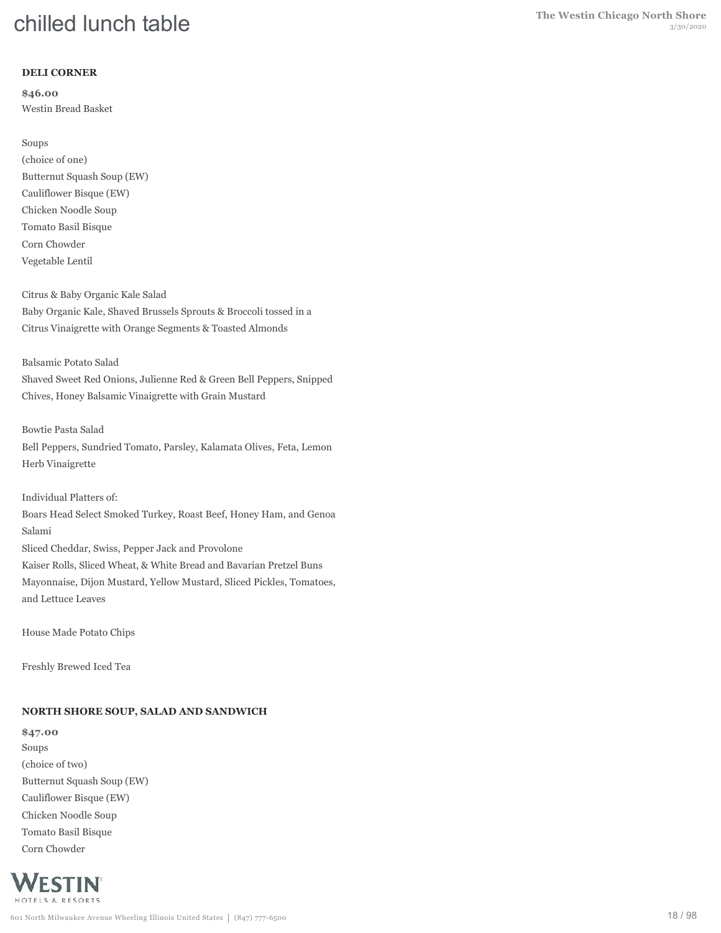### **DELI CORNER**

**\$46.00** Westin Bread Basket

#### Soups

(choice of one) Butternut Squash Soup (EW) Cauliflower Bisque (EW) Chicken Noodle Soup Tomato Basil Bisque Corn Chowder Vegetable Lentil

Citrus & Baby Organic Kale Salad Baby Organic Kale, Shaved Brussels Sprouts & Broccoli tossed in a Citrus Vinaigrette with Orange Segments & Toasted Almonds

#### Balsamic Potato Salad

Shaved Sweet Red Onions, Julienne Red & Green Bell Peppers, Snipped Chives, Honey Balsamic Vinaigrette with Grain Mustard

#### Bowtie Pasta Salad

Bell Peppers, Sundried Tomato, Parsley, Kalamata Olives, Feta, Lemon Herb Vinaigrette

Individual Platters of: Boars Head Select Smoked Turkey, Roast Beef, Honey Ham, and Genoa Salami Sliced Cheddar, Swiss, Pepper Jack and Provolone Kaiser Rolls, Sliced Wheat, & White Bread and Bavarian Pretzel Buns Mayonnaise, Dijon Mustard, Yellow Mustard, Sliced Pickles, Tomatoes, and Lettuce Leaves

House Made Potato Chips

Freshly Brewed Iced Tea

# **NORTH SHORE SOUP, SALAD AND SANDWICH**

**\$47.00** Soups (choice of two) Butternut Squash Soup (EW) Cauliflower Bisque (EW) Chicken Noodle Soup Tomato Basil Bisque Corn Chowder

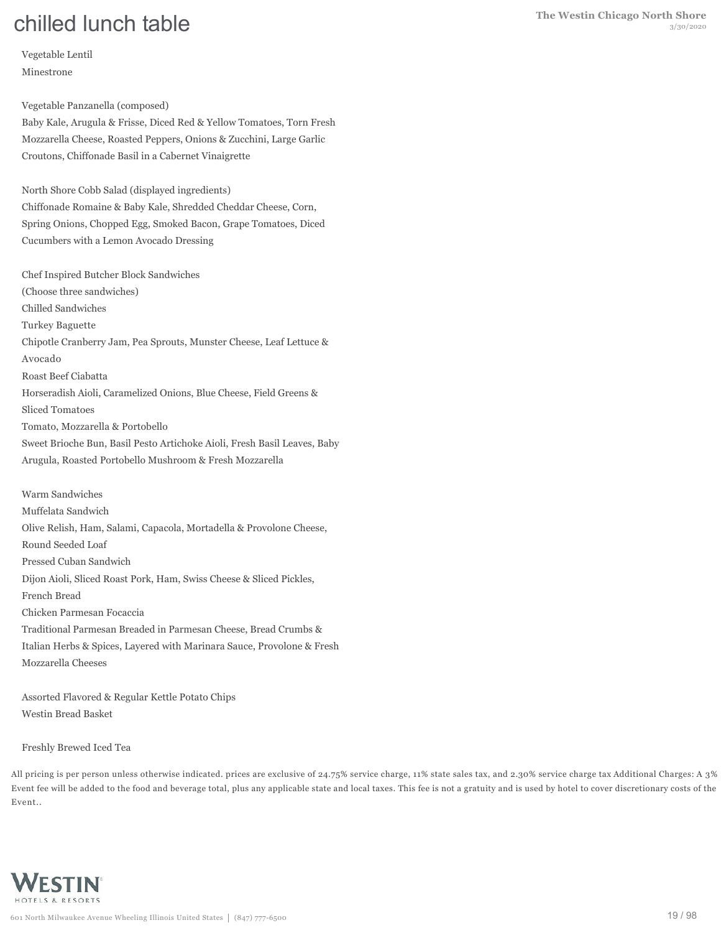Vegetable Lentil Minestrone

Vegetable Panzanella (composed)

Baby Kale, Arugula & Frisse, Diced Red & Yellow Tomatoes, Torn Fresh Mozzarella Cheese, Roasted Peppers, Onions & Zucchini, Large Garlic Croutons, Chiffonade Basil in a Cabernet Vinaigrette

North Shore Cobb Salad (displayed ingredients) Chiffonade Romaine & Baby Kale, Shredded Cheddar Cheese, Corn, Spring Onions, Chopped Egg, Smoked Bacon, Grape Tomatoes, Diced Cucumbers with a Lemon Avocado Dressing

Chef Inspired Butcher Block Sandwiches (Choose three sandwiches) Chilled Sandwiches Turkey Baguette Chipotle Cranberry Jam, Pea Sprouts, Munster Cheese, Leaf Lettuce & Avocado Roast Beef Ciabatta Horseradish Aioli, Caramelized Onions, Blue Cheese, Field Greens & Sliced Tomatoes Tomato, Mozzarella & Portobello Sweet Brioche Bun, Basil Pesto Artichoke Aioli, Fresh Basil Leaves, Baby Arugula, Roasted Portobello Mushroom & Fresh Mozzarella

Warm Sandwiches Muffelata Sandwich Olive Relish, Ham, Salami, Capacola, Mortadella & Provolone Cheese, Round Seeded Loaf Pressed Cuban Sandwich Dijon Aioli, Sliced Roast Pork, Ham, Swiss Cheese & Sliced Pickles, French Bread Chicken Parmesan Focaccia Traditional Parmesan Breaded in Parmesan Cheese, Bread Crumbs & Italian Herbs & Spices, Layered with Marinara Sauce, Provolone & Fresh Mozzarella Cheeses

Assorted Flavored & Regular Kettle Potato Chips Westin Bread Basket

Freshly Brewed Iced Tea

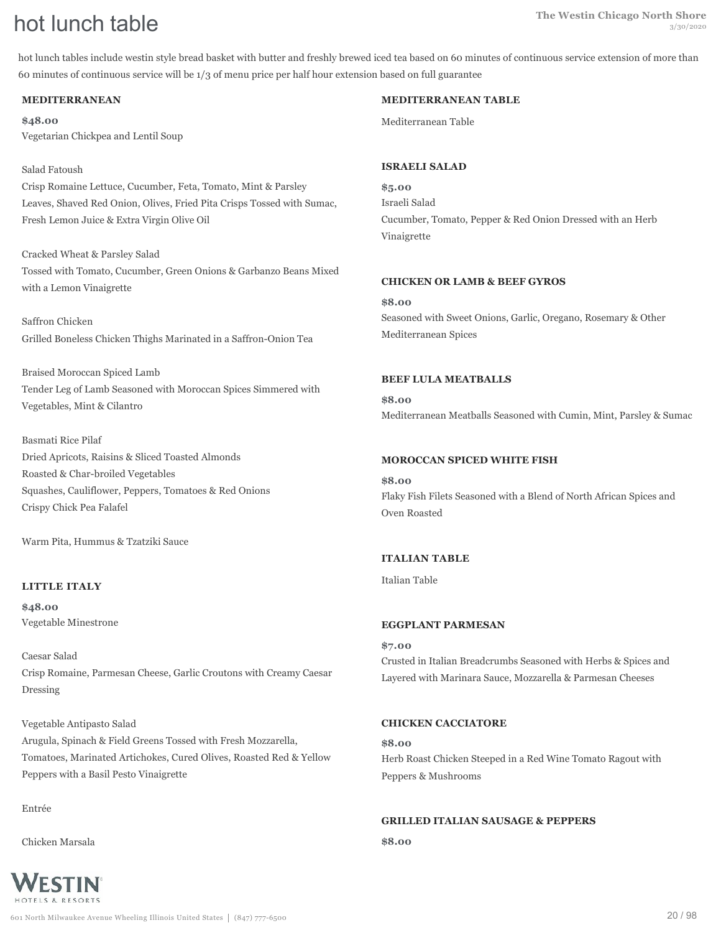hot lunch tables include westin style bread basket with butter and freshly brewed iced tea based on 60 minutes of continuous service extension of more than 60 minutes of continuous service will be 1/3 of menu price per half hour extension based on full guarantee

#### **MEDITERRANEAN**

**\$48.00** Vegetarian Chickpea and Lentil Soup

#### Salad Fatoush

Crisp Romaine Lettuce, Cucumber, Feta, Tomato, Mint & Parsley Leaves, Shaved Red Onion, Olives, Fried Pita Crisps Tossed with Sumac, Fresh Lemon Juice & Extra Virgin Olive Oil

Cracked Wheat & Parsley Salad Tossed with Tomato, Cucumber, Green Onions & Garbanzo Beans Mixed with a Lemon Vinaigrette

Saffron Chicken Grilled Boneless Chicken Thighs Marinated in a Saffron-Onion Tea

Braised Moroccan Spiced Lamb Tender Leg of Lamb Seasoned with Moroccan Spices Simmered with Vegetables, Mint & Cilantro

Basmati Rice Pilaf Dried Apricots, Raisins & Sliced Toasted Almonds Roasted & Char-broiled Vegetables Squashes, Cauliflower, Peppers, Tomatoes & Red Onions Crispy Chick Pea Falafel

Warm Pita, Hummus & Tzatziki Sauce

#### **LITTLE ITALY**

**\$48.00** Vegetable Minestrone

Caesar Salad Crisp Romaine, Parmesan Cheese, Garlic Croutons with Creamy Caesar Dressing

Vegetable Antipasto Salad Arugula, Spinach & Field Greens Tossed with Fresh Mozzarella, Tomatoes, Marinated Artichokes, Cured Olives, Roasted Red & Yellow Peppers with a Basil Pesto Vinaigrette

Entrée

Chicken Marsala



#### **MEDITERRANEAN TABLE**

Mediterranean Table

#### **ISRAELI SALAD**

**\$5.00** Israeli Salad Cucumber, Tomato, Pepper & Red Onion Dressed with an Herb Vinaigrette

#### **CHICKEN OR LAMB & BEEF GYROS**

**\$8.00** Seasoned with Sweet Onions, Garlic, Oregano, Rosemary & Other Mediterranean Spices

#### **BEEF LULA MEATBALLS**

**\$8.00** Mediterranean Meatballs Seasoned with Cumin, Mint, Parsley & Sumac

#### **MOROCCAN SPICED WHITE FISH**

**\$8.00** Flaky Fish Filets Seasoned with a Blend of North African Spices and Oven Roasted

#### **ITALIAN TABLE**

Italian Table

#### **EGGPLANT PARMESAN**

**\$7.00** Crusted in Italian Breadcrumbs Seasoned with Herbs & Spices and Layered with Marinara Sauce, Mozzarella & Parmesan Cheeses

#### **CHICKEN CACCIATORE**

**\$8.00** Herb Roast Chicken Steeped in a Red Wine Tomato Ragout with Peppers & Mushrooms

#### **GRILLED ITALIAN SAUSAGE & PEPPERS**

**\$8.00**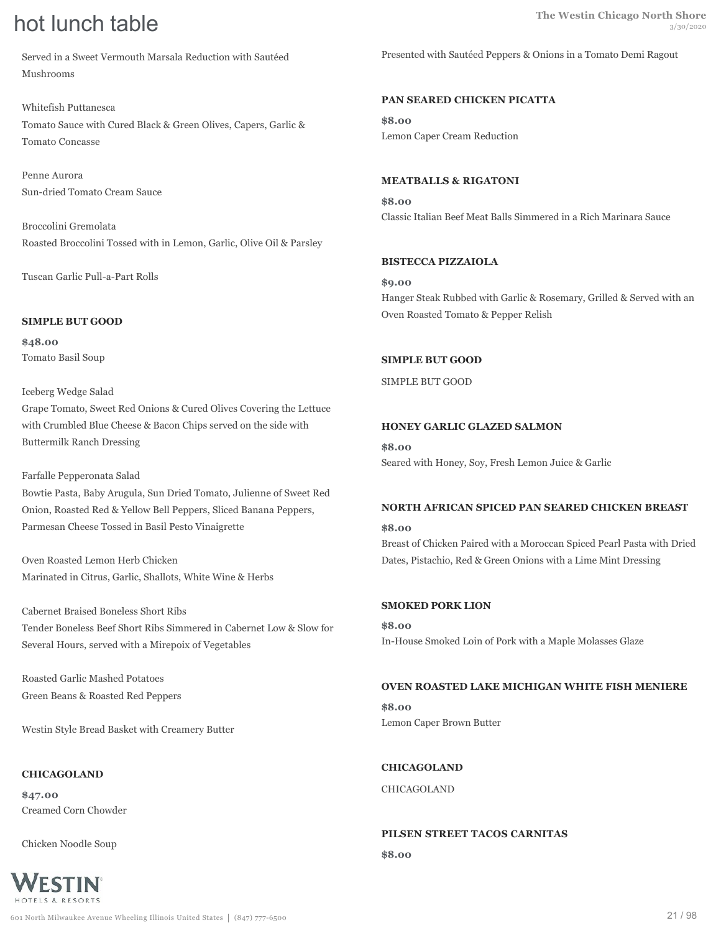Served in a Sweet Vermouth Marsala Reduction with Sautéed Mushrooms

Whitefish Puttanesca Tomato Sauce with Cured Black & Green Olives, Capers, Garlic & Tomato Concasse

Penne Aurora Sun-dried Tomato Cream Sauce

Broccolini Gremolata Roasted Broccolini Tossed with in Lemon, Garlic, Olive Oil & Parsley

Tuscan Garlic Pull-a-Part Rolls

#### **SIMPLE BUT GOOD**

**\$48.00** Tomato Basil Soup

Iceberg Wedge Salad Grape Tomato, Sweet Red Onions & Cured Olives Covering the Lettuce with Crumbled Blue Cheese & Bacon Chips served on the side with Buttermilk Ranch Dressing

#### Farfalle Pepperonata Salad

Bowtie Pasta, Baby Arugula, Sun Dried Tomato, Julienne of Sweet Red Onion, Roasted Red & Yellow Bell Peppers, Sliced Banana Peppers, Parmesan Cheese Tossed in Basil Pesto Vinaigrette

Oven Roasted Lemon Herb Chicken Marinated in Citrus, Garlic, Shallots, White Wine & Herbs

Cabernet Braised Boneless Short Ribs Tender Boneless Beef Short Ribs Simmered in Cabernet Low & Slow for Several Hours, served with a Mirepoix of Vegetables

Roasted Garlic Mashed Potatoes Green Beans & Roasted Red Peppers

Westin Style Bread Basket with Creamery Butter

#### **CHICAGOLAND**

**\$47.00** Creamed Corn Chowder

Chicken Noodle Soup



Presented with Sautéed Peppers & Onions in a Tomato Demi Ragout

#### **PAN SEARED CHICKEN PICATTA**

**\$8.00** Lemon Caper Cream Reduction

#### **MEATBALLS & RIGATONI**

**\$8.00** Classic Italian Beef Meat Balls Simmered in a Rich Marinara Sauce

#### **BISTECCA PIZZAIOLA**

**\$9.00** Hanger Steak Rubbed with Garlic & Rosemary, Grilled & Served with an Oven Roasted Tomato & Pepper Relish

#### **SIMPLE BUT GOOD**

SIMPLE BUT GOOD

#### **HONEY GARLIC GLAZED SALMON**

**\$8.00** Seared with Honey, Soy, Fresh Lemon Juice & Garlic

#### **NORTH AFRICAN SPICED PAN SEARED CHICKEN BREAST**

**\$8.00** Breast of Chicken Paired with a Moroccan Spiced Pearl Pasta with Dried Dates, Pistachio, Red & Green Onions with a Lime Mint Dressing

#### **SMOKED PORK LION**

**\$8.00** In-House Smoked Loin of Pork with a Maple Molasses Glaze

#### **OVEN ROASTED LAKE MICHIGAN WHITE FISH MENIERE**

**\$8.00** Lemon Caper Brown Butter

**CHICAGOLAND** CHICAGOLAND

## **PILSEN STREET TACOS CARNITAS**

**\$8.00**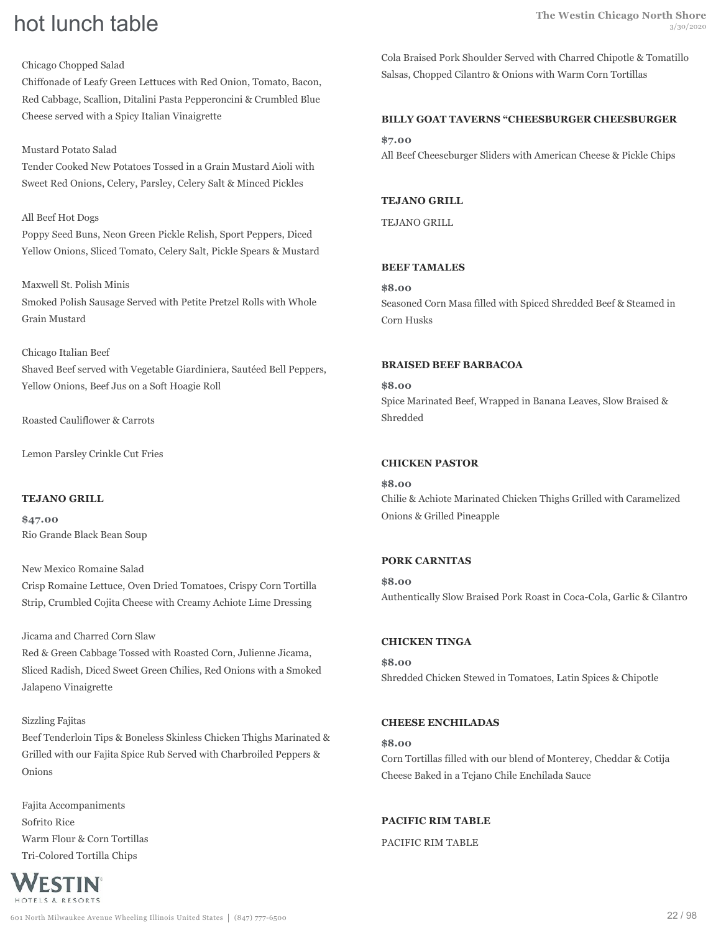### Chicago Chopped Salad

Chiffonade of Leafy Green Lettuces with Red Onion, Tomato, Bacon, Red Cabbage, Scallion, Ditalini Pasta Pepperoncini & Crumbled Blue Cheese served with a Spicy Italian Vinaigrette

### Mustard Potato Salad

Tender Cooked New Potatoes Tossed in a Grain Mustard Aioli with Sweet Red Onions, Celery, Parsley, Celery Salt & Minced Pickles

### All Beef Hot Dogs

Poppy Seed Buns, Neon Green Pickle Relish, Sport Peppers, Diced Yellow Onions, Sliced Tomato, Celery Salt, Pickle Spears & Mustard

# Maxwell St. Polish Minis Smoked Polish Sausage Served with Petite Pretzel Rolls with Whole Grain Mustard

Chicago Italian Beef

Shaved Beef served with Vegetable Giardiniera, Sautéed Bell Peppers, Yellow Onions, Beef Jus on a Soft Hoagie Roll

Roasted Cauliflower & Carrots

Lemon Parsley Crinkle Cut Fries

#### **TEJANO GRILL**

**\$47.00** Rio Grande Black Bean Soup

New Mexico Romaine Salad Crisp Romaine Lettuce, Oven Dried Tomatoes, Crispy Corn Tortilla Strip, Crumbled Cojita Cheese with Creamy Achiote Lime Dressing

#### Jicama and Charred Corn Slaw

Red & Green Cabbage Tossed with Roasted Corn, Julienne Jicama, Sliced Radish, Diced Sweet Green Chilies, Red Onions with a Smoked Jalapeno Vinaigrette

#### Sizzling Fajitas

Beef Tenderloin Tips & Boneless Skinless Chicken Thighs Marinated & Grilled with our Fajita Spice Rub Served with Charbroiled Peppers & Onions

Fajita Accompaniments Sofrito Rice Warm Flour & Corn Tortillas Tri-Colored Tortilla Chips



Cola Braised Pork Shoulder Served with Charred Chipotle & Tomatillo Salsas, Chopped Cilantro & Onions with Warm Corn Tortillas

# **BILLY GOAT TAVERNS "CHEESBURGER CHEESBURGER**

**\$7.00** All Beef Cheeseburger Sliders with American Cheese & Pickle Chips

#### **TEJANO GRILL**

TEJANO GRILL

### **BEEF TAMALES**

**\$8.00**

Seasoned Corn Masa filled with Spiced Shredded Beef & Steamed in Corn Husks

#### **BRAISED BEEF BARBACOA**

**\$8.00** Spice Marinated Beef, Wrapped in Banana Leaves, Slow Braised & Shredded

### **CHICKEN PASTOR**

**\$8.00** Chilie & Achiote Marinated Chicken Thighs Grilled with Caramelized Onions & Grilled Pineapple

#### **PORK CARNITAS**

**\$8.00** Authentically Slow Braised Pork Roast in Coca-Cola, Garlic & Cilantro

### **CHICKEN TINGA**

**\$8.00** Shredded Chicken Stewed in Tomatoes, Latin Spices & Chipotle

#### **CHEESE ENCHILADAS**

**\$8.00** Corn Tortillas filled with our blend of Monterey, Cheddar & Cotija Cheese Baked in a Tejano Chile Enchilada Sauce

#### **PACIFIC RIM TABLE**

PACIFIC RIM TABLE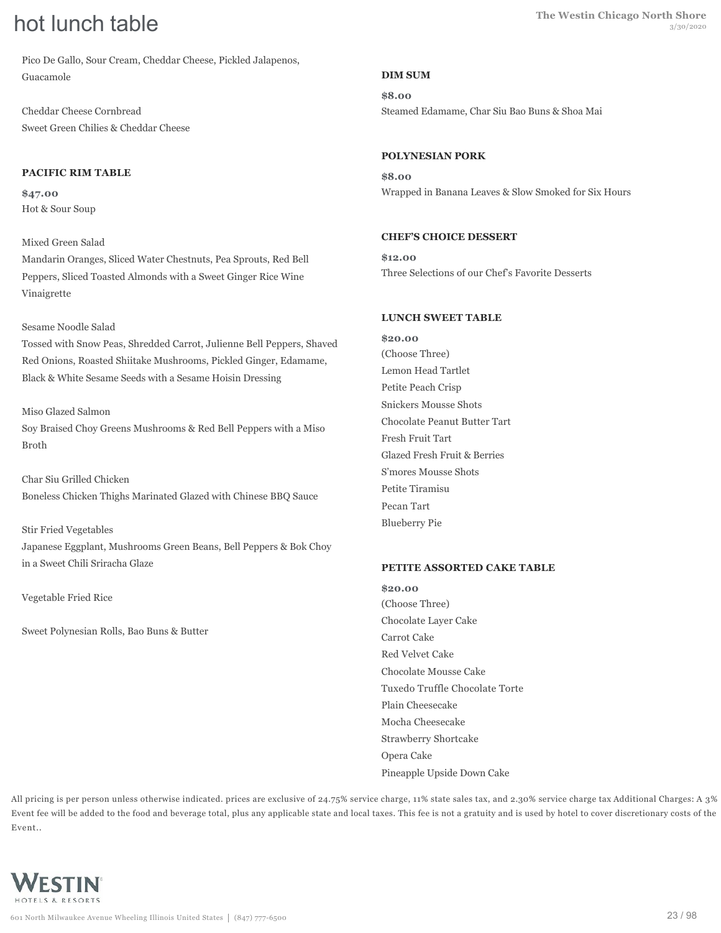Pico De Gallo, Sour Cream, Cheddar Cheese, Pickled Jalapenos, Guacamole

Cheddar Cheese Cornbread Sweet Green Chilies & Cheddar Cheese

### **PACIFIC RIM TABLE**

**\$47.00** Hot & Sour Soup

#### Mixed Green Salad

Mandarin Oranges, Sliced Water Chestnuts, Pea Sprouts, Red Bell Peppers, Sliced Toasted Almonds with a Sweet Ginger Rice Wine Vinaigrette

### Sesame Noodle Salad

Tossed with Snow Peas, Shredded Carrot, Julienne Bell Peppers, Shaved Red Onions, Roasted Shiitake Mushrooms, Pickled Ginger, Edamame, Black & White Sesame Seeds with a Sesame Hoisin Dressing

### Miso Glazed Salmon

Soy Braised Choy Greens Mushrooms & Red Bell Peppers with a Miso Broth

Char Siu Grilled Chicken Boneless Chicken Thighs Marinated Glazed with Chinese BBQ Sauce

Stir Fried Vegetables Japanese Eggplant, Mushrooms Green Beans, Bell Peppers & Bok Choy in a Sweet Chili Sriracha Glaze

Vegetable Fried Rice

Sweet Polynesian Rolls, Bao Buns & Butter

### **DIM SUM**

**\$8.00** Steamed Edamame, Char Siu Bao Buns & Shoa Mai

### **POLYNESIAN PORK**

**\$8.00** Wrapped in Banana Leaves & Slow Smoked for Six Hours

### **CHEF'S CHOICE DESSERT**

**\$12.00** Three Selections of our Chef's Favorite Desserts

### **LUNCH SWEET TABLE**

**\$20.00** (Choose Three) Lemon Head Tartlet Petite Peach Crisp Snickers Mousse Shots Chocolate Peanut Butter Tart Fresh Fruit Tart Glazed Fresh Fruit & Berries S'mores Mousse Shots Petite Tiramisu Pecan Tart Blueberry Pie

#### **PETITE ASSORTED CAKE TABLE**

**\$20.00** (Choose Three) Chocolate Layer Cake Carrot Cake Red Velvet Cake Chocolate Mousse Cake Tuxedo Truffle Chocolate Torte Plain Cheesecake Mocha Cheesecake Strawberry Shortcake Opera Cake Pineapple Upside Down Cake

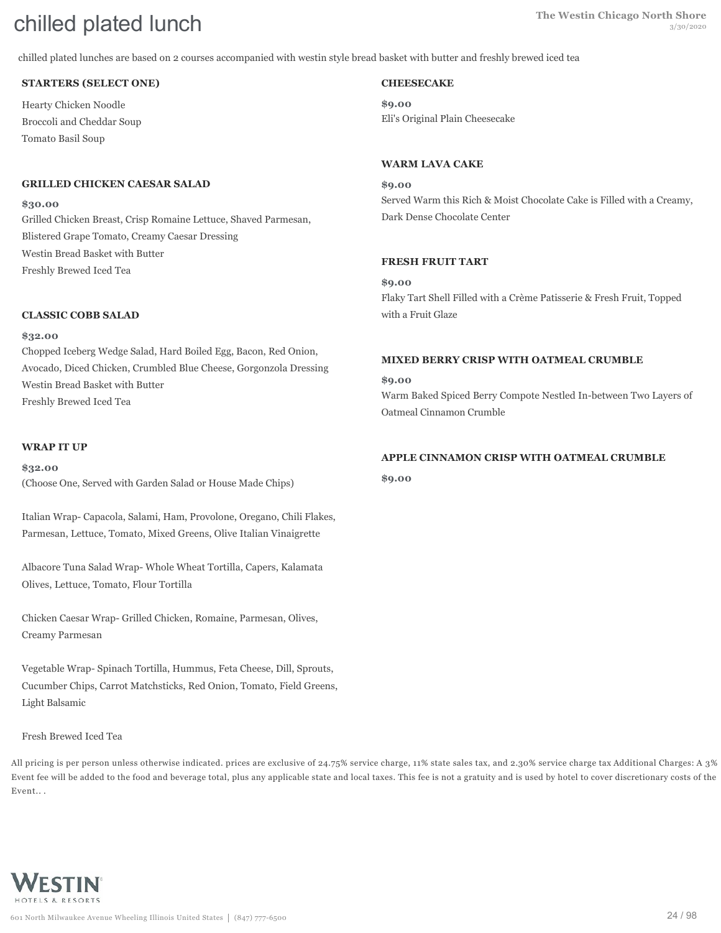# **The Westin Chicago North Shore** chilled plated lunch 3/30/2020

chilled plated lunches are based on 2 courses accompanied with westin style bread basket with butter and freshly brewed iced tea

#### **STARTERS (SELECT ONE)**

Hearty Chicken Noodle Broccoli and Cheddar Soup Tomato Basil Soup

#### **GRILLED CHICKEN CAESAR SALAD**

#### **\$30.00**

Grilled Chicken Breast, Crisp Romaine Lettuce, Shaved Parmesan, Blistered Grape Tomato, Creamy Caesar Dressing Westin Bread Basket with Butter Freshly Brewed Iced Tea

#### **CLASSIC COBB SALAD**

#### **\$32.00**

Chopped Iceberg Wedge Salad, Hard Boiled Egg, Bacon, Red Onion, Avocado, Diced Chicken, Crumbled Blue Cheese, Gorgonzola Dressing Westin Bread Basket with Butter Freshly Brewed Iced Tea

#### **WRAP IT UP**

**\$32.00** (Choose One, Served with Garden Salad or House Made Chips)

Italian Wrap- Capacola, Salami, Ham, Provolone, Oregano, Chili Flakes, Parmesan, Lettuce, Tomato, Mixed Greens, Olive Italian Vinaigrette

Albacore Tuna Salad Wrap- Whole Wheat Tortilla, Capers, Kalamata Olives, Lettuce, Tomato, Flour Tortilla

Chicken Caesar Wrap- Grilled Chicken, Romaine, Parmesan, Olives, Creamy Parmesan

Vegetable Wrap- Spinach Tortilla, Hummus, Feta Cheese, Dill, Sprouts, Cucumber Chips, Carrot Matchsticks, Red Onion, Tomato, Field Greens, Light Balsamic

#### Fresh Brewed Iced Tea

All pricing is per person unless otherwise indicated. prices are exclusive of 24.75% service charge, 11% state sales tax, and 2.30% service charge tax Additional Charges: A 3% Event fee will be added to the food and beverage total, plus any applicable state and local taxes. This fee is not a gratuity and is used by hotel to cover discretionary costs of the Event.. .



#### **CHEESECAKE**

**\$9.00** Eli's Original Plain Cheesecake

#### **WARM LAVA CAKE**

**\$9.00** Served Warm this Rich & Moist Chocolate Cake is Filled with a Creamy, Dark Dense Chocolate Center

#### **FRESH FRUIT TART**

**\$9.00** Flaky Tart Shell Filled with a Crème Patisserie & Fresh Fruit, Topped with a Fruit Glaze

#### **MIXED BERRY CRISP WITH OATMEAL CRUMBLE**

**\$9.00** Warm Baked Spiced Berry Compote Nestled In-between Two Layers of Oatmeal Cinnamon Crumble

#### **APPLE CINNAMON CRISP WITH OATMEAL CRUMBLE**

**\$9.00**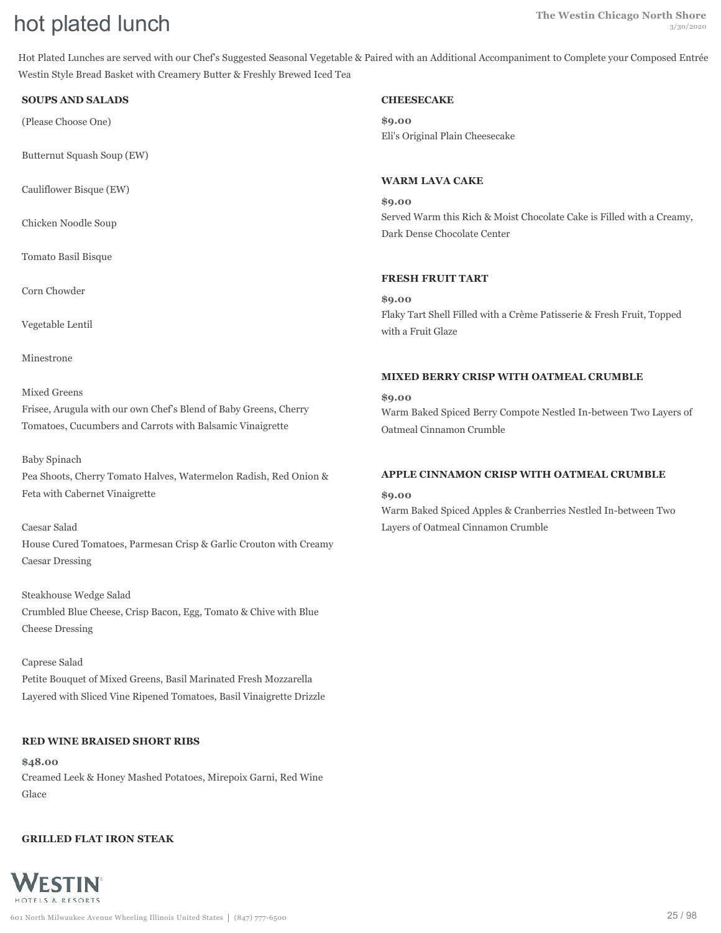# **The Westin Chicago North Shore The Westin Chicago North Shore hot plated lunch** 3/30/2020

Hot Plated Lunches are served with our Chef's Suggested Seasonal Vegetable & Paired with an Additional Accompaniment to Complete your Composed Entrée Westin Style Bread Basket with Creamery Butter & Freshly Brewed Iced Tea

#### **SOUPS AND SALADS**

(Please Choose One)

Butternut Squash Soup (EW)

Cauliflower Bisque (EW)

Chicken Noodle Soup

Tomato Basil Bisque

Corn Chowder

Vegetable Lentil

Minestrone

#### Mixed Greens

Frisee, Arugula with our own Chef's Blend of Baby Greens, Cherry Tomatoes, Cucumbers and Carrots with Balsamic Vinaigrette

#### Baby Spinach

Pea Shoots, Cherry Tomato Halves, Watermelon Radish, Red Onion & Feta with Cabernet Vinaigrette

## Caesar Salad

House Cured Tomatoes, Parmesan Crisp & Garlic Crouton with Creamy Caesar Dressing

Steakhouse Wedge Salad Crumbled Blue Cheese, Crisp Bacon, Egg, Tomato & Chive with Blue Cheese Dressing

# Caprese Salad Petite Bouquet of Mixed Greens, Basil Marinated Fresh Mozzarella Layered with Sliced Vine Ripened Tomatoes, Basil Vinaigrette Drizzle

#### **RED WINE BRAISED SHORT RIBS**

**\$48.00** Creamed Leek & Honey Mashed Potatoes, Mirepoix Garni, Red Wine Glace

#### **GRILLED FLAT IRON STEAK**



#### **CHEESECAKE**

**\$9.00** Eli's Original Plain Cheesecake

#### **WARM LAVA CAKE**

**\$9.00** Served Warm this Rich & Moist Chocolate Cake is Filled with a Creamy, Dark Dense Chocolate Center

#### **FRESH FRUIT TART**

**\$9.00** Flaky Tart Shell Filled with a Crème Patisserie & Fresh Fruit, Topped with a Fruit Glaze

#### **MIXED BERRY CRISP WITH OATMEAL CRUMBLE**

**\$9.00** Warm Baked Spiced Berry Compote Nestled In-between Two Layers of Oatmeal Cinnamon Crumble

#### **APPLE CINNAMON CRISP WITH OATMEAL CRUMBLE**

#### **\$9.00**

Warm Baked Spiced Apples & Cranberries Nestled In-between Two Layers of Oatmeal Cinnamon Crumble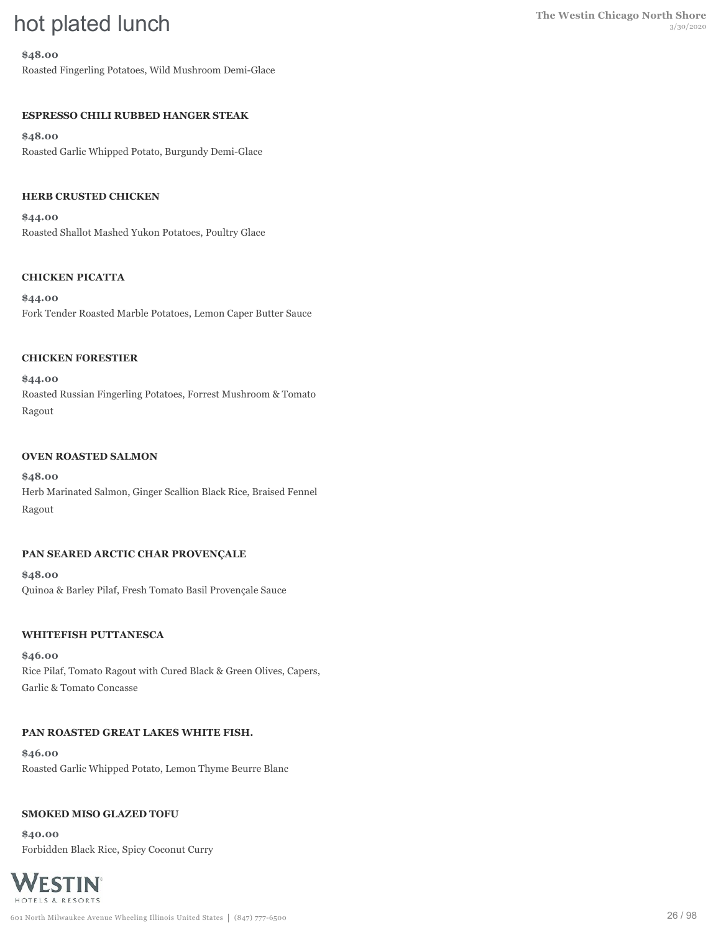# **The Westin Chicago North Shore**<br>3/30/2020

#### **\$48.00**

Roasted Fingerling Potatoes, Wild Mushroom Demi-Glace

# **ESPRESSO CHILI RUBBED HANGER STEAK**

#### **\$48.00**

Roasted Garlic Whipped Potato, Burgundy Demi-Glace

### **HERB CRUSTED CHICKEN**

**\$44.00** Roasted Shallot Mashed Yukon Potatoes, Poultry Glace

#### **CHICKEN PICATTA**

**\$44.00** Fork Tender Roasted Marble Potatoes, Lemon Caper Butter Sauce

#### **CHICKEN FORESTIER**

**\$44.00** Roasted Russian Fingerling Potatoes, Forrest Mushroom & Tomato Ragout

#### **OVEN ROASTED SALMON**

**\$48.00** Herb Marinated Salmon, Ginger Scallion Black Rice, Braised Fennel Ragout

#### **PAN SEARED ARCTIC CHAR PROVENÇALE**

**\$48.00** Quinoa & Barley Pilaf, Fresh Tomato Basil Provençale Sauce

#### **WHITEFISH PUTTANESCA**

**\$46.00** Rice Pilaf, Tomato Ragout with Cured Black & Green Olives, Capers, Garlic & Tomato Concasse

#### **PAN ROASTED GREAT LAKES WHITE FISH.**

**\$46.00** Roasted Garlic Whipped Potato, Lemon Thyme Beurre Blanc

#### **SMOKED MISO GLAZED TOFU**

**\$40.00** Forbidden Black Rice, Spicy Coconut Curry

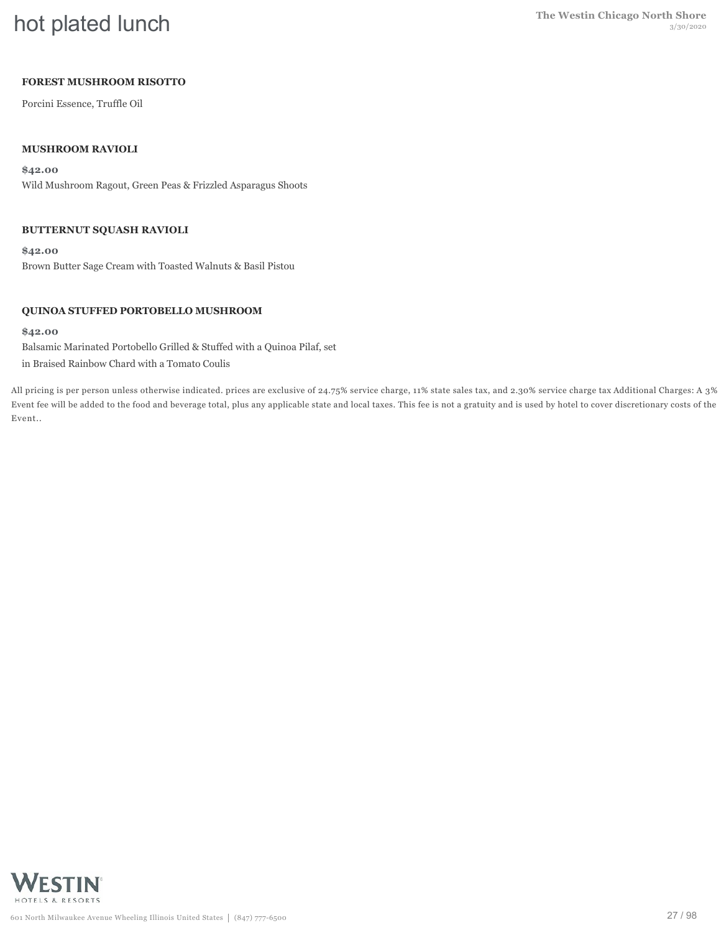# **hot plated lunch** The Westin Chicago North Shore

# **FOREST MUSHROOM RISOTTO**

Porcini Essence, Truffle Oil

## **MUSHROOM RAVIOLI**

**\$42.00** Wild Mushroom Ragout, Green Peas & Frizzled Asparagus Shoots

#### **BUTTERNUT SQUASH RAVIOLI**

**\$42.00** Brown Butter Sage Cream with Toasted Walnuts & Basil Pistou

### **QUINOA STUFFED PORTOBELLO MUSHROOM**

#### **\$42.00**

Balsamic Marinated Portobello Grilled & Stuffed with a Quinoa Pilaf, set in Braised Rainbow Chard with a Tomato Coulis

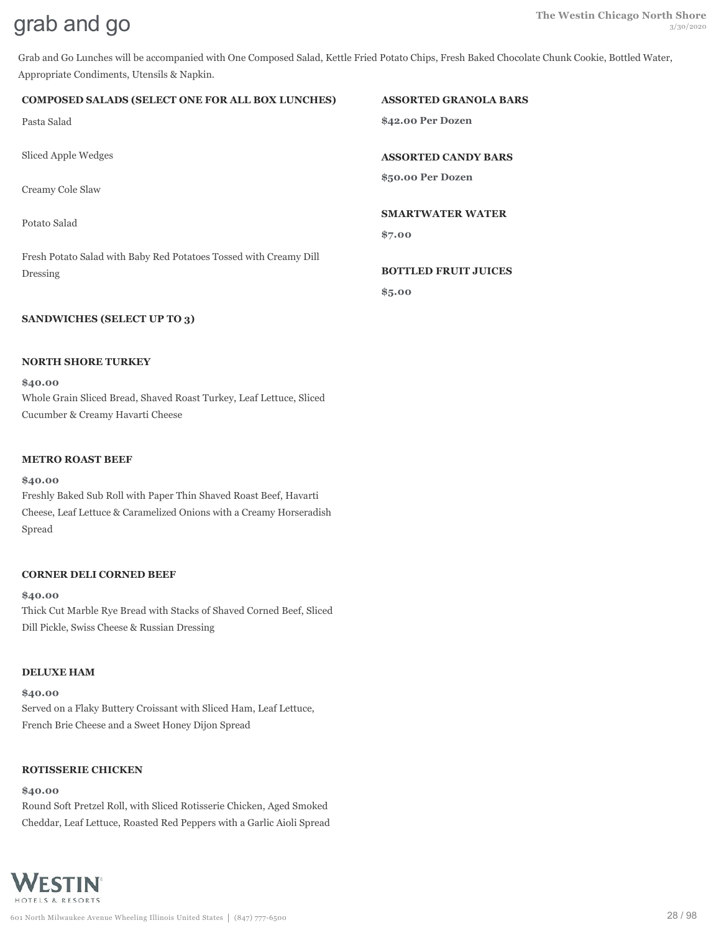Grab and Go Lunches will be accompanied with One Composed Salad, Kettle Fried Potato Chips, Fresh Baked Chocolate Chunk Cookie, Bottled Water, Appropriate Condiments, Utensils & Napkin.

#### **COMPOSED SALADS (SELECT ONE FOR ALL BOX LUNCHES)**

Pasta Salad

Sliced Apple Wedges

Creamy Cole Slaw

Potato Salad

Fresh Potato Salad with Baby Red Potatoes Tossed with Creamy Dill Dressing

#### **SANDWICHES (SELECT UP TO 3)**

#### **NORTH SHORE TURKEY**

**\$40.00** Whole Grain Sliced Bread, Shaved Roast Turkey, Leaf Lettuce, Sliced Cucumber & Creamy Havarti Cheese

#### **METRO ROAST BEEF**

#### **\$40.00**

Freshly Baked Sub Roll with Paper Thin Shaved Roast Beef, Havarti Cheese, Leaf Lettuce & Caramelized Onions with a Creamy Horseradish Spread

#### **CORNER DELI CORNED BEEF**

#### **\$40.00**

Thick Cut Marble Rye Bread with Stacks of Shaved Corned Beef, Sliced Dill Pickle, Swiss Cheese & Russian Dressing

#### **DELUXE HAM**

**\$40.00**

Served on a Flaky Buttery Croissant with Sliced Ham, Leaf Lettuce, French Brie Cheese and a Sweet Honey Dijon Spread

#### **ROTISSERIE CHICKEN**

#### **\$40.00**

Round Soft Pretzel Roll, with Sliced Rotisserie Chicken, Aged Smoked Cheddar, Leaf Lettuce, Roasted Red Peppers with a Garlic Aioli Spread



#### **ASSORTED GRANOLA BARS**

**\$42.00 Per Dozen**

**ASSORTED CANDY BARS**

**\$50.00 Per Dozen**

#### **SMARTWATER WATER**

**\$7.00**

**BOTTLED FRUIT JUICES**

**\$5.00**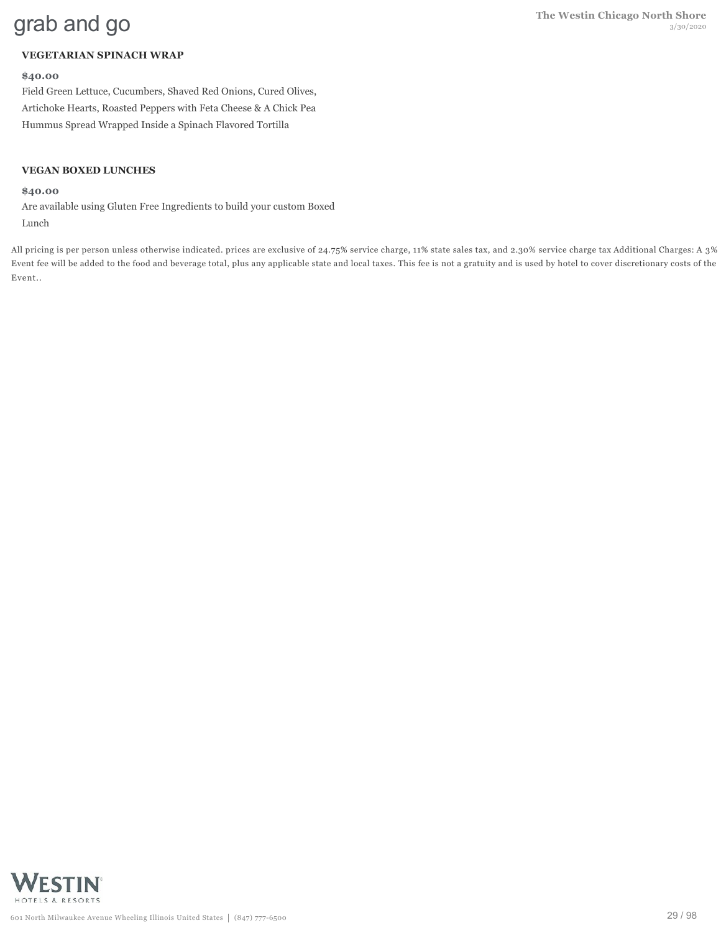# **VEGETARIAN SPINACH WRAP**

#### **\$40.00**

Field Green Lettuce, Cucumbers, Shaved Red Onions, Cured Olives, Artichoke Hearts, Roasted Peppers with Feta Cheese & A Chick Pea Hummus Spread Wrapped Inside a Spinach Flavored Tortilla

#### **VEGAN BOXED LUNCHES**

#### **\$40.00**

Are available using Gluten Free Ingredients to build your custom Boxed Lunch

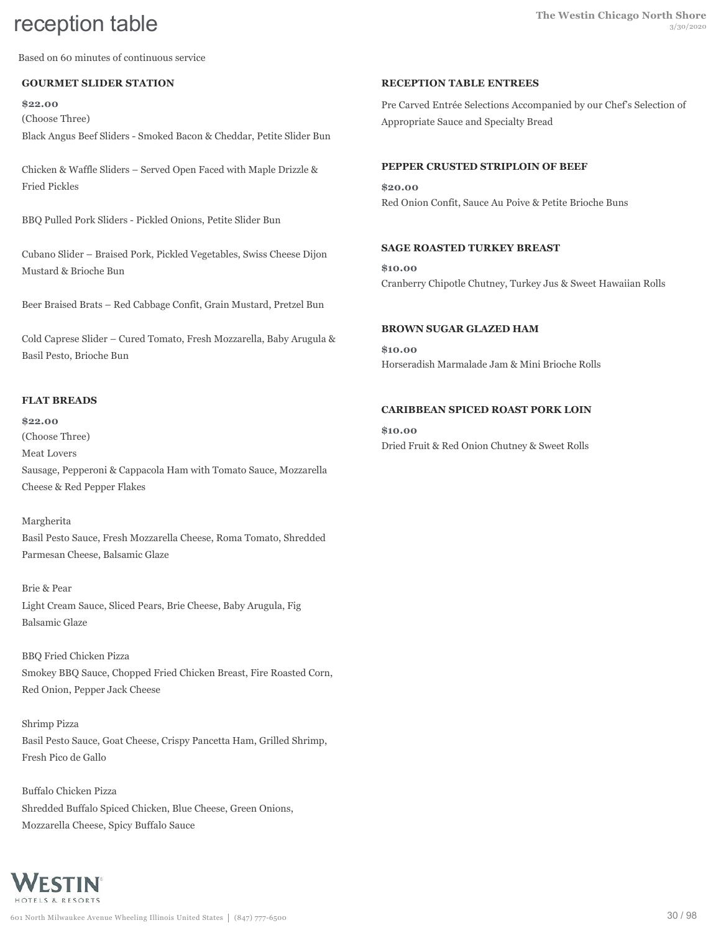Based on 60 minutes of continuous service

### **GOURMET SLIDER STATION**

**\$22.00** (Choose Three) Black Angus Beef Sliders - Smoked Bacon & Cheddar, Petite Slider Bun

Chicken & Waffle Sliders – Served Open Faced with Maple Drizzle & Fried Pickles

BBQ Pulled Pork Sliders - Pickled Onions, Petite Slider Bun

Cubano Slider – Braised Pork, Pickled Vegetables, Swiss Cheese Dijon Mustard & Brioche Bun

Beer Braised Brats – Red Cabbage Confit, Grain Mustard, Pretzel Bun

Cold Caprese Slider – Cured Tomato, Fresh Mozzarella, Baby Arugula & Basil Pesto, Brioche Bun

#### **FLAT BREADS**

**\$22.00** (Choose Three) Meat Lovers Sausage, Pepperoni & Cappacola Ham with Tomato Sauce, Mozzarella Cheese & Red Pepper Flakes

Margherita Basil Pesto Sauce, Fresh Mozzarella Cheese, Roma Tomato, Shredded Parmesan Cheese, Balsamic Glaze

Brie & Pear Light Cream Sauce, Sliced Pears, Brie Cheese, Baby Arugula, Fig Balsamic Glaze

BBQ Fried Chicken Pizza Smokey BBQ Sauce, Chopped Fried Chicken Breast, Fire Roasted Corn, Red Onion, Pepper Jack Cheese

Shrimp Pizza Basil Pesto Sauce, Goat Cheese, Crispy Pancetta Ham, Grilled Shrimp, Fresh Pico de Gallo

Buffalo Chicken Pizza Shredded Buffalo Spiced Chicken, Blue Cheese, Green Onions, Mozzarella Cheese, Spicy Buffalo Sauce

#### **RECEPTION TABLE ENTREES**

Pre Carved Entrée Selections Accompanied by our Chef's Selection of Appropriate Sauce and Specialty Bread

#### **PEPPER CRUSTED STRIPLOIN OF BEEF**

**\$20.00** Red Onion Confit, Sauce Au Poive & Petite Brioche Buns

## **SAGE ROASTED TURKEY BREAST**

**\$10.00** Cranberry Chipotle Chutney, Turkey Jus & Sweet Hawaiian Rolls

#### **BROWN SUGAR GLAZED HAM**

**\$10.00** Horseradish Marmalade Jam & Mini Brioche Rolls

#### **CARIBBEAN SPICED ROAST PORK LOIN**

**\$10.00** Dried Fruit & Red Onion Chutney & Sweet Rolls

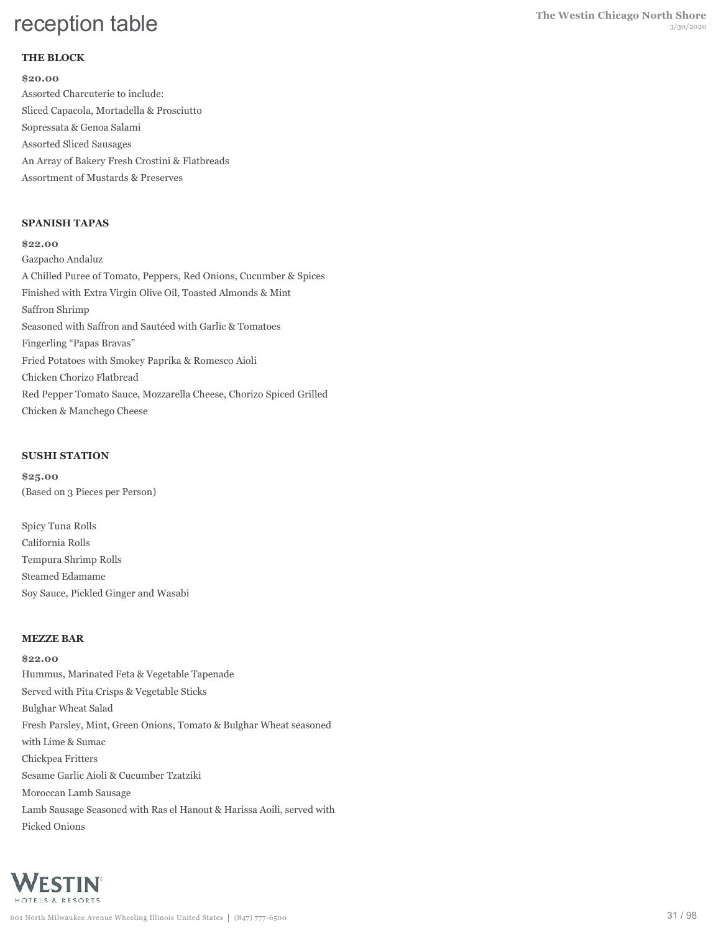## **THE BLOCK**

**\$20.00** Assorted Charcuterie to include: Sliced Capacola, Mortadella & Prosciutto Sopressata & Genoa Salami Assorted Sliced Sausages An Array of Bakery Fresh Crostini & Flatbreads Assortment of Mustards & Preserves

#### **SPANISH TAPAS**

**\$22.00** Gazpacho Andaluz A Chilled Puree of Tomato, Peppers, Red Onions, Cucumber & Spices Finished with Extra Virgin Olive Oil, Toasted Almonds & Mint Saffron Shrimp Seasoned with Saffron and Sautéed with Garlic & Tomatoes Fingerling "Papas Bravas" Fried Potatoes with Smokey Paprika & Romesco Aioli Chicken Chorizo Flatbread Red Pepper Tomato Sauce, Mozzarella Cheese, Chorizo Spiced Grilled Chicken & Manchego Cheese

#### **SUSHI STATION**

**\$25.00** (Based on 3 Pieces per Person)

Spicy Tuna Rolls California Rolls Tempura Shrimp Rolls Steamed Edamame Soy Sauce, Pickled Ginger and Wasabi

#### **MEZZE BAR**

**\$22.00** Hummus, Marinated Feta & Vegetable Tapenade Served with Pita Crisps & Vegetable Sticks Bulghar Wheat Salad Fresh Parsley, Mint, Green Onions, Tomato & Bulghar Wheat seasoned with Lime & Sumac Chickpea Fritters Sesame Garlic Aioli & Cucumber Tzatziki Moroccan Lamb Sausage Lamb Sausage Seasoned with Ras el Hanout & Harissa Aoili, served with Picked Onions

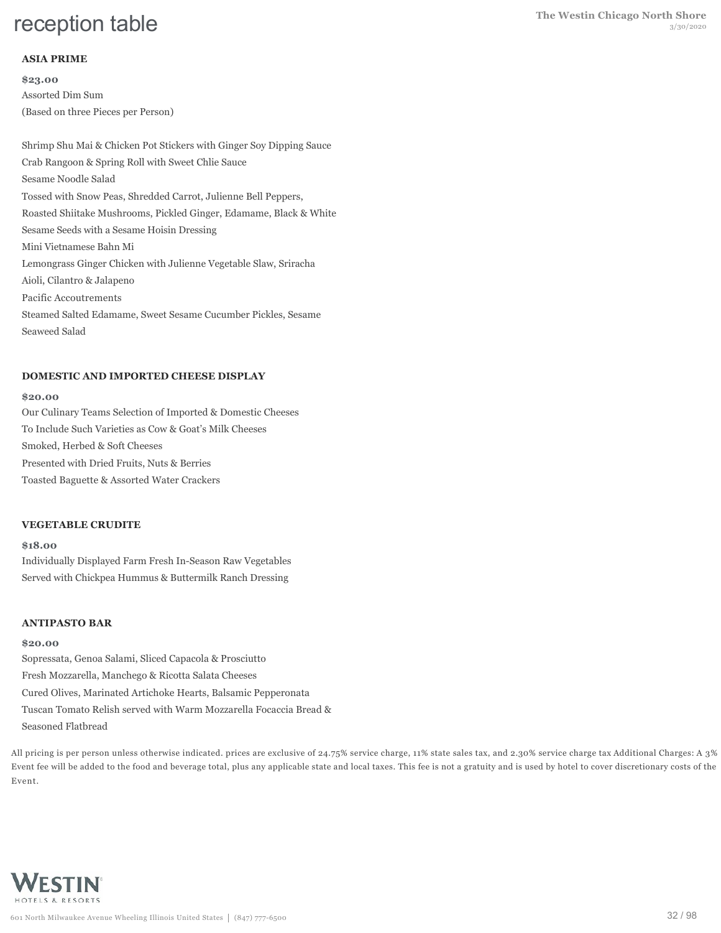### **ASIA PRIME**

**\$23.00** Assorted Dim Sum (Based on three Pieces per Person)

Shrimp Shu Mai & Chicken Pot Stickers with Ginger Soy Dipping Sauce Crab Rangoon & Spring Roll with Sweet Chlie Sauce Sesame Noodle Salad Tossed with Snow Peas, Shredded Carrot, Julienne Bell Peppers, Roasted Shiitake Mushrooms, Pickled Ginger, Edamame, Black & White Sesame Seeds with a Sesame Hoisin Dressing Mini Vietnamese Bahn Mi Lemongrass Ginger Chicken with Julienne Vegetable Slaw, Sriracha Aioli, Cilantro & Jalapeno Pacific Accoutrements Steamed Salted Edamame, Sweet Sesame Cucumber Pickles, Sesame Seaweed Salad

#### **DOMESTIC AND IMPORTED CHEESE DISPLAY**

#### **\$20.00**

Our Culinary Teams Selection of Imported & Domestic Cheeses To Include Such Varieties as Cow & Goat's Milk Cheeses Smoked, Herbed & Soft Cheeses Presented with Dried Fruits, Nuts & Berries Toasted Baguette & Assorted Water Crackers

#### **VEGETABLE CRUDITE**

#### **\$18.00**

Individually Displayed Farm Fresh In-Season Raw Vegetables Served with Chickpea Hummus & Buttermilk Ranch Dressing

#### **ANTIPASTO BAR**

#### **\$20.00**

Sopressata, Genoa Salami, Sliced Capacola & Prosciutto Fresh Mozzarella, Manchego & Ricotta Salata Cheeses Cured Olives, Marinated Artichoke Hearts, Balsamic Pepperonata Tuscan Tomato Relish served with Warm Mozzarella Focaccia Bread & Seasoned Flatbread

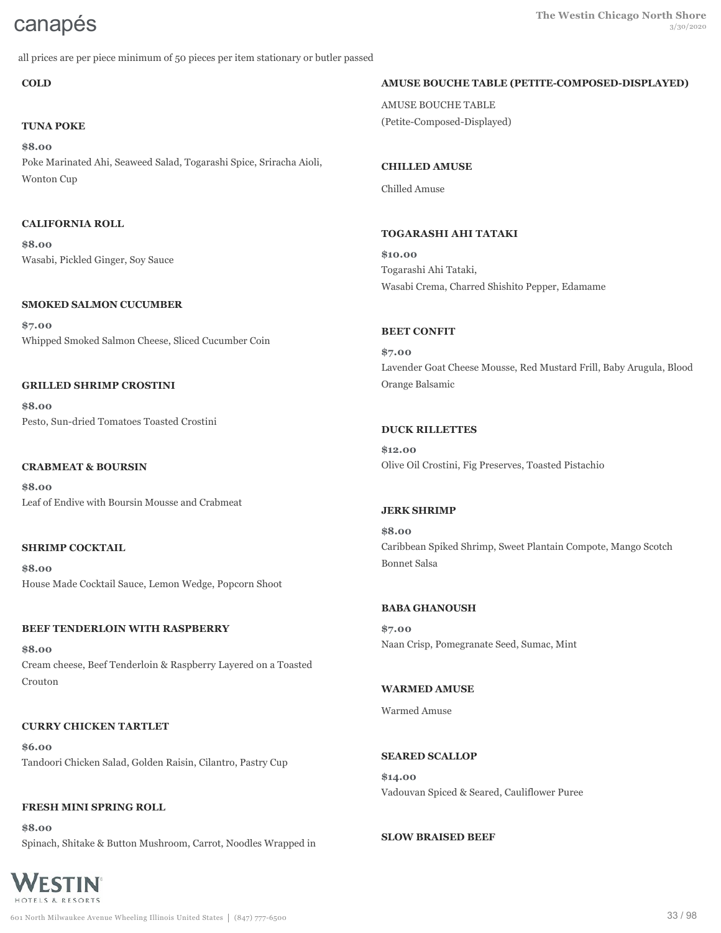all prices are per piece minimum of 50 pieces per item stationary or butler passed

**COLD**

# **TUNA POKE**

**\$8.00** Poke Marinated Ahi, Seaweed Salad, Togarashi Spice, Sriracha Aioli, Wonton Cup

## **CALIFORNIA ROLL**

**\$8.00** Wasabi, Pickled Ginger, Soy Sauce

### **SMOKED SALMON CUCUMBER**

**\$7.00** Whipped Smoked Salmon Cheese, Sliced Cucumber Coin

### **GRILLED SHRIMP CROSTINI**

**\$8.00** Pesto, Sun-dried Tomatoes Toasted Crostini

## **CRABMEAT & BOURSIN**

**\$8.00** Leaf of Endive with Boursin Mousse and Crabmeat

## **SHRIMP COCKTAIL**

**\$8.00** House Made Cocktail Sauce, Lemon Wedge, Popcorn Shoot

# **BEEF TENDERLOIN WITH RASPBERRY**

**\$8.00** Cream cheese, Beef Tenderloin & Raspberry Layered on a Toasted Crouton

# **CURRY CHICKEN TARTLET**

**\$6.00** Tandoori Chicken Salad, Golden Raisin, Cilantro, Pastry Cup

# **FRESH MINI SPRING ROLL**

WESTIN HOTELS & RESORTS

**\$8.00** Spinach, Shitake & Button Mushroom, Carrot, Noodles Wrapped in

# **AMUSE BOUCHE TABLE (PETITE-COMPOSED-DISPLAYED)**

AMUSE BOUCHE TABLE (Petite-Composed-Displayed)

# **CHILLED AMUSE**

Chilled Amuse

# **TOGARASHI AHI TATAKI**

**\$10.00** Togarashi Ahi Tataki, Wasabi Crema, Charred Shishito Pepper, Edamame

### **BEET CONFIT**

**\$7.00** Lavender Goat Cheese Mousse, Red Mustard Frill, Baby Arugula, Blood Orange Balsamic

### **DUCK RILLETTES**

**\$12.00** Olive Oil Crostini, Fig Preserves, Toasted Pistachio

## **JERK SHRIMP**

**\$8.00** Caribbean Spiked Shrimp, Sweet Plantain Compote, Mango Scotch Bonnet Salsa

#### **BABA GHANOUSH**

**\$7.00** Naan Crisp, Pomegranate Seed, Sumac, Mint

# **WARMED AMUSE**

Warmed Amuse

#### **SEARED SCALLOP**

**\$14.00** Vadouvan Spiced & Seared, Cauliflower Puree

#### **SLOW BRAISED BEEF**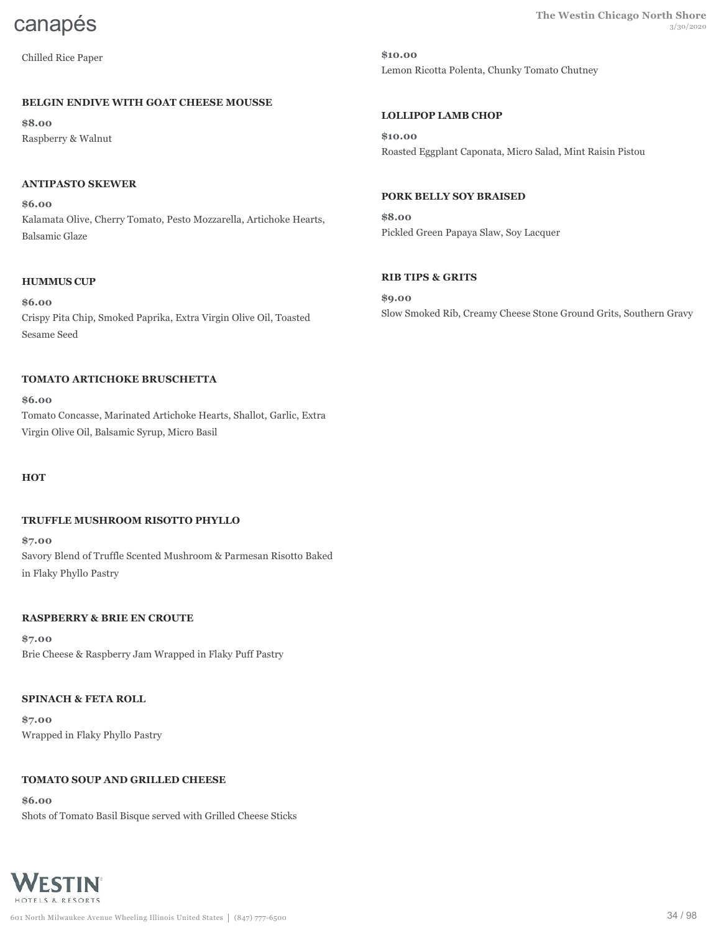Chilled Rice Paper

#### **BELGIN ENDIVE WITH GOAT CHEESE MOUSSE**

**\$8.00** Raspberry & Walnut

#### **ANTIPASTO SKEWER**

**\$6.00** Kalamata Olive, Cherry Tomato, Pesto Mozzarella, Artichoke Hearts, Balsamic Glaze

#### **HUMMUS CUP**

**\$6.00** Crispy Pita Chip, Smoked Paprika, Extra Virgin Olive Oil, Toasted Sesame Seed

#### **TOMATO ARTICHOKE BRUSCHETTA**

**\$6.00** Tomato Concasse, Marinated Artichoke Hearts, Shallot, Garlic, Extra Virgin Olive Oil, Balsamic Syrup, Micro Basil

**HOT**

#### **TRUFFLE MUSHROOM RISOTTO PHYLLO**

**\$7.00** Savory Blend of Truffle Scented Mushroom & Parmesan Risotto Baked in Flaky Phyllo Pastry

#### **RASPBERRY & BRIE EN CROUTE**

**\$7.00** Brie Cheese & Raspberry Jam Wrapped in Flaky Puff Pastry

#### **SPINACH & FETA ROLL**

**\$7.00** Wrapped in Flaky Phyllo Pastry

#### **TOMATO SOUP AND GRILLED CHEESE**

**\$6.00** Shots of Tomato Basil Bisque served with Grilled Cheese Sticks



**CANAPÉS** The Westin Chicago North Shore

**\$10.00** Lemon Ricotta Polenta, Chunky Tomato Chutney

## **LOLLIPOP LAMB CHOP**

**\$10.00** Roasted Eggplant Caponata, Micro Salad, Mint Raisin Pistou

#### **PORK BELLY SOY BRAISED**

**\$8.00** Pickled Green Papaya Slaw, Soy Lacquer

#### **RIB TIPS & GRITS**

**\$9.00** Slow Smoked Rib, Creamy Cheese Stone Ground Grits, Southern Gravy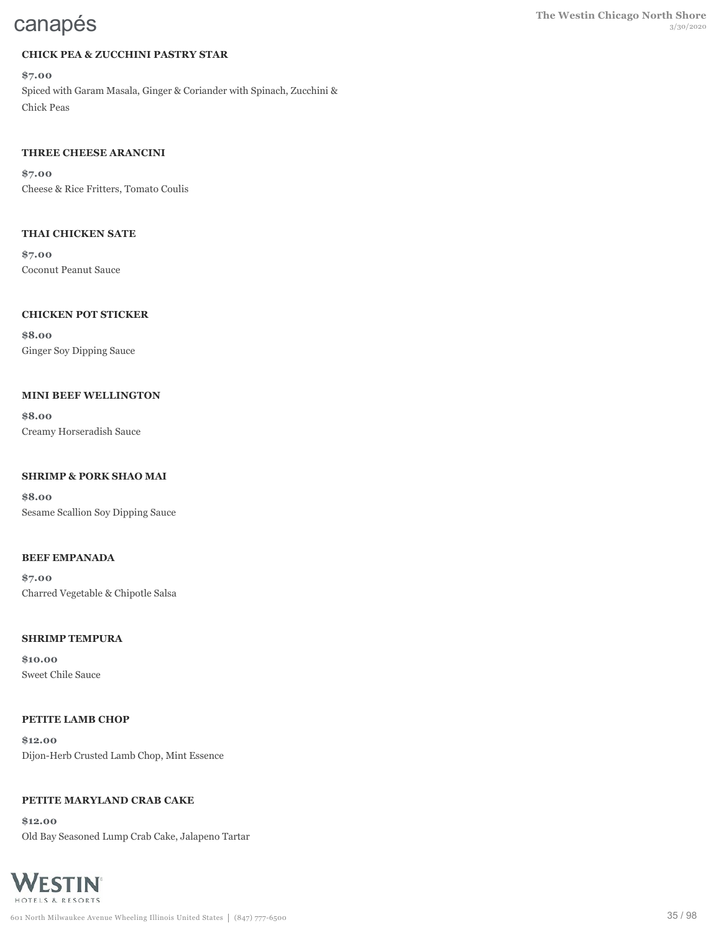# **CHICK PEA & ZUCCHINI PASTRY STAR**

**\$7.00** Spiced with Garam Masala, Ginger & Coriander with Spinach, Zucchini & Chick Peas

# **THREE CHEESE ARANCINI**

**\$7.00** Cheese & Rice Fritters, Tomato Coulis

# **THAI CHICKEN SATE**

**\$7.00** Coconut Peanut Sauce

# **CHICKEN POT STICKER**

**\$8.00** Ginger Soy Dipping Sauce

# **MINI BEEF WELLINGTON**

**\$8.00** Creamy Horseradish Sauce

# **SHRIMP & PORK SHAO MAI**

**\$8.00** Sesame Scallion Soy Dipping Sauce

# **BEEF EMPANADA**

**\$7.00** Charred Vegetable & Chipotle Salsa

# **SHRIMP TEMPURA**

**\$10.00** Sweet Chile Sauce

# **PETITE LAMB CHOP**

**\$12.00** Dijon-Herb Crusted Lamb Chop, Mint Essence

# **PETITE MARYLAND CRAB CAKE**

**\$12.00** Old Bay Seasoned Lump Crab Cake, Jalapeno Tartar

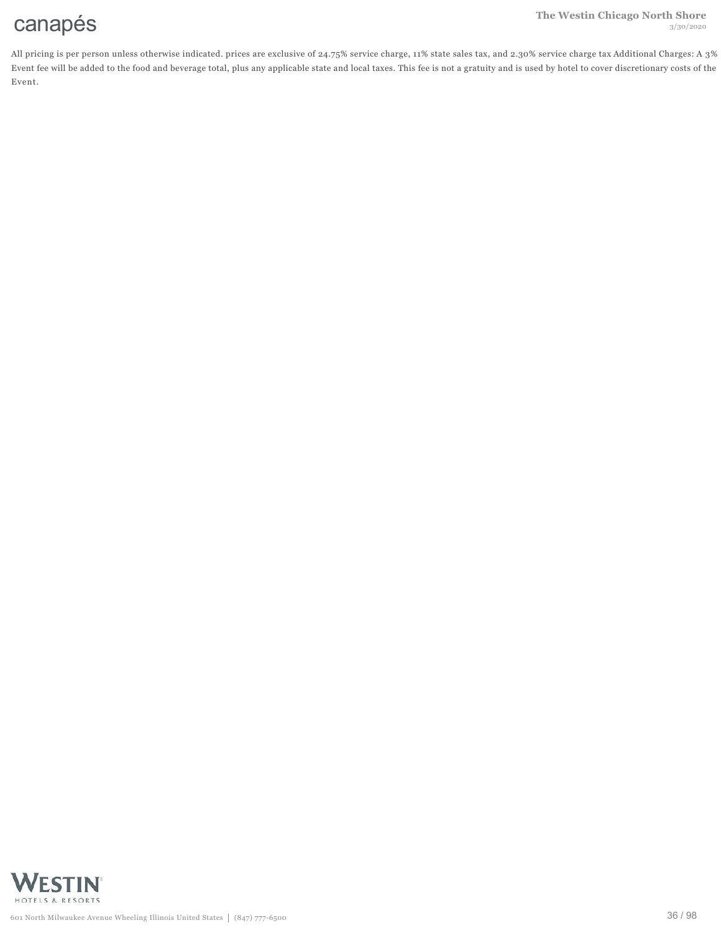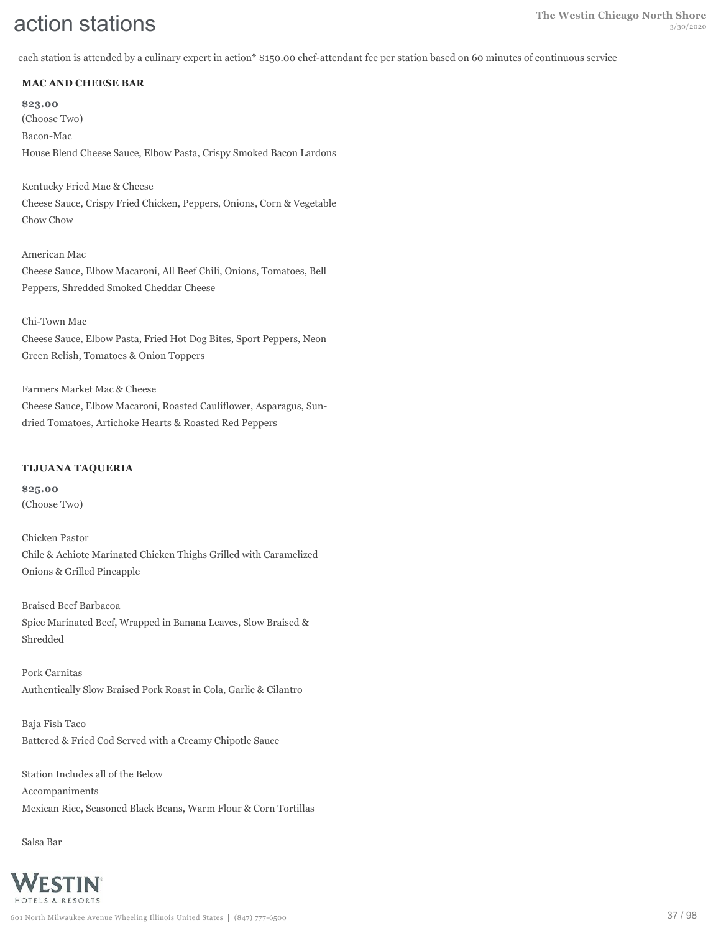each station is attended by a culinary expert in action\* \$150.00 chef-attendant fee per station based on 60 minutes of continuous service

## **MAC AND CHEESE BAR**

**\$23.00** (Choose Two) Bacon-Mac House Blend Cheese Sauce, Elbow Pasta, Crispy Smoked Bacon Lardons

Kentucky Fried Mac & Cheese Cheese Sauce, Crispy Fried Chicken, Peppers, Onions, Corn & Vegetable Chow Chow

American Mac Cheese Sauce, Elbow Macaroni, All Beef Chili, Onions, Tomatoes, Bell Peppers, Shredded Smoked Cheddar Cheese

#### Chi-Town Mac

Cheese Sauce, Elbow Pasta, Fried Hot Dog Bites, Sport Peppers, Neon Green Relish, Tomatoes & Onion Toppers

Farmers Market Mac & Cheese Cheese Sauce, Elbow Macaroni, Roasted Cauliflower, Asparagus, Sundried Tomatoes, Artichoke Hearts & Roasted Red Peppers

#### **TIJUANA TAQUERIA**

**\$25.00** (Choose Two)

Chicken Pastor Chile & Achiote Marinated Chicken Thighs Grilled with Caramelized Onions & Grilled Pineapple

Braised Beef Barbacoa Spice Marinated Beef, Wrapped in Banana Leaves, Slow Braised & Shredded

Pork Carnitas Authentically Slow Braised Pork Roast in Cola, Garlic & Cilantro

Baja Fish Taco Battered & Fried Cod Served with a Creamy Chipotle Sauce

Station Includes all of the Below Accompaniments Mexican Rice, Seasoned Black Beans, Warm Flour & Corn Tortillas

Salsa Bar

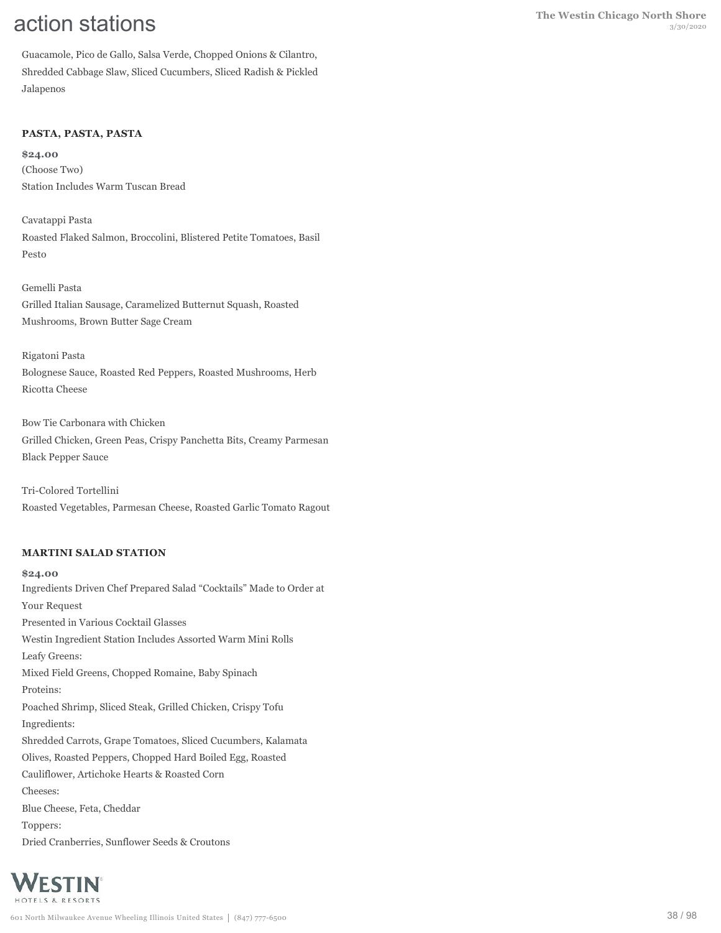Guacamole, Pico de Gallo, Salsa Verde, Chopped Onions & Cilantro, Shredded Cabbage Slaw, Sliced Cucumbers, Sliced Radish & Pickled Jalapenos

# **PASTA, PASTA, PASTA**

**\$24.00** (Choose Two) Station Includes Warm Tuscan Bread

Cavatappi Pasta Roasted Flaked Salmon, Broccolini, Blistered Petite Tomatoes, Basil Pesto

Gemelli Pasta Grilled Italian Sausage, Caramelized Butternut Squash, Roasted Mushrooms, Brown Butter Sage Cream

Rigatoni Pasta Bolognese Sauce, Roasted Red Peppers, Roasted Mushrooms, Herb Ricotta Cheese

Bow Tie Carbonara with Chicken Grilled Chicken, Green Peas, Crispy Panchetta Bits, Creamy Parmesan Black Pepper Sauce

Tri-Colored Tortellini Roasted Vegetables, Parmesan Cheese, Roasted Garlic Tomato Ragout

# **MARTINI SALAD STATION**

**\$24.00** Ingredients Driven Chef Prepared Salad "Cocktails" Made to Order at Your Request Presented in Various Cocktail Glasses Westin Ingredient Station Includes Assorted Warm Mini Rolls Leafy Greens: Mixed Field Greens, Chopped Romaine, Baby Spinach Proteins: Poached Shrimp, Sliced Steak, Grilled Chicken, Crispy Tofu Ingredients: Shredded Carrots, Grape Tomatoes, Sliced Cucumbers, Kalamata Olives, Roasted Peppers, Chopped Hard Boiled Egg, Roasted Cauliflower, Artichoke Hearts & Roasted Corn Cheeses: Blue Cheese, Feta, Cheddar Toppers: Dried Cranberries, Sunflower Seeds & Croutons

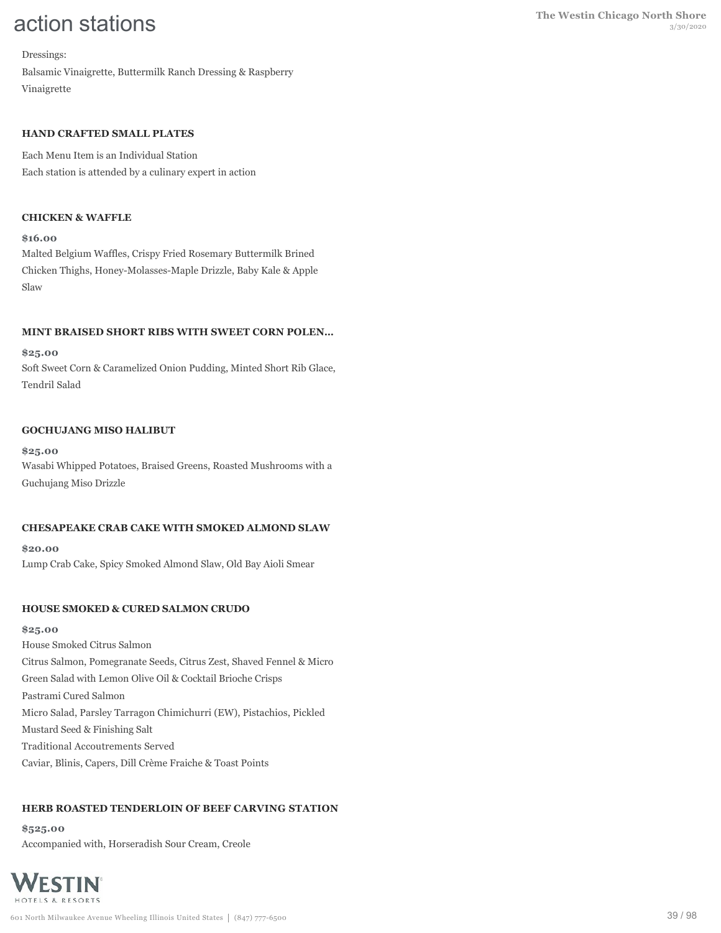Dressings: Balsamic Vinaigrette, Buttermilk Ranch Dressing & Raspberry Vinaigrette

### **HAND CRAFTED SMALL PLATES**

Each Menu Item is an Individual Station Each station is attended by a culinary expert in action

### **CHICKEN & WAFFLE**

#### **\$16.00**

Malted Belgium Waffles, Crispy Fried Rosemary Buttermilk Brined Chicken Thighs, Honey-Molasses-Maple Drizzle, Baby Kale & Apple Slaw

### **MINT BRAISED SHORT RIBS WITH SWEET CORN POLEN…**

#### **\$25.00**

Soft Sweet Corn & Caramelized Onion Pudding, Minted Short Rib Glace, Tendril Salad

#### **GOCHUJANG MISO HALIBUT**

**\$25.00** Wasabi Whipped Potatoes, Braised Greens, Roasted Mushrooms with a Guchujang Miso Drizzle

#### **CHESAPEAKE CRAB CAKE WITH SMOKED ALMOND SLAW**

**\$20.00** Lump Crab Cake, Spicy Smoked Almond Slaw, Old Bay Aioli Smear

#### **HOUSE SMOKED & CURED SALMON CRUDO**

#### **\$25.00**

House Smoked Citrus Salmon Citrus Salmon, Pomegranate Seeds, Citrus Zest, Shaved Fennel & Micro Green Salad with Lemon Olive Oil & Cocktail Brioche Crisps Pastrami Cured Salmon Micro Salad, Parsley Tarragon Chimichurri (EW), Pistachios, Pickled Mustard Seed & Finishing Salt Traditional Accoutrements Served Caviar, Blinis, Capers, Dill Crème Fraiche & Toast Points

# **HERB ROASTED TENDERLOIN OF BEEF CARVING STATION**

**\$525.00** Accompanied with, Horseradish Sour Cream, Creole

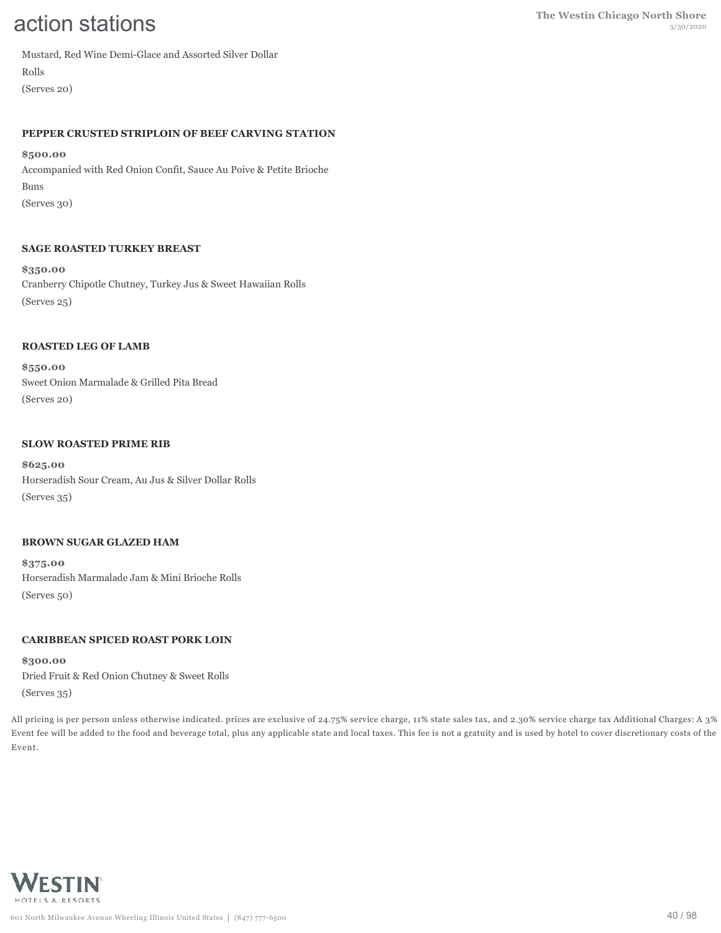Mustard, Red Wine Demi-Glace and Assorted Silver Dollar Rolls

(Serves 20)

#### **PEPPER CRUSTED STRIPLOIN OF BEEF CARVING STATION**

#### **\$500.00**

Accompanied with Red Onion Confit, Sauce Au Poive & Petite Brioche Buns (Serves 30)

# **SAGE ROASTED TURKEY BREAST**

**\$350.00** Cranberry Chipotle Chutney, Turkey Jus & Sweet Hawaiian Rolls (Serves 25)

### **ROASTED LEG OF LAMB**

**\$550.00** Sweet Onion Marmalade & Grilled Pita Bread (Serves 20)

### **SLOW ROASTED PRIME RIB**

**\$625.00** Horseradish Sour Cream, Au Jus & Silver Dollar Rolls (Serves 35)

#### **BROWN SUGAR GLAZED HAM**

**\$375.00** Horseradish Marmalade Jam & Mini Brioche Rolls (Serves 50)

# **CARIBBEAN SPICED ROAST PORK LOIN**

**\$300.00** Dried Fruit & Red Onion Chutney & Sweet Rolls (Serves 35)

All pricing is per person unless otherwise indicated. prices are exclusive of 24.75% service charge, 11% state sales tax, and 2.30% service charge tax Additional Charges: A 3% Event fee will be added to the food and beverage total, plus any applicable state and local taxes. This fee is not a gratuity and is used by hotel to cover discretionary costs of the Event.

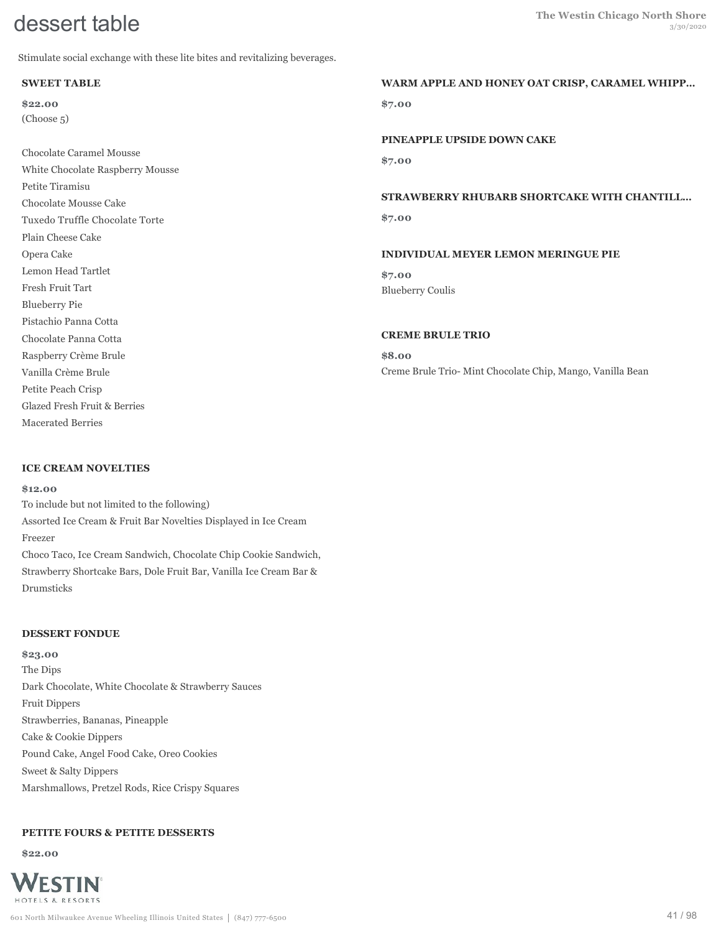Stimulate social exchange with these lite bites and revitalizing beverages.

### **SWEET TABLE**

**\$22.00** (Choose 5)

Chocolate Caramel Mousse White Chocolate Raspberry Mousse Petite Tiramisu Chocolate Mousse Cake Tuxedo Truffle Chocolate Torte Plain Cheese Cake Opera Cake Lemon Head Tartlet Fresh Fruit Tart Blueberry Pie Pistachio Panna Cotta Chocolate Panna Cotta Raspberry Crème Brule Vanilla Crème Brule Petite Peach Crisp Glazed Fresh Fruit & Berries Macerated Berries

### **ICE CREAM NOVELTIES**

#### **\$12.00**

To include but not limited to the following) Assorted Ice Cream & Fruit Bar Novelties Displayed in Ice Cream Freezer Choco Taco, Ice Cream Sandwich, Chocolate Chip Cookie Sandwich, Strawberry Shortcake Bars, Dole Fruit Bar, Vanilla Ice Cream Bar & Drumsticks

#### **DESSERT FONDUE**

**\$23.00** The Dips Dark Chocolate, White Chocolate & Strawberry Sauces Fruit Dippers Strawberries, Bananas, Pineapple Cake & Cookie Dippers Pound Cake, Angel Food Cake, Oreo Cookies Sweet & Salty Dippers Marshmallows, Pretzel Rods, Rice Crispy Squares

# **PETITE FOURS & PETITE DESSERTS**

**\$22.00**



# **WARM APPLE AND HONEY OAT CRISP, CARAMEL WHIPP…**

**\$7.00**

**PINEAPPLE UPSIDE DOWN CAKE**

**\$7.00**

#### **STRAWBERRY RHUBARB SHORTCAKE WITH CHANTILL…**

**\$7.00**

#### **INDIVIDUAL MEYER LEMON MERINGUE PIE**

**\$7.00** Blueberry Coulis

#### **CREME BRULE TRIO**

**\$8.00** Creme Brule Trio- Mint Chocolate Chip, Mango, Vanilla Bean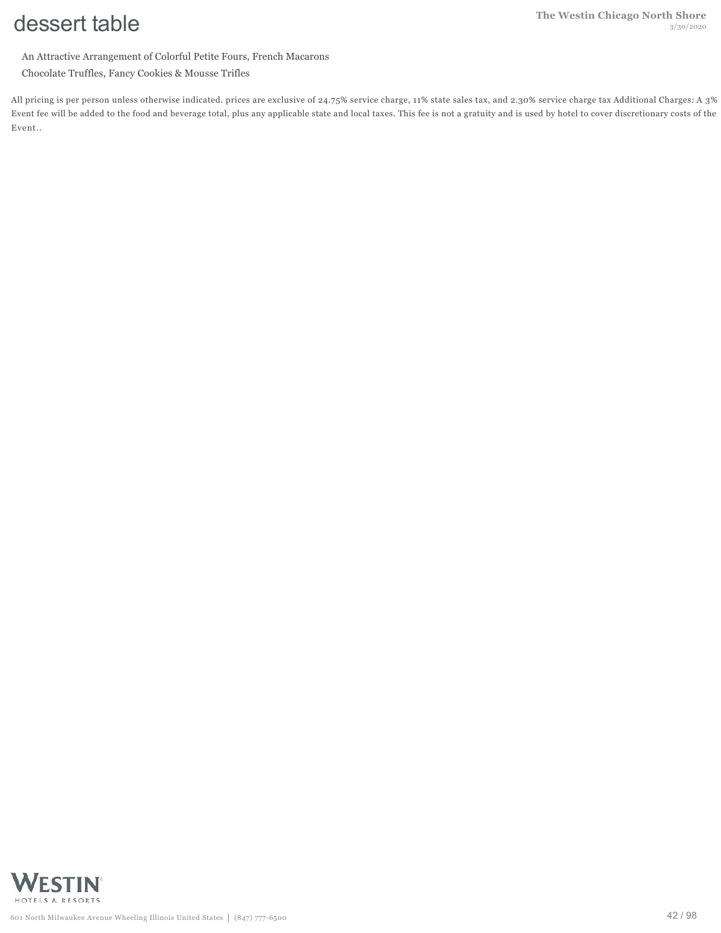An Attractive Arrangement of Colorful Petite Fours, French Macarons

Chocolate Truffles, Fancy Cookies & Mousse Trifles

All pricing is per person unless otherwise indicated. prices are exclusive of 24.75% service charge, 11% state sales tax, and 2.30% service charge tax Additional Charges: A 3% Event fee will be added to the food and beverage total, plus any applicable state and local taxes. This fee is not a gratuity and is used by hotel to cover discretionary costs of the Event..

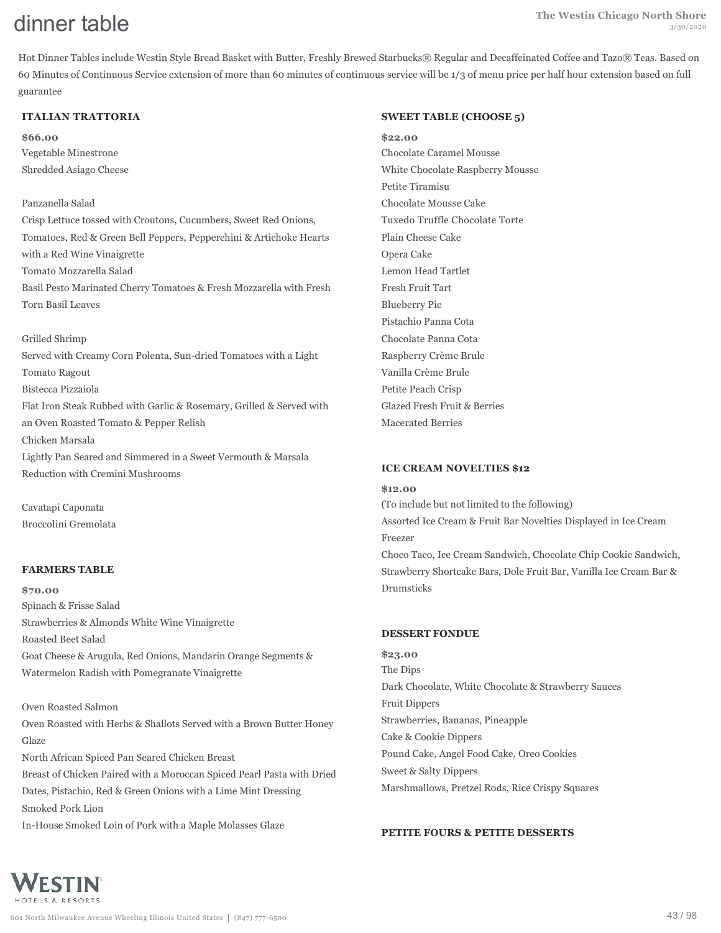Hot Dinner Tables include Westin Style Bread Basket with Butter, Freshly Brewed Starbucks® Regular and Decaffeinated Coffee and Tazo® Teas. Based on 60 Minutes of Continuous Service extension of more than 60 minutes of continuous service will be 1/3 of menu price per half hour extension based on full guarantee

#### **ITALIAN TRATTORIA**

**\$66.00** Vegetable Minestrone Shredded Asiago Cheese

#### Panzanella Salad

Crisp Lettuce tossed with Croutons, Cucumbers, Sweet Red Onions, Tomatoes, Red & Green Bell Peppers, Pepperchini & Artichoke Hearts with a Red Wine Vinaigrette Tomato Mozzarella Salad Basil Pesto Marinated Cherry Tomatoes & Fresh Mozzarella with Fresh Torn Basil Leaves

Grilled Shrimp

Served with Creamy Corn Polenta, Sun-dried Tomatoes with a Light Tomato Ragout Bistecca Pizzaiola Flat Iron Steak Rubbed with Garlic & Rosemary, Grilled & Served with an Oven Roasted Tomato & Pepper Relish Chicken Marsala Lightly Pan Seared and Simmered in a Sweet Vermouth & Marsala Reduction with Cremini Mushrooms

Cavatapi Caponata Broccolini Gremolata

#### **FARMERS TABLE**

**\$70.00** Spinach & Frisse Salad Strawberries & Almonds White Wine Vinaigrette Roasted Beet Salad Goat Cheese & Arugula, Red Onions, Mandarin Orange Segments & Watermelon Radish with Pomegranate Vinaigrette

Oven Roasted Salmon Oven Roasted with Herbs & Shallots Served with a Brown Butter Honey Glaze North African Spiced Pan Seared Chicken Breast Breast of Chicken Paired with a Moroccan Spiced Pearl Pasta with Dried Dates, Pistachio, Red & Green Onions with a Lime Mint Dressing Smoked Pork Lion

In-House Smoked Loin of Pork with a Maple Molasses Glaze

#### **SWEET TABLE (CHOOSE 5)**

**\$22.00** Chocolate Caramel Mousse White Chocolate Raspberry Mousse Petite Tiramisu Chocolate Mousse Cake Tuxedo Truffle Chocolate Torte Plain Cheese Cake Opera Cake Lemon Head Tartlet Fresh Fruit Tart Blueberry Pie Pistachio Panna Cota Chocolate Panna Cota Raspberry Crème Brule Vanilla Crème Brule Petite Peach Crisp Glazed Fresh Fruit & Berries Macerated Berries

#### **ICE CREAM NOVELTIES \$12**

#### **\$12.00**

(To include but not limited to the following) Assorted Ice Cream & Fruit Bar Novelties Displayed in Ice Cream Freezer Choco Taco, Ice Cream Sandwich, Chocolate Chip Cookie Sandwich, Strawberry Shortcake Bars, Dole Fruit Bar, Vanilla Ice Cream Bar & Drumsticks

#### **DESSERT FONDUE**

**\$23.00** The Dips Dark Chocolate, White Chocolate & Strawberry Sauces Fruit Dippers Strawberries, Bananas, Pineapple Cake & Cookie Dippers Pound Cake, Angel Food Cake, Oreo Cookies Sweet & Salty Dippers Marshmallows, Pretzel Rods, Rice Crispy Squares

#### **PETITE FOURS & PETITE DESSERTS**

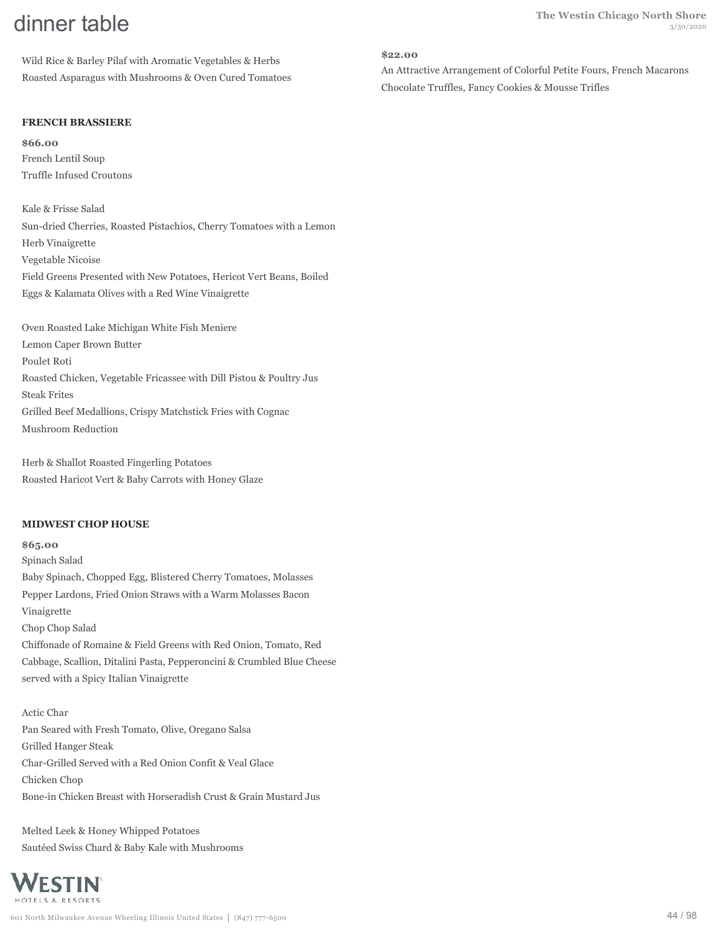Wild Rice & Barley Pilaf with Aromatic Vegetables & Herbs Roasted Asparagus with Mushrooms & Oven Cured Tomatoes

# **FRENCH BRASSIERE**

**\$66.00** French Lentil Soup Truffle Infused Croutons

Kale & Frisse Salad Sun-dried Cherries, Roasted Pistachios, Cherry Tomatoes with a Lemon Herb Vinaigrette Vegetable Nicoise Field Greens Presented with New Potatoes, Hericot Vert Beans, Boiled Eggs & Kalamata Olives with a Red Wine Vinaigrette

Oven Roasted Lake Michigan White Fish Meniere Lemon Caper Brown Butter Poulet Roti Roasted Chicken, Vegetable Fricassee with Dill Pistou & Poultry Jus Steak Frites Grilled Beef Medallions, Crispy Matchstick Fries with Cognac Mushroom Reduction

Herb & Shallot Roasted Fingerling Potatoes Roasted Haricot Vert & Baby Carrots with Honey Glaze

# **MIDWEST CHOP HOUSE**

**\$65.00** Spinach Salad Baby Spinach, Chopped Egg, Blistered Cherry Tomatoes, Molasses Pepper Lardons, Fried Onion Straws with a Warm Molasses Bacon Vinaigrette Chop Chop Salad Chiffonade of Romaine & Field Greens with Red Onion, Tomato, Red Cabbage, Scallion, Ditalini Pasta, Pepperoncini & Crumbled Blue Cheese served with a Spicy Italian Vinaigrette

# Actic Char

Pan Seared with Fresh Tomato, Olive, Oregano Salsa Grilled Hanger Steak Char-Grilled Served with a Red Onion Confit & Veal Glace Chicken Chop Bone-in Chicken Breast with Horseradish Crust & Grain Mustard Jus

Melted Leek & Honey Whipped Potatoes Sautéed Swiss Chard & Baby Kale with Mushrooms

# WESTIN HOTELS & RESORTS

#### **\$22.00**

An Attractive Arrangement of Colorful Petite Fours, French Macarons Chocolate Truffles, Fancy Cookies & Mousse Trifles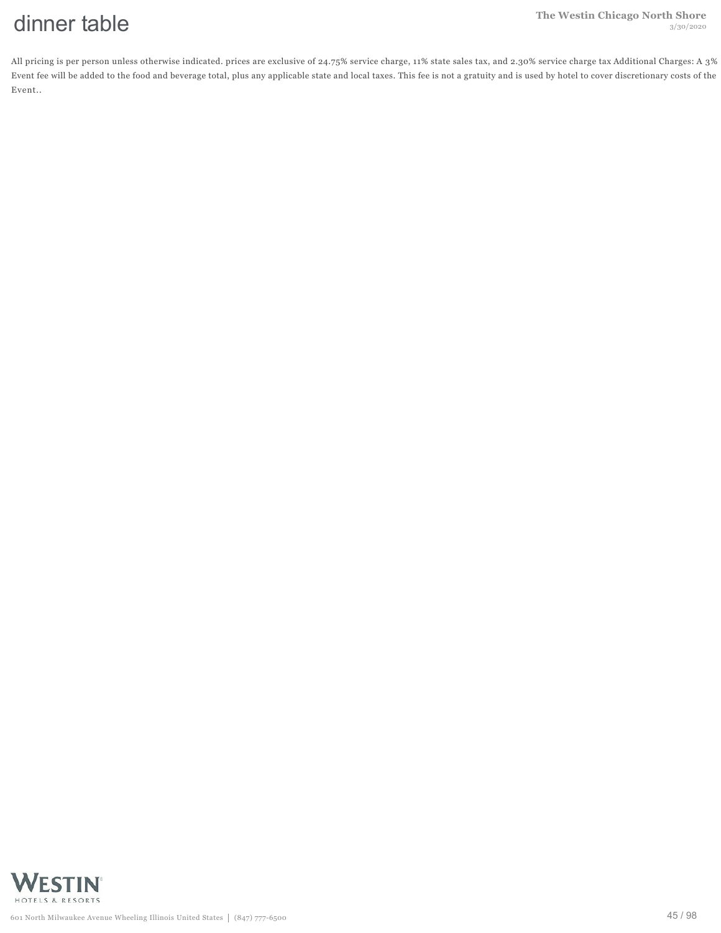All pricing is per person unless otherwise indicated. prices are exclusive of 24.75% service charge, 11% state sales tax, and 2.30% service charge tax Additional Charges: A 3% Event fee will be added to the food and beverage total, plus any applicable state and local taxes. This fee is not a gratuity and is used by hotel to cover discretionary costs of the Event..

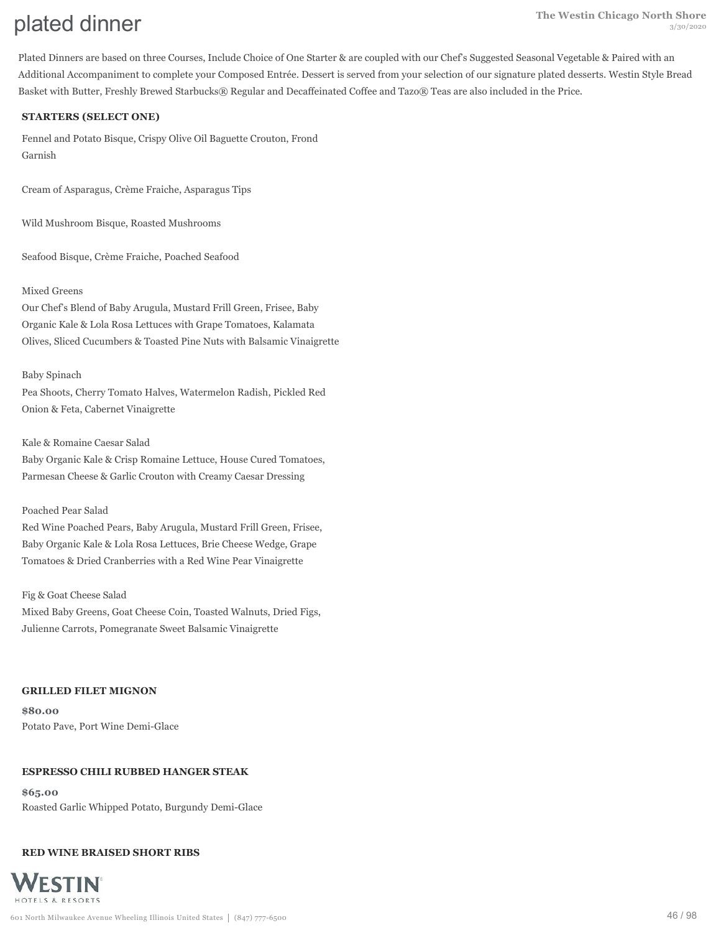Plated Dinners are based on three Courses, Include Choice of One Starter & are coupled with our Chef's Suggested Seasonal Vegetable & Paired with an Additional Accompaniment to complete your Composed Entrée. Dessert is served from your selection of our signature plated desserts. Westin Style Bread Basket with Butter, Freshly Brewed Starbucks® Regular and Decaffeinated Coffee and Tazo® Teas are also included in the Price.

### **STARTERS (SELECT ONE)**

Fennel and Potato Bisque, Crispy Olive Oil Baguette Crouton, Frond Garnish

Cream of Asparagus, Crème Fraiche, Asparagus Tips

Wild Mushroom Bisque, Roasted Mushrooms

Seafood Bisque, Crème Fraiche, Poached Seafood

### Mixed Greens

Our Chef's Blend of Baby Arugula, Mustard Frill Green, Frisee, Baby Organic Kale & Lola Rosa Lettuces with Grape Tomatoes, Kalamata Olives, Sliced Cucumbers & Toasted Pine Nuts with Balsamic Vinaigrette

#### Baby Spinach

Pea Shoots, Cherry Tomato Halves, Watermelon Radish, Pickled Red Onion & Feta, Cabernet Vinaigrette

Kale & Romaine Caesar Salad

Baby Organic Kale & Crisp Romaine Lettuce, House Cured Tomatoes, Parmesan Cheese & Garlic Crouton with Creamy Caesar Dressing

#### Poached Pear Salad

Red Wine Poached Pears, Baby Arugula, Mustard Frill Green, Frisee, Baby Organic Kale & Lola Rosa Lettuces, Brie Cheese Wedge, Grape Tomatoes & Dried Cranberries with a Red Wine Pear Vinaigrette

#### Fig & Goat Cheese Salad

Mixed Baby Greens, Goat Cheese Coin, Toasted Walnuts, Dried Figs, Julienne Carrots, Pomegranate Sweet Balsamic Vinaigrette

#### **GRILLED FILET MIGNON**

**\$80.00** Potato Pave, Port Wine Demi-Glace

#### **ESPRESSO CHILI RUBBED HANGER STEAK**

**\$65.00** Roasted Garlic Whipped Potato, Burgundy Demi-Glace

#### **RED WINE BRAISED SHORT RIBS**

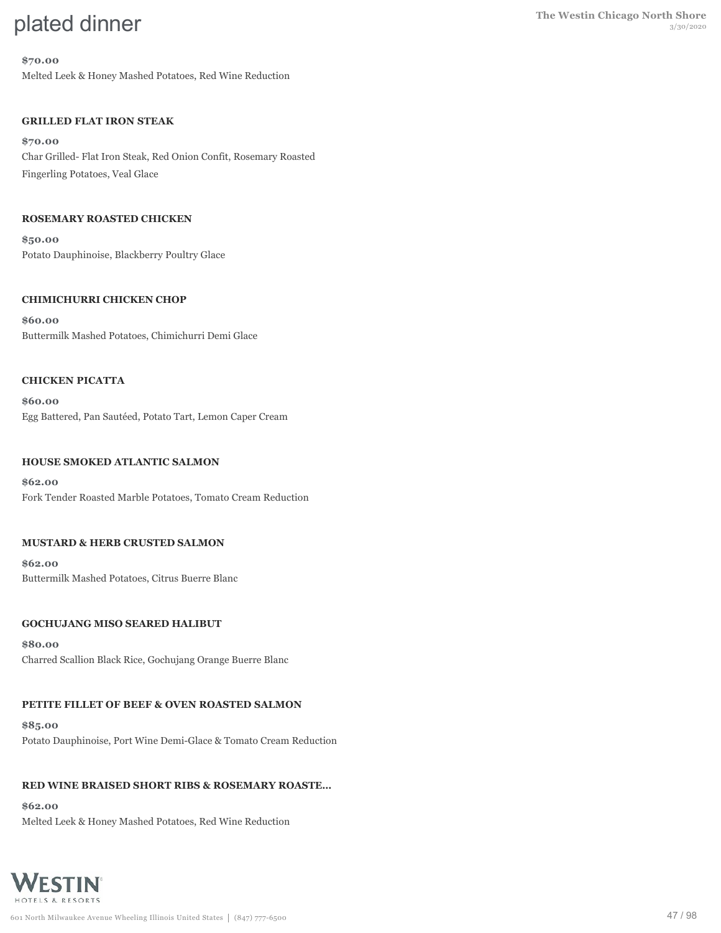#### **\$70.00**

Melted Leek & Honey Mashed Potatoes, Red Wine Reduction

### **GRILLED FLAT IRON STEAK**

**\$70.00** Char Grilled- Flat Iron Steak, Red Onion Confit, Rosemary Roasted Fingerling Potatoes, Veal Glace

#### **ROSEMARY ROASTED CHICKEN**

**\$50.00** Potato Dauphinoise, Blackberry Poultry Glace

#### **CHIMICHURRI CHICKEN CHOP**

**\$60.00** Buttermilk Mashed Potatoes, Chimichurri Demi Glace

#### **CHICKEN PICATTA**

**\$60.00** Egg Battered, Pan Sautéed, Potato Tart, Lemon Caper Cream

#### **HOUSE SMOKED ATLANTIC SALMON**

**\$62.00** Fork Tender Roasted Marble Potatoes, Tomato Cream Reduction

#### **MUSTARD & HERB CRUSTED SALMON**

**\$62.00** Buttermilk Mashed Potatoes, Citrus Buerre Blanc

### **GOCHUJANG MISO SEARED HALIBUT**

**\$80.00** Charred Scallion Black Rice, Gochujang Orange Buerre Blanc

# **PETITE FILLET OF BEEF & OVEN ROASTED SALMON**

**\$85.00** Potato Dauphinoise, Port Wine Demi-Glace & Tomato Cream Reduction

# **RED WINE BRAISED SHORT RIBS & ROSEMARY ROASTE…**

**\$62.00** Melted Leek & Honey Mashed Potatoes, Red Wine Reduction

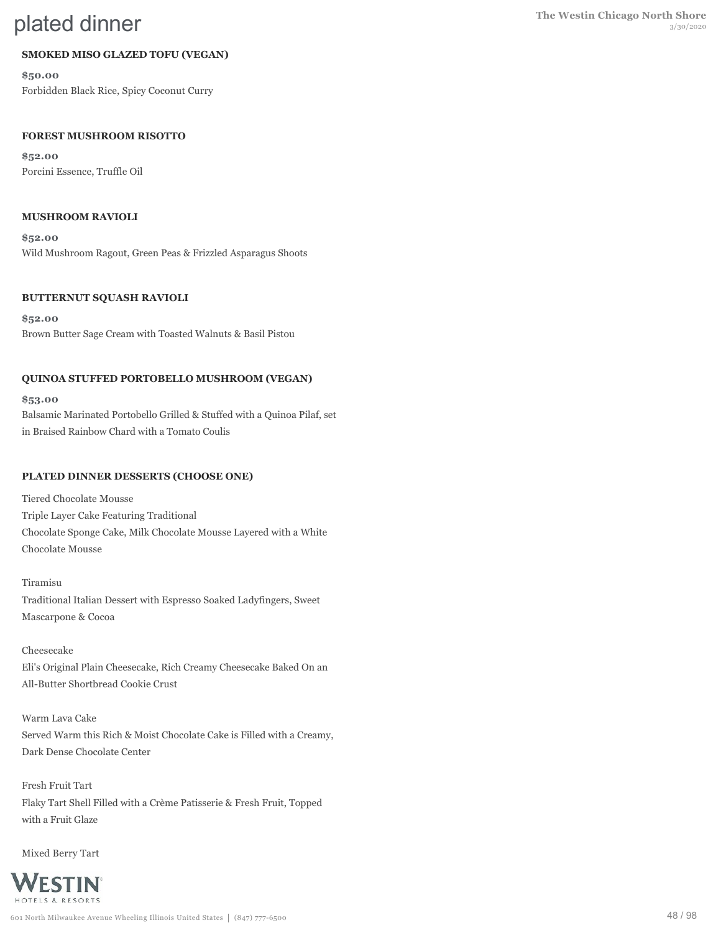### **SMOKED MISO GLAZED TOFU (VEGAN)**

**\$50.00** Forbidden Black Rice, Spicy Coconut Curry

#### **FOREST MUSHROOM RISOTTO**

**\$52.00** Porcini Essence, Truffle Oil

#### **MUSHROOM RAVIOLI**

**\$52.00** Wild Mushroom Ragout, Green Peas & Frizzled Asparagus Shoots

#### **BUTTERNUT SQUASH RAVIOLI**

**\$52.00** Brown Butter Sage Cream with Toasted Walnuts & Basil Pistou

#### **QUINOA STUFFED PORTOBELLO MUSHROOM (VEGAN)**

**\$53.00**

Balsamic Marinated Portobello Grilled & Stuffed with a Quinoa Pilaf, set in Braised Rainbow Chard with a Tomato Coulis

#### **PLATED DINNER DESSERTS (CHOOSE ONE)**

Tiered Chocolate Mousse Triple Layer Cake Featuring Traditional Chocolate Sponge Cake, Milk Chocolate Mousse Layered with a White Chocolate Mousse

Tiramisu Traditional Italian Dessert with Espresso Soaked Ladyfingers, Sweet Mascarpone & Cocoa

Cheesecake Eli's Original Plain Cheesecake, Rich Creamy Cheesecake Baked On an All-Butter Shortbread Cookie Crust

Warm Lava Cake Served Warm this Rich & Moist Chocolate Cake is Filled with a Creamy, Dark Dense Chocolate Center

Fresh Fruit Tart Flaky Tart Shell Filled with a Crème Patisserie & Fresh Fruit, Topped with a Fruit Glaze

Mixed Berry Tart

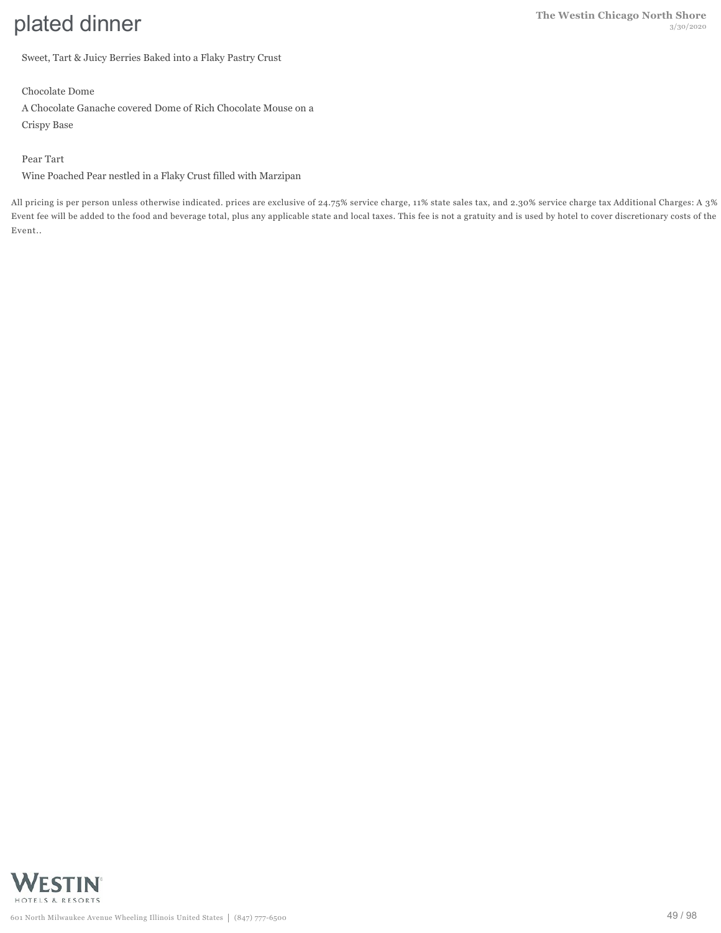Sweet, Tart & Juicy Berries Baked into a Flaky Pastry Crust

Chocolate Dome

A Chocolate Ganache covered Dome of Rich Chocolate Mouse on a Crispy Base

### Pear Tart

Wine Poached Pear nestled in a Flaky Crust filled with Marzipan

All pricing is per person unless otherwise indicated. prices are exclusive of 24.75% service charge, 11% state sales tax, and 2.30% service charge tax Additional Charges: A 3% Event fee will be added to the food and beverage total, plus any applicable state and local taxes. This fee is not a gratuity and is used by hotel to cover discretionary costs of the Event..

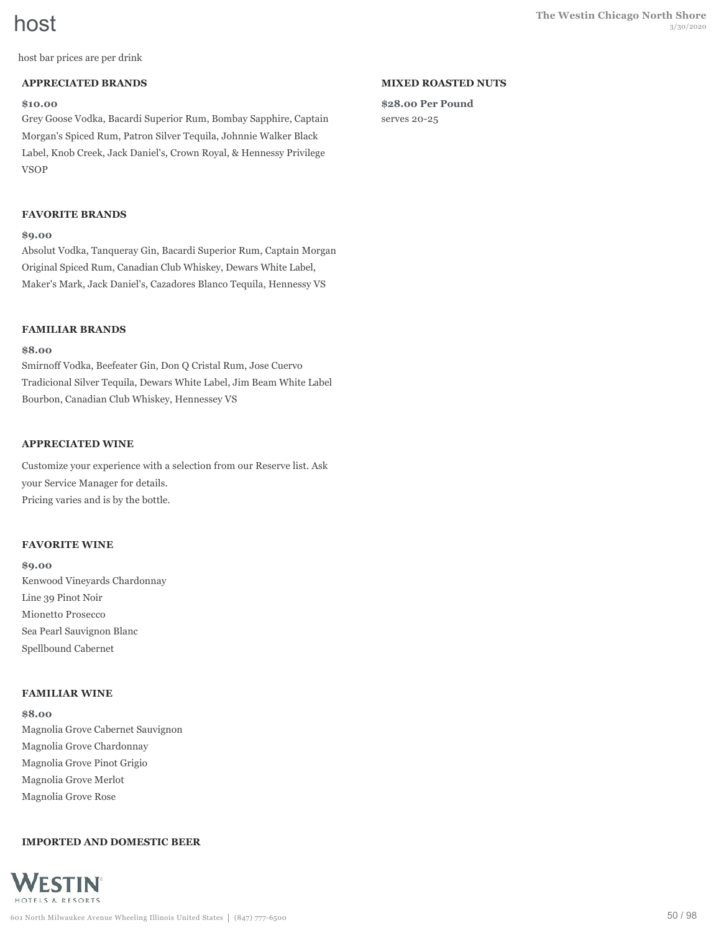host bar prices are per drink

#### **APPRECIATED BRANDS**

#### **\$10.00**

Grey Goose Vodka, Bacardi Superior Rum, Bombay Sapphire, Captain Morgan's Spiced Rum, Patron Silver Tequila, Johnnie Walker Black Label, Knob Creek, Jack Daniel's, Crown Royal, & Hennessy Privilege VSOP

### **FAVORITE BRANDS**

#### **\$9.00**

Absolut Vodka, Tanqueray Gin, Bacardi Superior Rum, Captain Morgan Original Spiced Rum, Canadian Club Whiskey, Dewars White Label, Maker's Mark, Jack Daniel's, Cazadores Blanco Tequila, Hennessy VS

#### **FAMILIAR BRANDS**

### **\$8.00**

Smirnoff Vodka, Beefeater Gin, Don Q Cristal Rum, Jose Cuervo Tradicional Silver Tequila, Dewars White Label, Jim Beam White Label Bourbon, Canadian Club Whiskey, Hennessey VS

### **APPRECIATED WINE**

Customize your experience with a selection from our Reserve list. Ask your Service Manager for details. Pricing varies and is by the bottle.

#### **FAVORITE WINE**

**\$9.00** Kenwood Vineyards Chardonnay Line 39 Pinot Noir Mionetto Prosecco Sea Pearl Sauvignon Blanc Spellbound Cabernet

#### **FAMILIAR WINE**

**\$8.00** Magnolia Grove Cabernet Sauvignon Magnolia Grove Chardonnay Magnolia Grove Pinot Grigio Magnolia Grove Merlot Magnolia Grove Rose

#### **IMPORTED AND DOMESTIC BEER**



#### **MIXED ROASTED NUTS**

**\$28.00 Per Pound** serves 20-25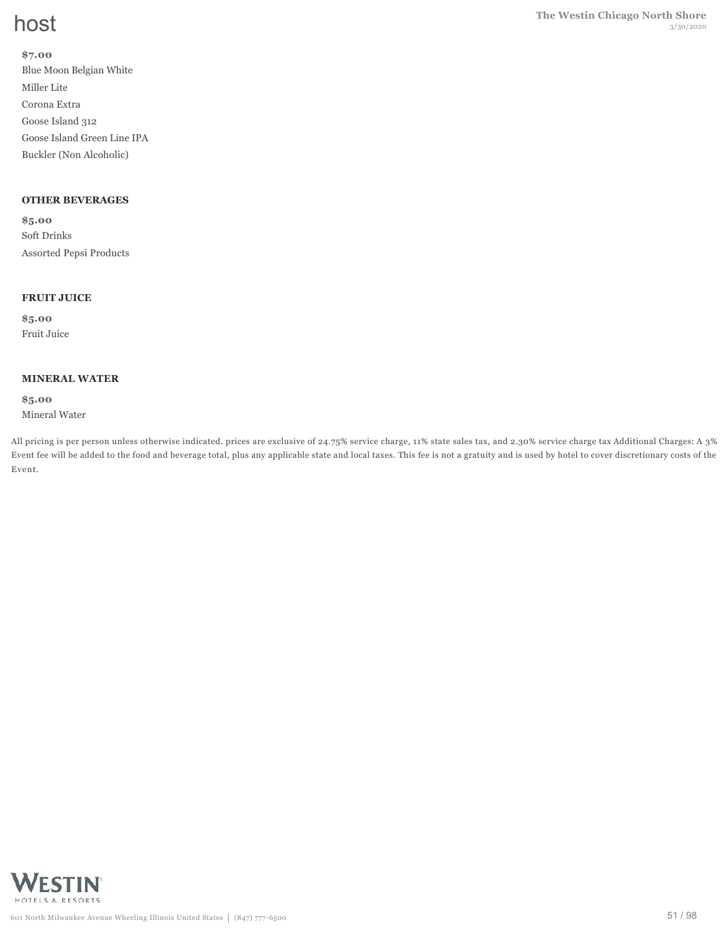#### **\$7.00**

Blue Moon Belgian White Miller Lite Corona Extra Goose Island 312 Goose Island Green Line IPA Buckler (Non Alcoholic)

### **OTHER BEVERAGES**

**\$5.00** Soft Drinks Assorted Pepsi Products

#### **FRUIT JUICE**

**\$5.00** Fruit Juice

#### **MINERAL WATER**

**\$5.00** Mineral Water

All pricing is per person unless otherwise indicated. prices are exclusive of 24.75% service charge, 11% state sales tax, and 2.30% service charge tax Additional Charges: A 3% Event fee will be added to the food and beverage total, plus any applicable state and local taxes. This fee is not a gratuity and is used by hotel to cover discretionary costs of the Event.

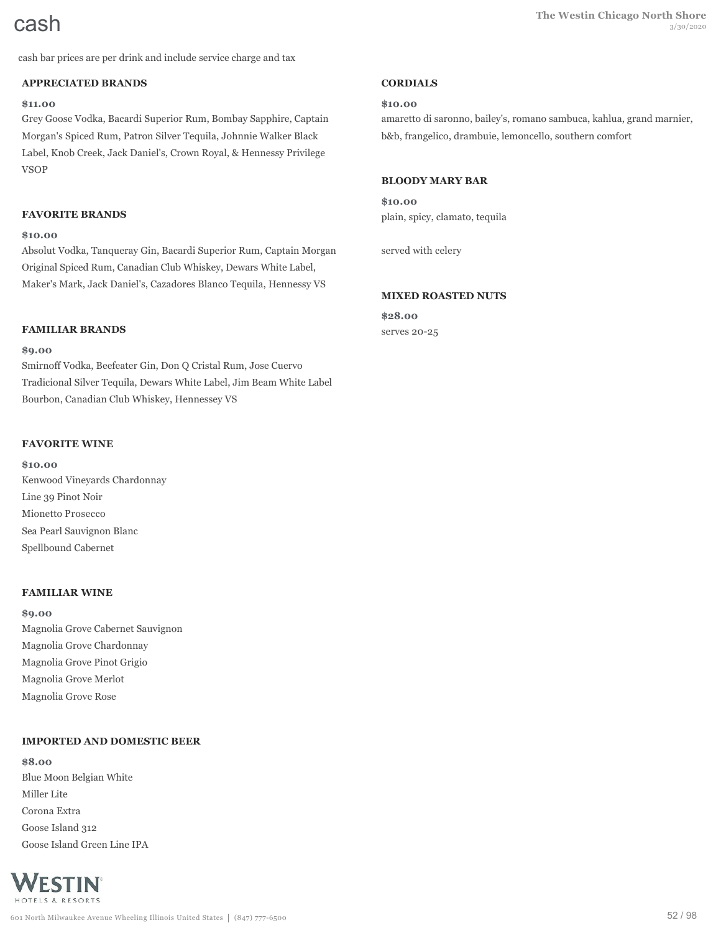cash bar prices are per drink and include service charge and tax

#### **APPRECIATED BRANDS**

### **\$11.00**

Grey Goose Vodka, Bacardi Superior Rum, Bombay Sapphire, Captain Morgan's Spiced Rum, Patron Silver Tequila, Johnnie Walker Black Label, Knob Creek, Jack Daniel's, Crown Royal, & Hennessy Privilege VSOP

#### **FAVORITE BRANDS**

#### **\$10.00**

Absolut Vodka, Tanqueray Gin, Bacardi Superior Rum, Captain Morgan Original Spiced Rum, Canadian Club Whiskey, Dewars White Label, Maker's Mark, Jack Daniel's, Cazadores Blanco Tequila, Hennessy VS

#### **FAMILIAR BRANDS**

#### **\$9.00**

Smirnoff Vodka, Beefeater Gin, Don Q Cristal Rum, Jose Cuervo Tradicional Silver Tequila, Dewars White Label, Jim Beam White Label Bourbon, Canadian Club Whiskey, Hennessey VS

#### **FAVORITE WINE**

**\$10.00** Kenwood Vineyards Chardonnay Line 39 Pinot Noir Mionetto Prosecco Sea Pearl Sauvignon Blanc Spellbound Cabernet

#### **FAMILIAR WINE**

**\$9.00** Magnolia Grove Cabernet Sauvignon Magnolia Grove Chardonnay Magnolia Grove Pinot Grigio Magnolia Grove Merlot Magnolia Grove Rose

#### **IMPORTED AND DOMESTIC BEER**

**\$8.00** Blue Moon Belgian White Miller Lite Corona Extra Goose Island 312 Goose Island Green Line IPA



#### **CORDIALS**

#### **\$10.00**

amaretto di saronno, bailey's, romano sambuca, kahlua, grand marnier, b&b, frangelico, drambuie, lemoncello, southern comfort

#### **BLOODY MARY BAR**

**\$10.00** plain, spicy, clamato, tequila

served with celery

#### **MIXED ROASTED NUTS**

**\$28.00** serves 20-25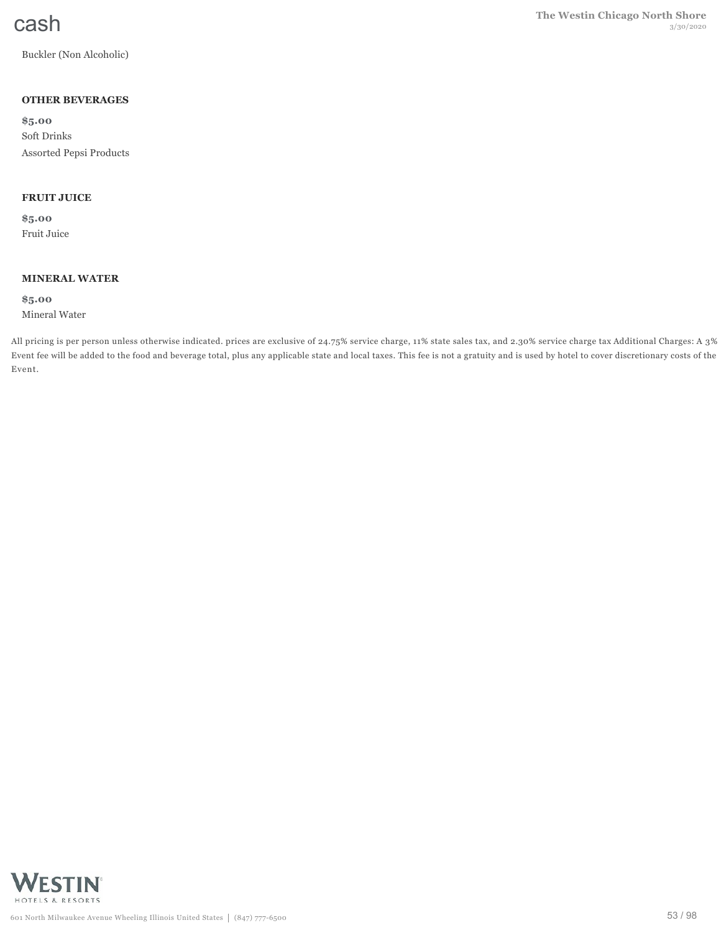Buckler (Non Alcoholic)

### **OTHER BEVERAGES**

**\$5.00** Soft Drinks Assorted Pepsi Products

### **FRUIT JUICE**

**\$5.00** Fruit Juice

#### **MINERAL WATER**

**\$5.00** Mineral Water

All pricing is per person unless otherwise indicated. prices are exclusive of 24.75% service charge, 11% state sales tax, and 2.30% service charge tax Additional Charges: A 3% Event fee will be added to the food and beverage total, plus any applicable state and local taxes. This fee is not a gratuity and is used by hotel to cover discretionary costs of the Event.

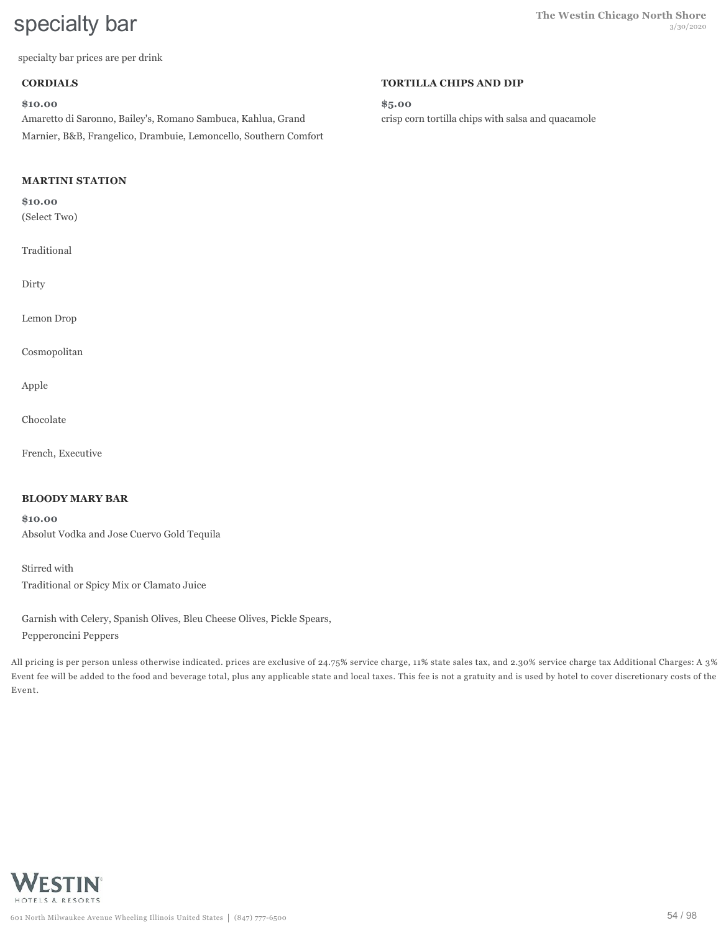specialty bar prices are per drink

#### **CORDIALS**

#### **\$10.00**

Amaretto di Saronno, Bailey's, Romano Sambuca, Kahlua, Grand Marnier, B&B, Frangelico, Drambuie, Lemoncello, Southern Comfort

### **MARTINI STATION**

#### **\$10.00**

(Select Two)

Traditional

Dirty

Lemon Drop

Cosmopolitan

Apple

Chocolate

French, Executive

#### **BLOODY MARY BAR**

**\$10.00** Absolut Vodka and Jose Cuervo Gold Tequila

Stirred with Traditional or Spicy Mix or Clamato Juice

Garnish with Celery, Spanish Olives, Bleu Cheese Olives, Pickle Spears, Pepperoncini Peppers

All pricing is per person unless otherwise indicated. prices are exclusive of 24.75% service charge, 11% state sales tax, and 2.30% service charge tax Additional Charges: A 3% Event fee will be added to the food and beverage total, plus any applicable state and local taxes. This fee is not a gratuity and is used by hotel to cover discretionary costs of the Event.



### 601 North Milwaukee Avenue Wheeling Illinois United States | (847) 777-6500

#### **TORTILLA CHIPS AND DIP**

**\$5.00** crisp corn tortilla chips with salsa and quacamole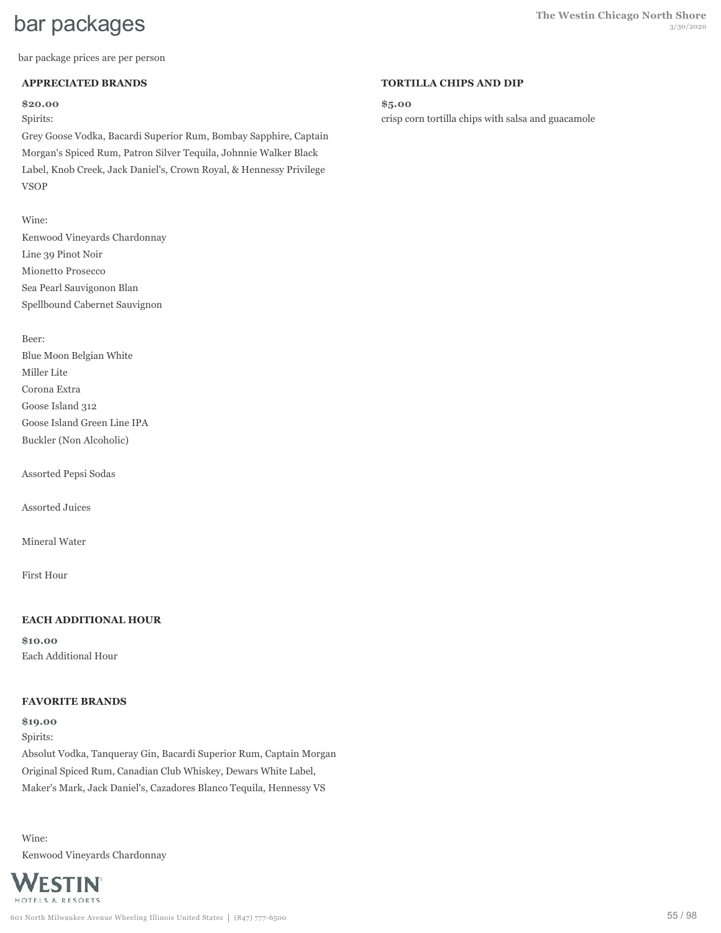bar package prices are per person

### **APPRECIATED BRANDS**

#### **\$20.00**

Spirits:

Grey Goose Vodka, Bacardi Superior Rum, Bombay Sapphire, Captain Morgan's Spiced Rum, Patron Silver Tequila, Johnnie Walker Black Label, Knob Creek, Jack Daniel's, Crown Royal, & Hennessy Privilege VSOP

### Wine:

Kenwood Vineyards Chardonnay Line 39 Pinot Noir Mionetto Prosecco Sea Pearl Sauvigonon Blan Spellbound Cabernet Sauvignon

Beer:

Blue Moon Belgian White Miller Lite Corona Extra Goose Island 312 Goose Island Green Line IPA Buckler (Non Alcoholic)

Assorted Pepsi Sodas

Assorted Juices

Mineral Water

First Hour

# **EACH ADDITIONAL HOUR**

**\$10.00** Each Additional Hour

# **FAVORITE BRANDS**

**\$19.00** Spirits: Absolut Vodka, Tanqueray Gin, Bacardi Superior Rum, Captain Morgan Original Spiced Rum, Canadian Club Whiskey, Dewars White Label, Maker's Mark, Jack Daniel's, Cazadores Blanco Tequila, Hennessy VS

Wine: Kenwood Vineyards Chardonnay



#### **TORTILLA CHIPS AND DIP**

**\$5.00**

crisp corn tortilla chips with salsa and guacamole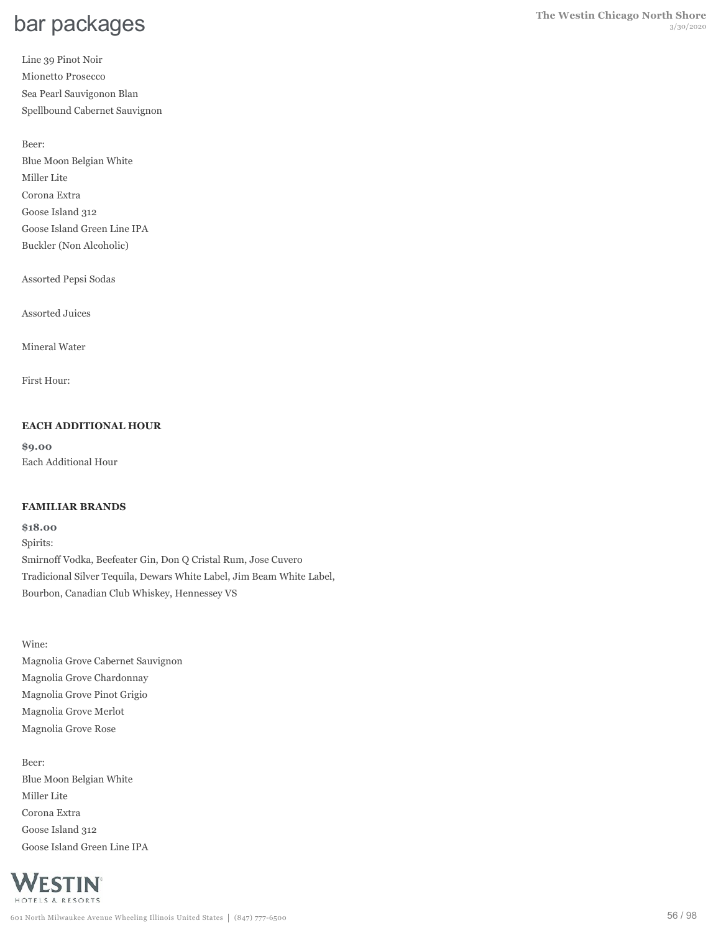Line 39 Pinot Noir Mionetto Prosecco Sea Pearl Sauvigonon Blan Spellbound Cabernet Sauvignon

Beer: Blue Moon Belgian White Miller Lite Corona Extra Goose Island 312 Goose Island Green Line IPA Buckler (Non Alcoholic)

Assorted Pepsi Sodas

Assorted Juices

Mineral Water

First Hour:

#### **EACH ADDITIONAL HOUR**

**\$9.00** Each Additional Hour

#### **FAMILIAR BRANDS**

**\$18.00**

Spirits: Smirnoff Vodka, Beefeater Gin, Don Q Cristal Rum, Jose Cuvero Tradicional Silver Tequila, Dewars White Label, Jim Beam White Label, Bourbon, Canadian Club Whiskey, Hennessey VS

Wine: Magnolia Grove Cabernet Sauvignon Magnolia Grove Chardonnay Magnolia Grove Pinot Grigio Magnolia Grove Merlot Magnolia Grove Rose

Beer: Blue Moon Belgian White Miller Lite Corona Extra Goose Island 312 Goose Island Green Line IPA

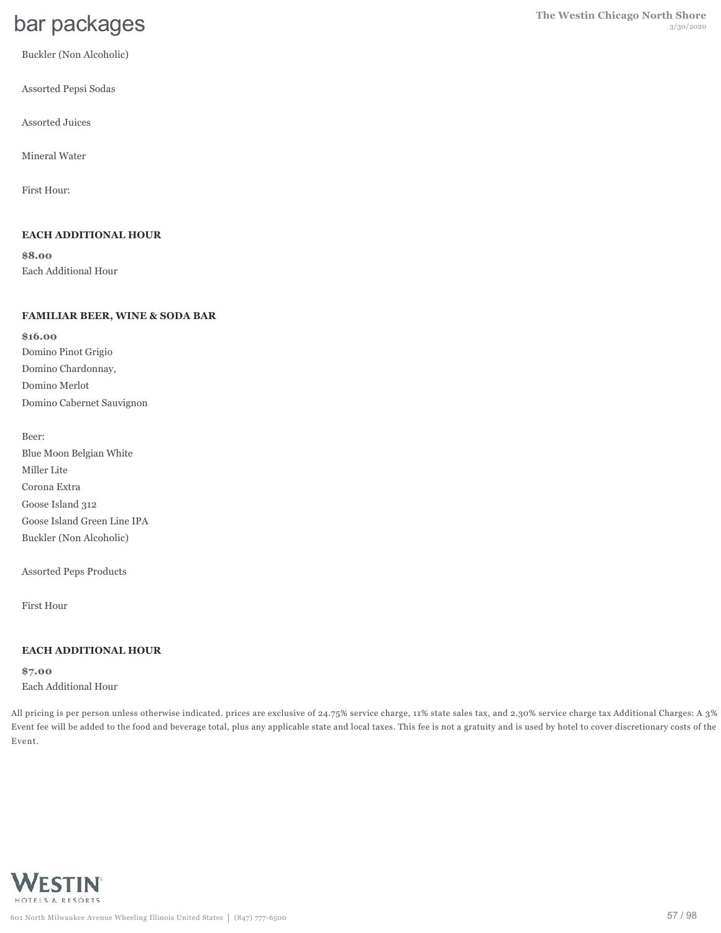Buckler (Non Alcoholic)

Assorted Pepsi Sodas

Assorted Juices

Mineral Water

First Hour:

### **EACH ADDITIONAL HOUR**

**\$8.00** Each Additional Hour

#### **FAMILIAR BEER, WINE & SODA BAR**

**\$16.00** Domino Pinot Grigio Domino Chardonnay, Domino Merlot Domino Cabernet Sauvignon

Beer: Blue Moon Belgian White Miller Lite Corona Extra Goose Island 312 Goose Island Green Line IPA Buckler (Non Alcoholic)

Assorted Peps Products

First Hour

#### **EACH ADDITIONAL HOUR**

**\$7.00** Each Additional Hour

All pricing is per person unless otherwise indicated. prices are exclusive of 24.75% service charge, 11% state sales tax, and 2.30% service charge tax Additional Charges: A 3% Event fee will be added to the food and beverage total, plus any applicable state and local taxes. This fee is not a gratuity and is used by hotel to cover discretionary costs of the Event.

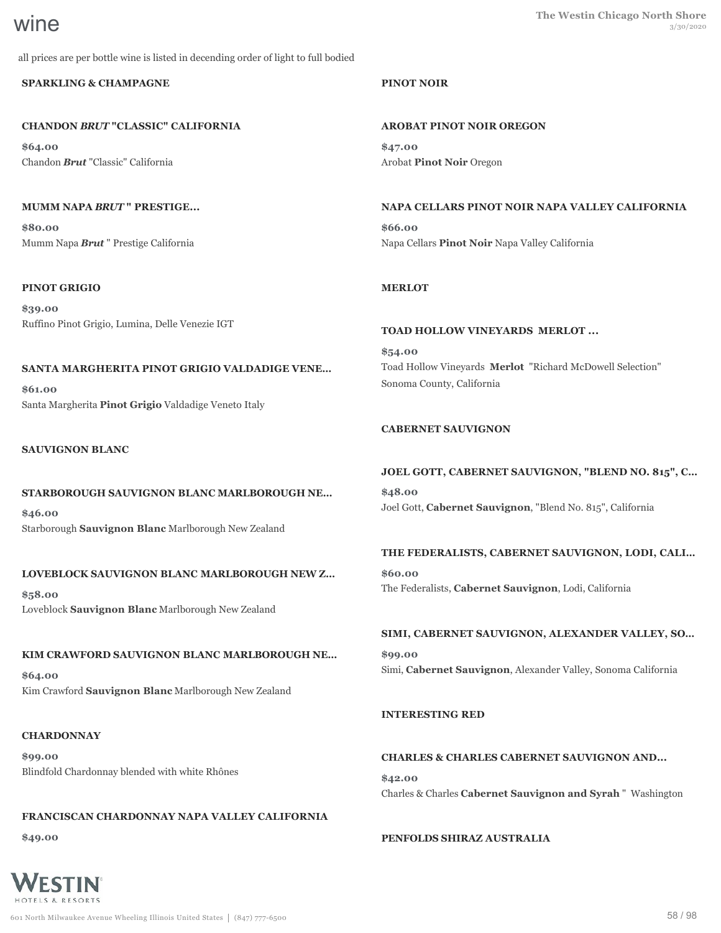all prices are per bottle wine is listed in decending order of light to full bodied

# **SPARKLING & CHAMPAGNE**

# **CHANDON** *BRUT* **"CLASSIC" CALIFORNIA**

**\$64.00** Chandon *Brut* "Classic" California

# **MUMM NAPA** *BRUT* **" PRESTIGE...**

**\$80.00** Mumm Napa *Brut* " Prestige California

# **PINOT GRIGIO**

**\$39.00** Ruffino Pinot Grigio, Lumina, Delle Venezie IGT

# **SANTA MARGHERITA PINOT GRIGIO VALDADIGE VENE…**

**\$61.00** Santa Margherita **Pinot Grigio** Valdadige Veneto Italy

# **SAUVIGNON BLANC**

# **STARBOROUGH SAUVIGNON BLANC MARLBOROUGH NE…**

**\$46.00** Starborough **Sauvignon Blanc** Marlborough New Zealand

# **LOVEBLOCK SAUVIGNON BLANC MARLBOROUGH NEW Z…**

**\$58.00** Loveblock **Sauvignon Blanc** Marlborough New Zealand

# **KIM CRAWFORD SAUVIGNON BLANC MARLBOROUGH NE…**

**\$64.00** Kim Crawford **Sauvignon Blanc** Marlborough New Zealand

# **CHARDONNAY**

**\$99.00** Blindfold Chardonnay blended with white Rhônes

# **FRANCISCAN CHARDONNAY NAPA VALLEY CALIFORNIA**

**\$49.00**



# **PINOT NOIR**

**AROBAT PINOT NOIR OREGON \$47.00**

Arobat **Pinot Noir** Oregon

# **NAPA CELLARS PINOT NOIR NAPA VALLEY CALIFORNIA**

**\$66.00** Napa Cellars **Pinot Noir** Napa Valley California

# **MERLOT**

# **TOAD HOLLOW VINEYARDS MERLOT ...**

**\$54.00** Toad Hollow Vineyards **Merlot** "Richard McDowell Selection" Sonoma County, California

# **CABERNET SAUVIGNON**

# **JOEL GOTT, CABERNET SAUVIGNON, "BLEND NO. 815", C…**

**\$48.00** Joel Gott, **Cabernet Sauvignon**, "Blend No. 815", California

# **THE FEDERALISTS, CABERNET SAUVIGNON, LODI, CALI…**

**\$60.00** The Federalists, **Cabernet Sauvignon**, Lodi, California

# **SIMI, CABERNET SAUVIGNON, ALEXANDER VALLEY, SO…**

**\$99.00** Simi, **Cabernet Sauvignon**, Alexander Valley, Sonoma California

# **INTERESTING RED**

# **CHARLES & CHARLES CABERNET SAUVIGNON AND...**

**\$42.00** Charles & Charles **Cabernet Sauvignon and Syrah** " Washington

# **PENFOLDS SHIRAZ AUSTRALIA**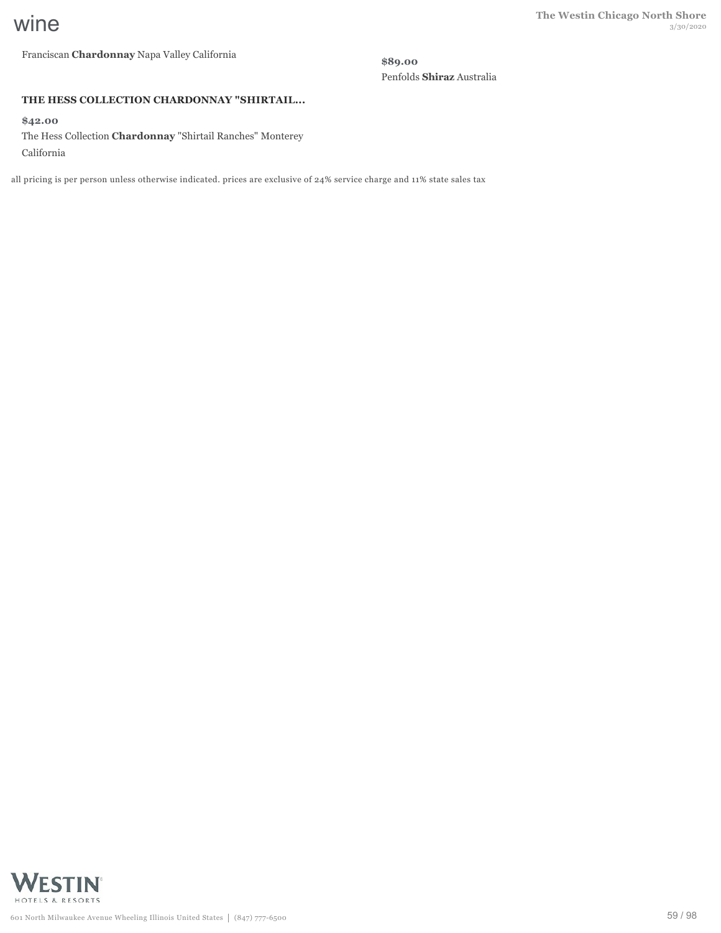Franciscan **Chardonnay** Napa Valley California

**\$89.00** Penfolds **Shiraz** Australia

#### **THE HESS COLLECTION CHARDONNAY "SHIRTAIL...**

**\$42.00**

The Hess Collection **Chardonnay** "Shirtail Ranches" Monterey California

all pricing is per person unless otherwise indicated. prices are exclusive of 24% service charge and 11% state sales tax

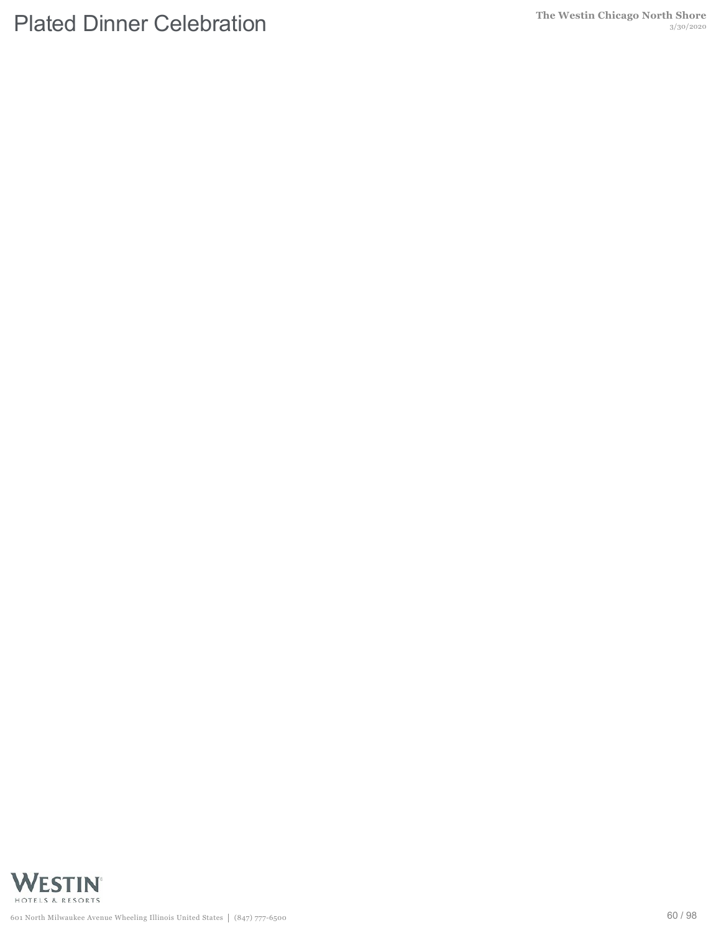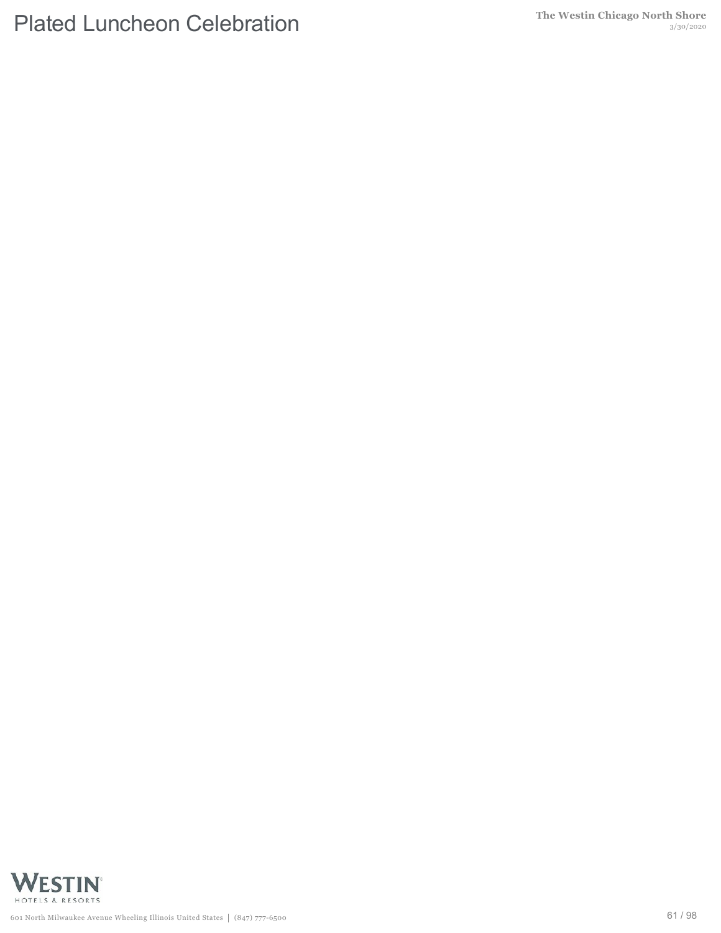# **Plated Luncheon Celebration** The Westin Chicago North Shore

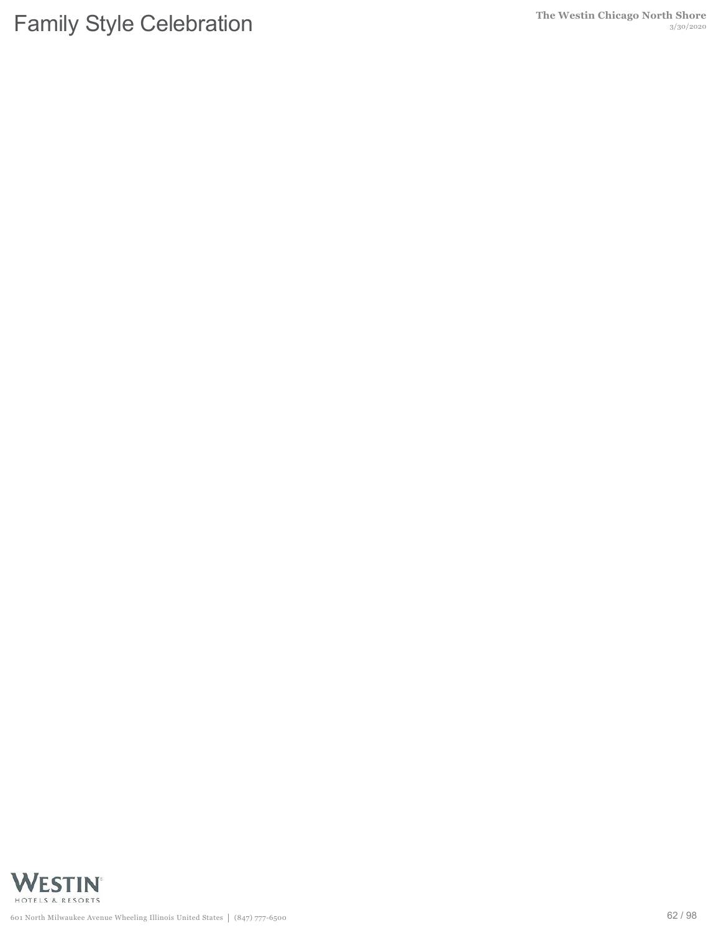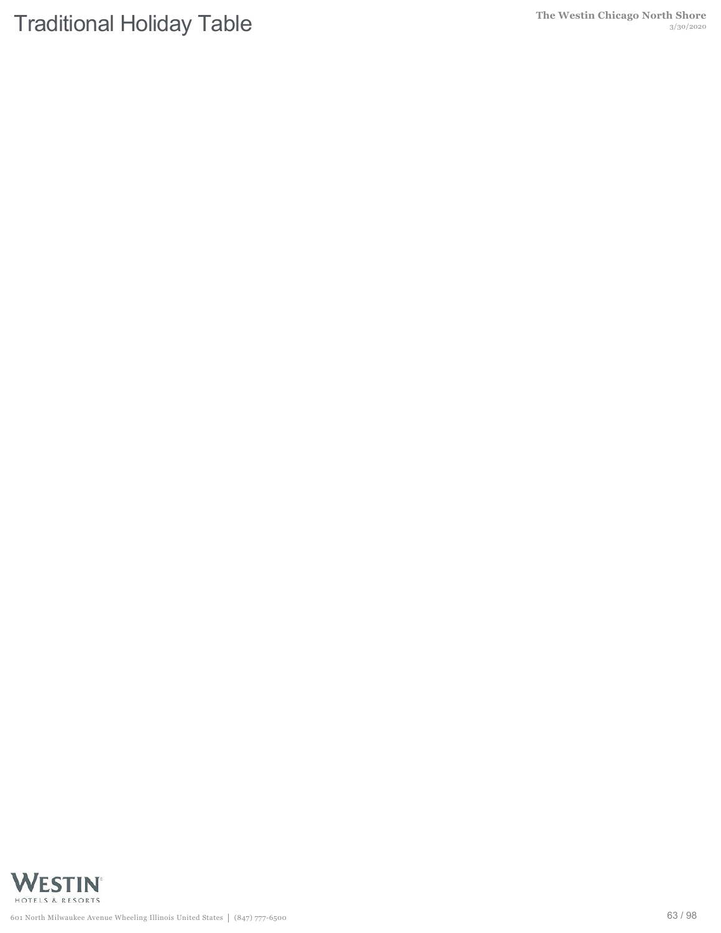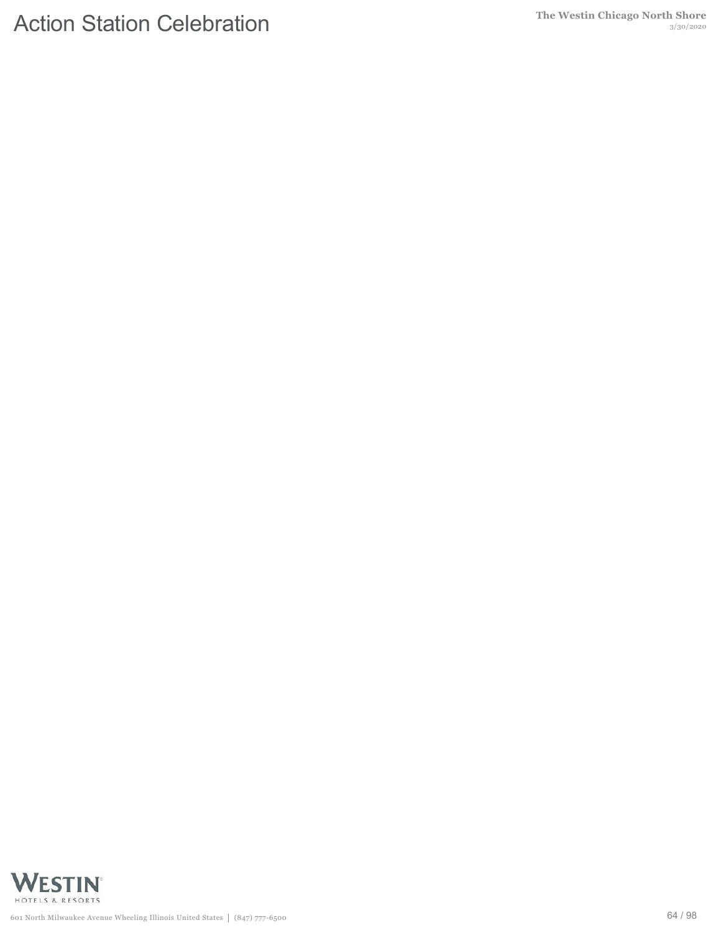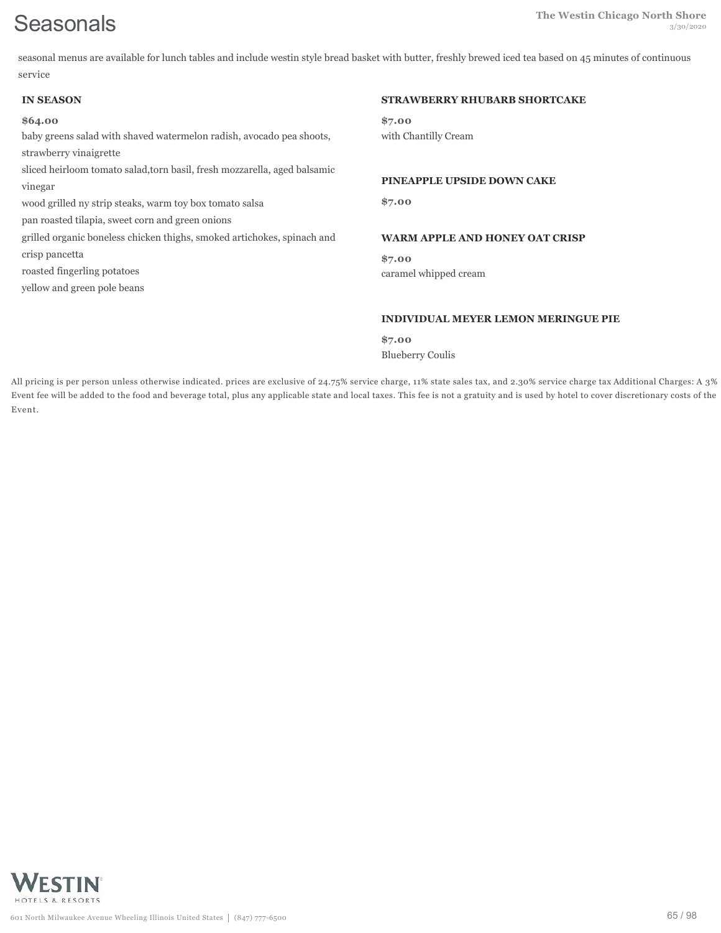seasonal menus are available for lunch tables and include westin style bread basket with butter, freshly brewed iced tea based on 45 minutes of continuous service

| <b>IN SEASON</b>                                                          | <b>STRAWBERRY RHUBARB SHORTCAKE</b>        |
|---------------------------------------------------------------------------|--------------------------------------------|
| \$64.00                                                                   | \$7.00                                     |
| baby greens salad with shaved watermelon radish, avocado pea shoots,      | with Chantilly Cream                       |
| strawberry vinaigrette                                                    |                                            |
| sliced heirloom tomato salad, torn basil, fresh mozzarella, aged balsamic |                                            |
| vinegar                                                                   | PINEAPPLE UPSIDE DOWN CAKE                 |
| wood grilled ny strip steaks, warm toy box tomato salsa                   | \$7.00                                     |
| pan roasted tilapia, sweet corn and green onions                          |                                            |
| grilled organic boneless chicken thighs, smoked artichokes, spinach and   | <b>WARM APPLE AND HONEY OAT CRISP</b>      |
| crisp pancetta                                                            | \$7.00                                     |
| roasted fingerling potatoes                                               | caramel whipped cream                      |
| yellow and green pole beans                                               |                                            |
|                                                                           | <b>INDIVIDUAL MEYER LEMON MERINGUE PIE</b> |
|                                                                           |                                            |
|                                                                           | \$7.00                                     |
|                                                                           | <b>Blueberry Coulis</b>                    |

All pricing is per person unless otherwise indicated. prices are exclusive of 24.75% service charge, 11% state sales tax, and 2.30% service charge tax Additional Charges: A 3% Event fee will be added to the food and beverage total, plus any applicable state and local taxes. This fee is not a gratuity and is used by hotel to cover discretionary costs of the Event.

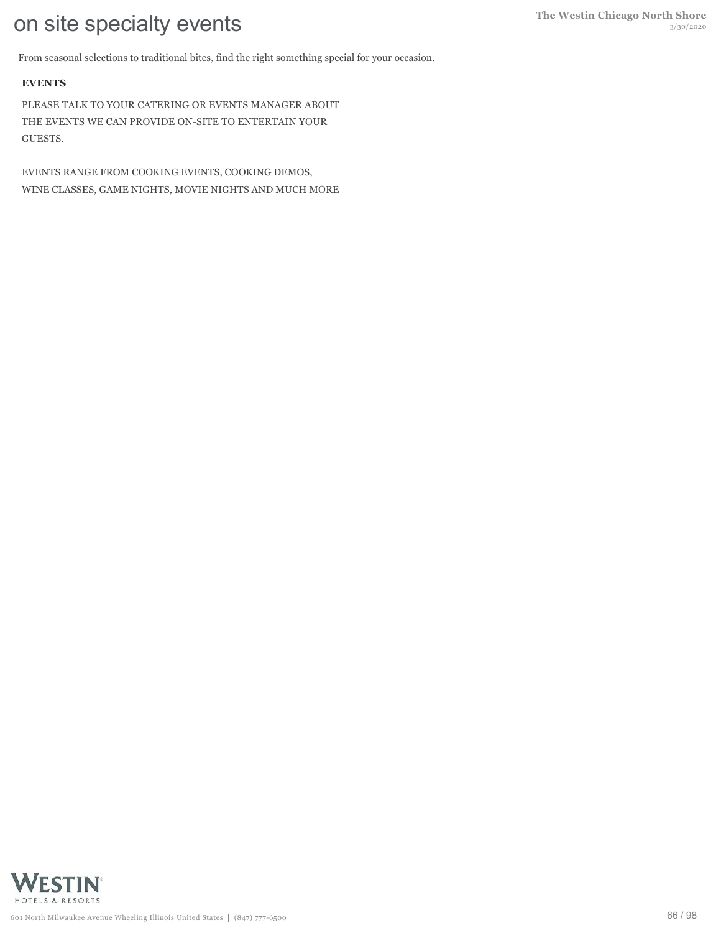From seasonal selections to traditional bites, find the right something special for your occasion.

# **EVENTS**

PLEASE TALK TO YOUR CATERING OR EVENTS MANAGER ABOUT THE EVENTS WE CAN PROVIDE ON-SITE TO ENTERTAIN YOUR GUESTS.

EVENTS RANGE FROM COOKING EVENTS, COOKING DEMOS, WINE CLASSES, GAME NIGHTS, MOVIE NIGHTS AND MUCH MORE

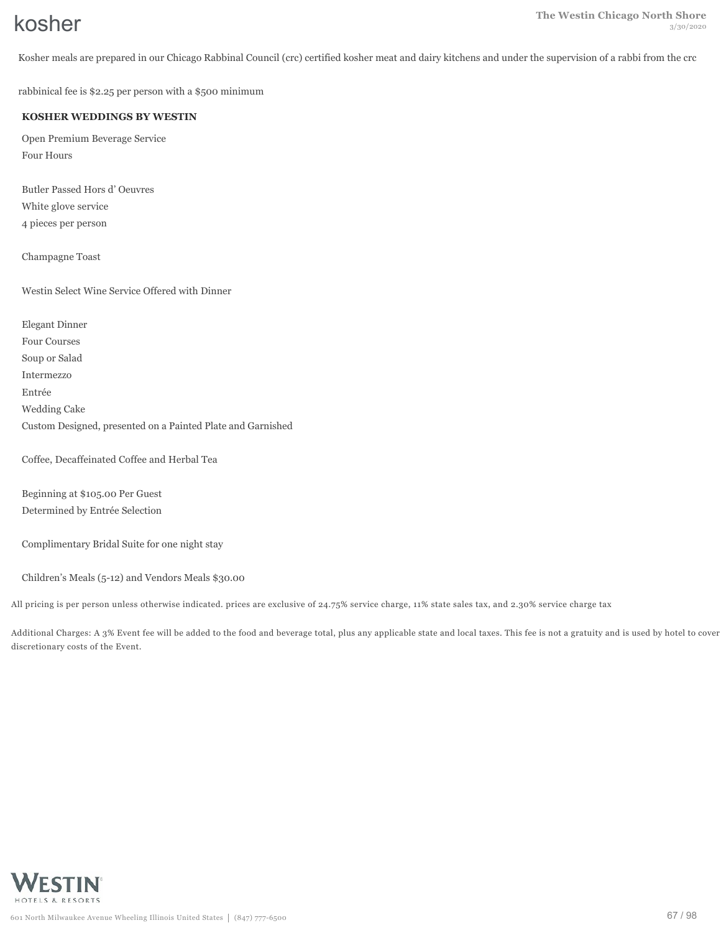Kosher meals are prepared in our Chicago Rabbinal Council (crc) certified kosher meat and dairy kitchens and under the supervision of a rabbi from the crc

rabbinical fee is \$2.25 per person with a \$500 minimum

### **KOSHER WEDDINGS BY WESTIN**

Open Premium Beverage Service Four Hours

Butler Passed Hors d' Oeuvres White glove service 4 pieces per person

Champagne Toast

Westin Select Wine Service Offered with Dinner

Elegant Dinner Four Courses Soup or Salad Intermezzo Entrée Wedding Cake Custom Designed, presented on a Painted Plate and Garnished

Coffee, Decaffeinated Coffee and Herbal Tea

Beginning at \$105.00 Per Guest Determined by Entrée Selection

Complimentary Bridal Suite for one night stay

Children's Meals (5-12) and Vendors Meals \$30.00

All pricing is per person unless otherwise indicated. prices are exclusive of 24.75% service charge, 11% state sales tax, and 2.30% service charge tax

Additional Charges: A 3% Event fee will be added to the food and beverage total, plus any applicable state and local taxes. This fee is not a gratuity and is used by hotel to cover discretionary costs of the Event.

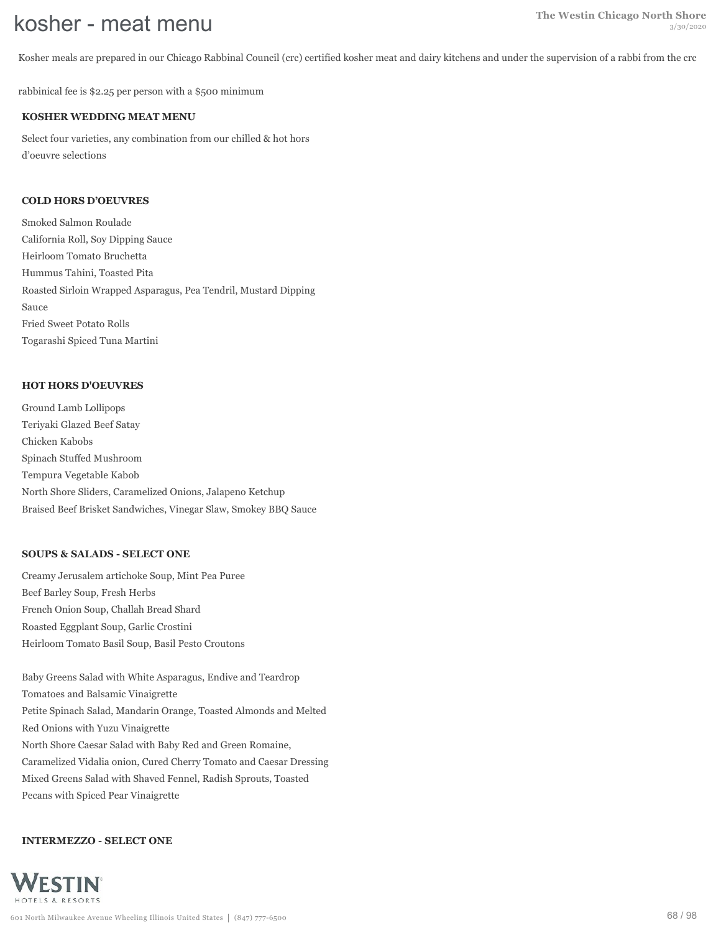Kosher meals are prepared in our Chicago Rabbinal Council (crc) certified kosher meat and dairy kitchens and under the supervision of a rabbi from the crc

rabbinical fee is \$2.25 per person with a \$500 minimum

### **KOSHER WEDDING MEAT MENU**

Select four varieties, any combination from our chilled & hot hors d'oeuvre selections

### **COLD HORS D'OEUVRES**

Smoked Salmon Roulade California Roll, Soy Dipping Sauce Heirloom Tomato Bruchetta Hummus Tahini, Toasted Pita Roasted Sirloin Wrapped Asparagus, Pea Tendril, Mustard Dipping Sauce Fried Sweet Potato Rolls Togarashi Spiced Tuna Martini

#### **HOT HORS D'OEUVRES**

Ground Lamb Lollipops Teriyaki Glazed Beef Satay Chicken Kabobs Spinach Stuffed Mushroom Tempura Vegetable Kabob North Shore Sliders, Caramelized Onions, Jalapeno Ketchup Braised Beef Brisket Sandwiches, Vinegar Slaw, Smokey BBQ Sauce

#### **SOUPS & SALADS - SELECT ONE**

Creamy Jerusalem artichoke Soup, Mint Pea Puree Beef Barley Soup, Fresh Herbs French Onion Soup, Challah Bread Shard Roasted Eggplant Soup, Garlic Crostini Heirloom Tomato Basil Soup, Basil Pesto Croutons

Baby Greens Salad with White Asparagus, Endive and Teardrop Tomatoes and Balsamic Vinaigrette Petite Spinach Salad, Mandarin Orange, Toasted Almonds and Melted Red Onions with Yuzu Vinaigrette North Shore Caesar Salad with Baby Red and Green Romaine, Caramelized Vidalia onion, Cured Cherry Tomato and Caesar Dressing Mixed Greens Salad with Shaved Fennel, Radish Sprouts, Toasted Pecans with Spiced Pear Vinaigrette

# **INTERMEZZO - SELECT ONE**

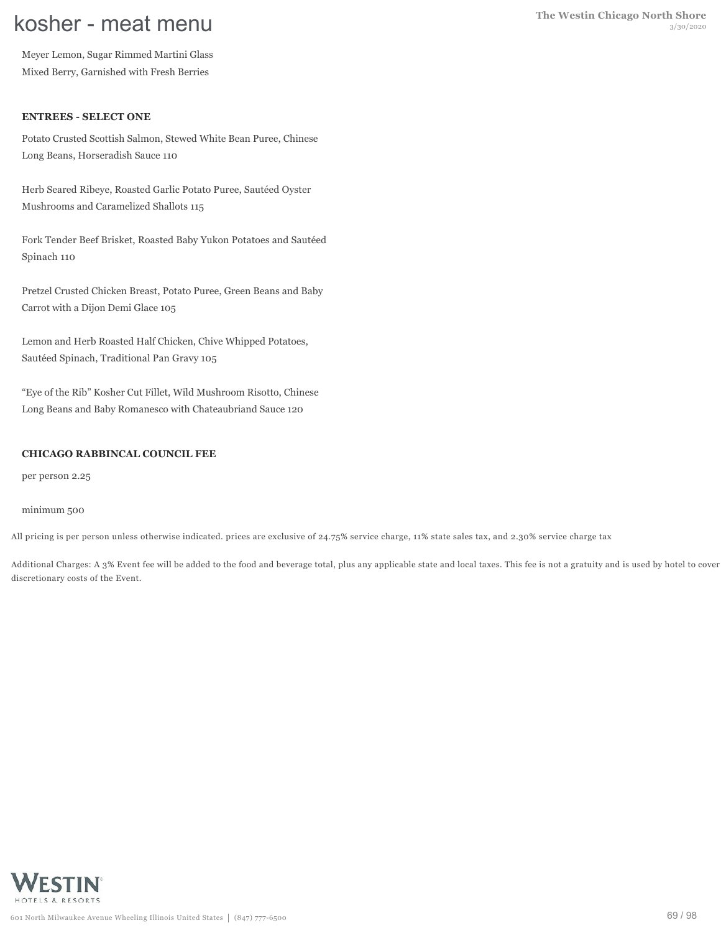Meyer Lemon, Sugar Rimmed Martini Glass Mixed Berry, Garnished with Fresh Berries

#### **ENTREES - SELECT ONE**

Potato Crusted Scottish Salmon, Stewed White Bean Puree, Chinese Long Beans, Horseradish Sauce 110

Herb Seared Ribeye, Roasted Garlic Potato Puree, Sautéed Oyster Mushrooms and Caramelized Shallots 115

Fork Tender Beef Brisket, Roasted Baby Yukon Potatoes and Sautéed Spinach 110

Pretzel Crusted Chicken Breast, Potato Puree, Green Beans and Baby Carrot with a Dijon Demi Glace 105

Lemon and Herb Roasted Half Chicken, Chive Whipped Potatoes, Sautéed Spinach, Traditional Pan Gravy 105

"Eye of the Rib" Kosher Cut Fillet, Wild Mushroom Risotto, Chinese Long Beans and Baby Romanesco with Chateaubriand Sauce 120

#### **CHICAGO RABBINCAL COUNCIL FEE**

per person 2.25

#### minimum 500

All pricing is per person unless otherwise indicated. prices are exclusive of 24.75% service charge, 11% state sales tax, and 2.30% service charge tax

Additional Charges: A 3% Event fee will be added to the food and beverage total, plus any applicable state and local taxes. This fee is not a gratuity and is used by hotel to cover discretionary costs of the Event.

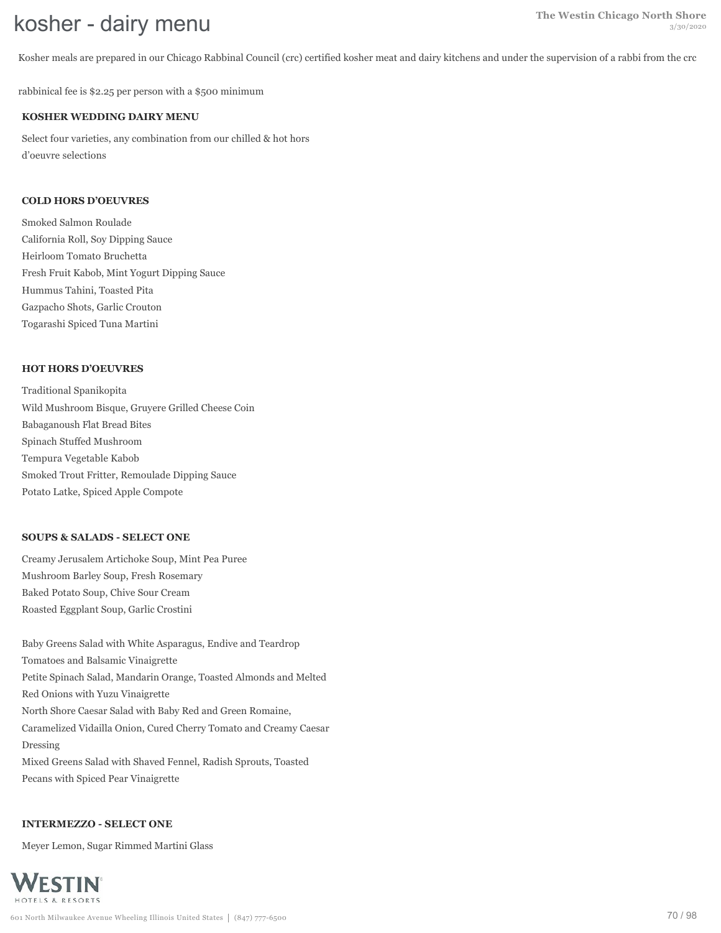Kosher meals are prepared in our Chicago Rabbinal Council (crc) certified kosher meat and dairy kitchens and under the supervision of a rabbi from the crc

rabbinical fee is \$2.25 per person with a \$500 minimum

#### **KOSHER WEDDING DAIRY MENU**

Select four varieties, any combination from our chilled & hot hors d'oeuvre selections

#### **COLD HORS D'OEUVRES**

Smoked Salmon Roulade California Roll, Soy Dipping Sauce Heirloom Tomato Bruchetta Fresh Fruit Kabob, Mint Yogurt Dipping Sauce Hummus Tahini, Toasted Pita Gazpacho Shots, Garlic Crouton Togarashi Spiced Tuna Martini

#### **HOT HORS D'OEUVRES**

Traditional Spanikopita Wild Mushroom Bisque, Gruyere Grilled Cheese Coin Babaganoush Flat Bread Bites Spinach Stuffed Mushroom Tempura Vegetable Kabob Smoked Trout Fritter, Remoulade Dipping Sauce Potato Latke, Spiced Apple Compote

#### **SOUPS & SALADS - SELECT ONE**

Creamy Jerusalem Artichoke Soup, Mint Pea Puree Mushroom Barley Soup, Fresh Rosemary Baked Potato Soup, Chive Sour Cream Roasted Eggplant Soup, Garlic Crostini

Baby Greens Salad with White Asparagus, Endive and Teardrop Tomatoes and Balsamic Vinaigrette Petite Spinach Salad, Mandarin Orange, Toasted Almonds and Melted Red Onions with Yuzu Vinaigrette North Shore Caesar Salad with Baby Red and Green Romaine, Caramelized Vidailla Onion, Cured Cherry Tomato and Creamy Caesar Dressing Mixed Greens Salad with Shaved Fennel, Radish Sprouts, Toasted Pecans with Spiced Pear Vinaigrette

#### **INTERMEZZO - SELECT ONE**

Meyer Lemon, Sugar Rimmed Martini Glass

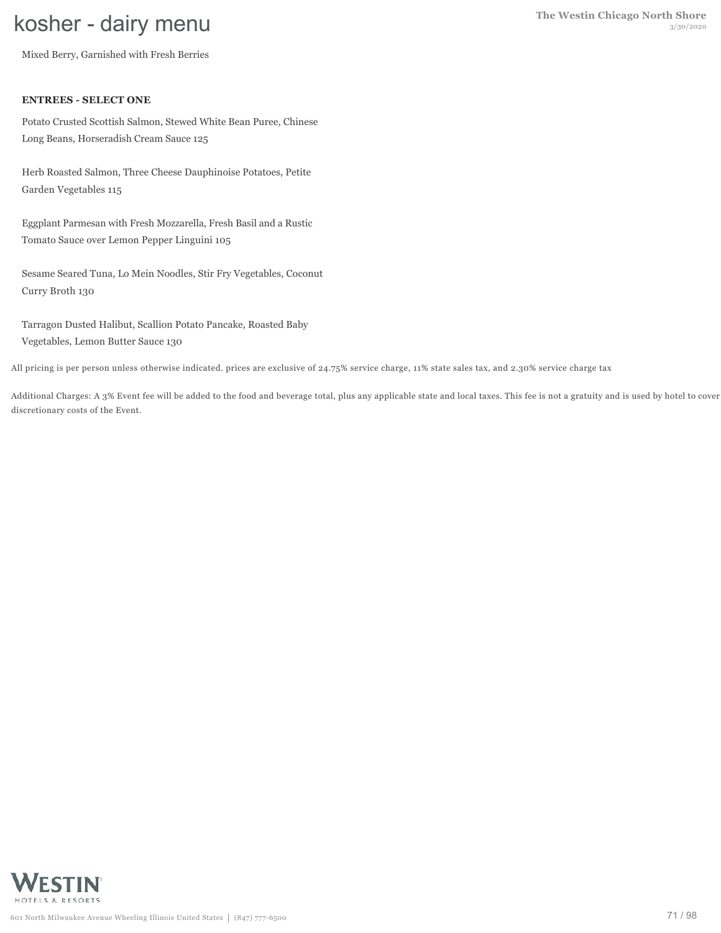Mixed Berry, Garnished with Fresh Berries

#### **ENTREES - SELECT ONE**

Potato Crusted Scottish Salmon, Stewed White Bean Puree, Chinese Long Beans, Horseradish Cream Sauce 125

Herb Roasted Salmon, Three Cheese Dauphinoise Potatoes, Petite Garden Vegetables 115

Eggplant Parmesan with Fresh Mozzarella, Fresh Basil and a Rustic Tomato Sauce over Lemon Pepper Linguini 105

Sesame Seared Tuna, Lo Mein Noodles, Stir Fry Vegetables, Coconut Curry Broth 130

Tarragon Dusted Halibut, Scallion Potato Pancake, Roasted Baby Vegetables, Lemon Butter Sauce 130

All pricing is per person unless otherwise indicated. prices are exclusive of 24.75% service charge, 11% state sales tax, and 2.30% service charge tax

Additional Charges: A 3% Event fee will be added to the food and beverage total, plus any applicable state and local taxes. This fee is not a gratuity and is used by hotel to cover discretionary costs of the Event.

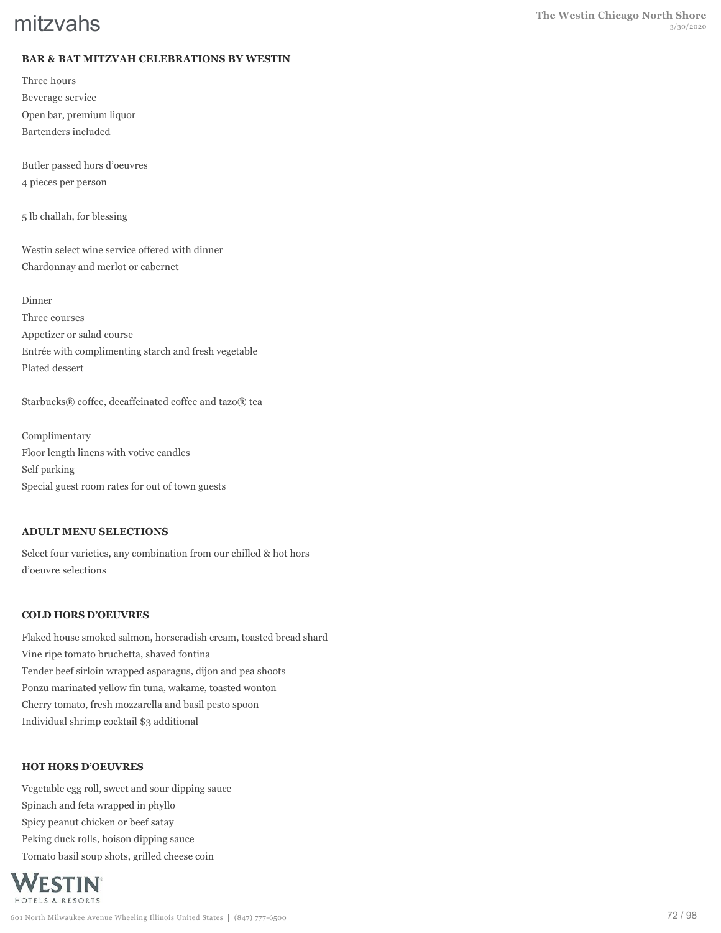# **BAR & BAT MITZVAH CELEBRATIONS BY WESTIN**

Three hours Beverage service Open bar, premium liquor Bartenders included

Butler passed hors d'oeuvres 4 pieces per person

5 lb challah, for blessing

Westin select wine service offered with dinner Chardonnay and merlot or cabernet

Dinner

Three courses Appetizer or salad course Entrée with complimenting starch and fresh vegetable Plated dessert

Starbucks® coffee, decaffeinated coffee and tazo® tea

Complimentary Floor length linens with votive candles Self parking Special guest room rates for out of town guests

#### **ADULT MENU SELECTIONS**

Select four varieties, any combination from our chilled & hot hors d'oeuvre selections

#### **COLD HORS D'OEUVRES**

Flaked house smoked salmon, horseradish cream, toasted bread shard Vine ripe tomato bruchetta, shaved fontina Tender beef sirloin wrapped asparagus, dijon and pea shoots Ponzu marinated yellow fin tuna, wakame, toasted wonton Cherry tomato, fresh mozzarella and basil pesto spoon Individual shrimp cocktail \$3 additional

#### **HOT HORS D'OEUVRES**

Vegetable egg roll, sweet and sour dipping sauce Spinach and feta wrapped in phyllo Spicy peanut chicken or beef satay Peking duck rolls, hoison dipping sauce Tomato basil soup shots, grilled cheese coin

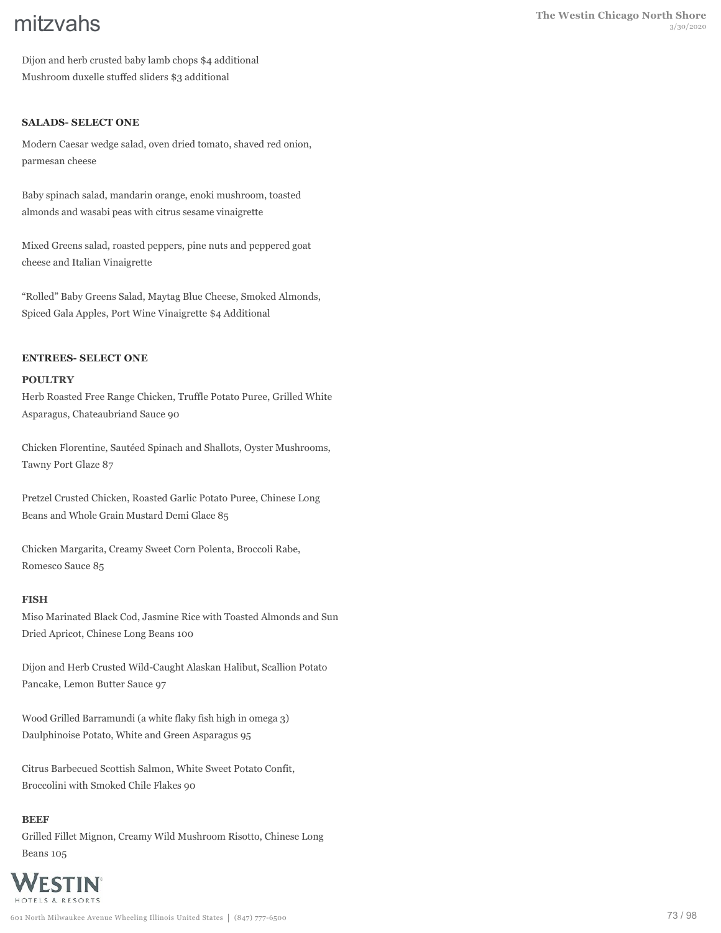Dijon and herb crusted baby lamb chops \$4 additional Mushroom duxelle stuffed sliders \$3 additional

### **SALADS- SELECT ONE**

Modern Caesar wedge salad, oven dried tomato, shaved red onion, parmesan cheese

Baby spinach salad, mandarin orange, enoki mushroom, toasted almonds and wasabi peas with citrus sesame vinaigrette

Mixed Greens salad, roasted peppers, pine nuts and peppered goat cheese and Italian Vinaigrette

"Rolled" Baby Greens Salad, Maytag Blue Cheese, Smoked Almonds, Spiced Gala Apples, Port Wine Vinaigrette \$4 Additional

#### **ENTREES- SELECT ONE**

#### **POULTRY**

Herb Roasted Free Range Chicken, Truffle Potato Puree, Grilled White Asparagus, Chateaubriand Sauce 90

Chicken Florentine, Sautéed Spinach and Shallots, Oyster Mushrooms, Tawny Port Glaze 87

Pretzel Crusted Chicken, Roasted Garlic Potato Puree, Chinese Long Beans and Whole Grain Mustard Demi Glace 85

Chicken Margarita, Creamy Sweet Corn Polenta, Broccoli Rabe, Romesco Sauce 85

#### **FISH**

Miso Marinated Black Cod, Jasmine Rice with Toasted Almonds and Sun Dried Apricot, Chinese Long Beans 100

Dijon and Herb Crusted Wild-Caught Alaskan Halibut, Scallion Potato Pancake, Lemon Butter Sauce 97

Wood Grilled Barramundi (a white flaky fish high in omega 3) Daulphinoise Potato, White and Green Asparagus 95

Citrus Barbecued Scottish Salmon, White Sweet Potato Confit, Broccolini with Smoked Chile Flakes 90

#### **BEEF**

Grilled Fillet Mignon, Creamy Wild Mushroom Risotto, Chinese Long Beans 105

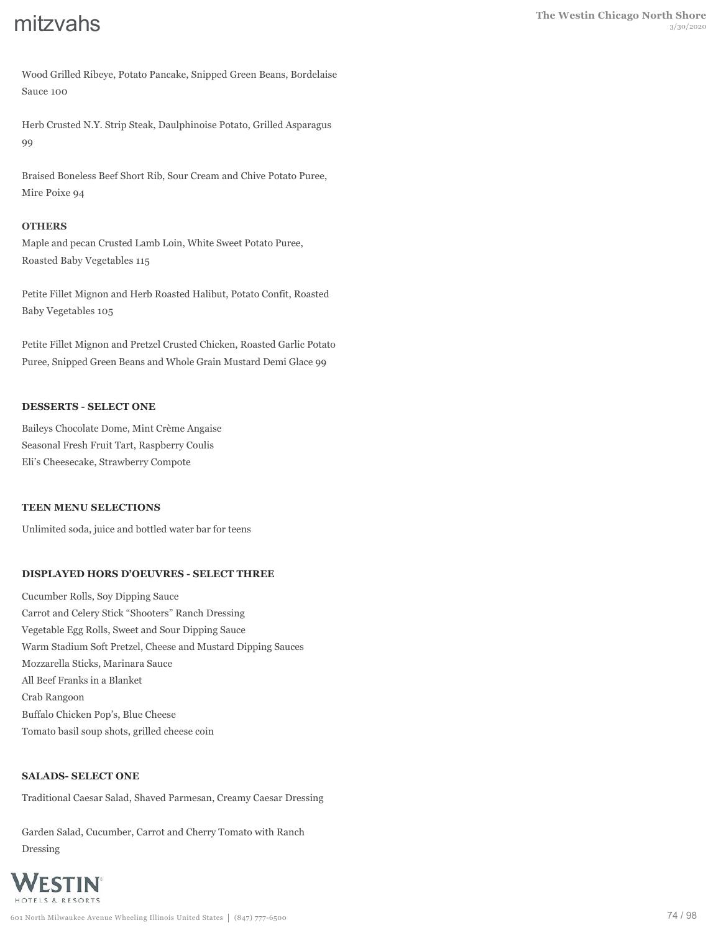Wood Grilled Ribeye, Potato Pancake, Snipped Green Beans, Bordelaise Sauce 100

Herb Crusted N.Y. Strip Steak, Daulphinoise Potato, Grilled Asparagus 99

Braised Boneless Beef Short Rib, Sour Cream and Chive Potato Puree, Mire Poixe 94

### **OTHERS**

Maple and pecan Crusted Lamb Loin, White Sweet Potato Puree, Roasted Baby Vegetables 115

Petite Fillet Mignon and Herb Roasted Halibut, Potato Confit, Roasted Baby Vegetables 105

Petite Fillet Mignon and Pretzel Crusted Chicken, Roasted Garlic Potato Puree, Snipped Green Beans and Whole Grain Mustard Demi Glace 99

## **DESSERTS - SELECT ONE**

Baileys Chocolate Dome, Mint Crème Angaise Seasonal Fresh Fruit Tart, Raspberry Coulis Eli's Cheesecake, Strawberry Compote

### **TEEN MENU SELECTIONS**

Unlimited soda, juice and bottled water bar for teens

# **DISPLAYED HORS D'OEUVRES - SELECT THREE**

Cucumber Rolls, Soy Dipping Sauce Carrot and Celery Stick "Shooters" Ranch Dressing Vegetable Egg Rolls, Sweet and Sour Dipping Sauce Warm Stadium Soft Pretzel, Cheese and Mustard Dipping Sauces Mozzarella Sticks, Marinara Sauce All Beef Franks in a Blanket Crab Rangoon Buffalo Chicken Pop's, Blue Cheese Tomato basil soup shots, grilled cheese coin

### **SALADS- SELECT ONE**

Traditional Caesar Salad, Shaved Parmesan, Creamy Caesar Dressing

Garden Salad, Cucumber, Carrot and Cherry Tomato with Ranch Dressing

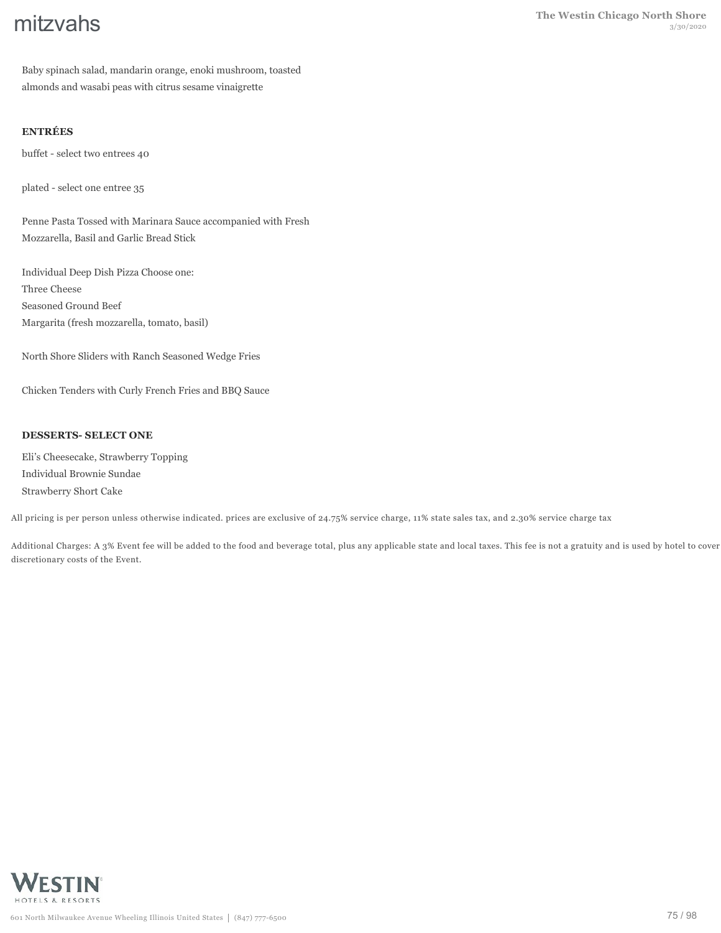Baby spinach salad, mandarin orange, enoki mushroom, toasted almonds and wasabi peas with citrus sesame vinaigrette

# **ENTRÉES**

buffet - select two entrees 40

plated - select one entree 35

Penne Pasta Tossed with Marinara Sauce accompanied with Fresh Mozzarella, Basil and Garlic Bread Stick

Individual Deep Dish Pizza Choose one: Three Cheese Seasoned Ground Beef Margarita (fresh mozzarella, tomato, basil)

North Shore Sliders with Ranch Seasoned Wedge Fries

Chicken Tenders with Curly French Fries and BBQ Sauce

## **DESSERTS- SELECT ONE**

Eli's Cheesecake, Strawberry Topping Individual Brownie Sundae Strawberry Short Cake

All pricing is per person unless otherwise indicated. prices are exclusive of 24.75% service charge, 11% state sales tax, and 2.30% service charge tax

Additional Charges: A 3% Event fee will be added to the food and beverage total, plus any applicable state and local taxes. This fee is not a gratuity and is used by hotel to cover discretionary costs of the Event.

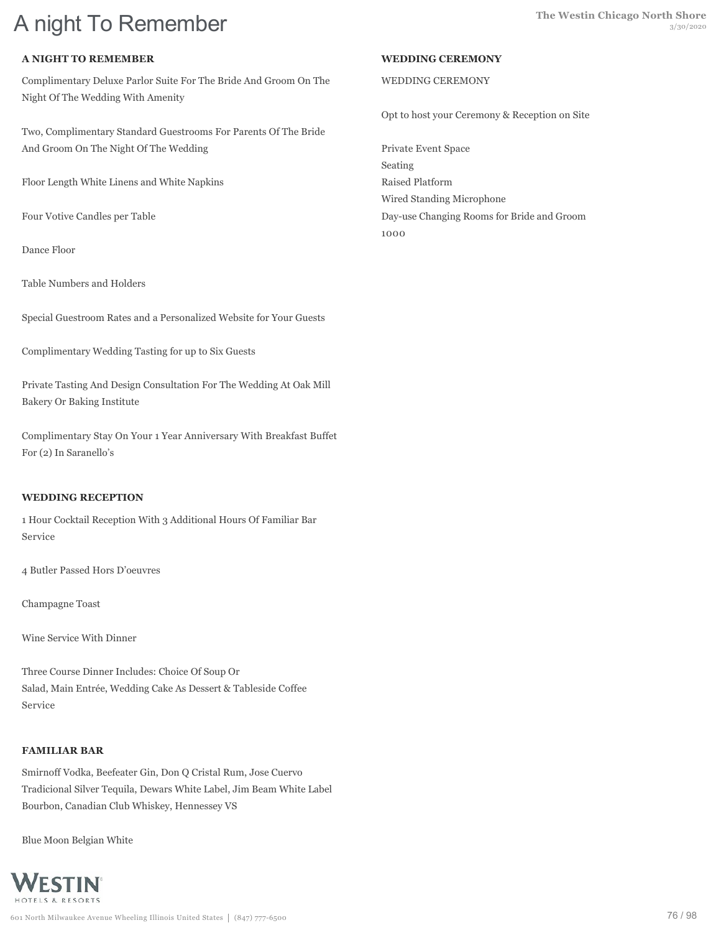# **A night To Remember The Westin Chicago North Shore** 3/30/2020

# **A NIGHT TO REMEMBER**

Complimentary Deluxe Parlor Suite For The Bride And Groom On The Night Of The Wedding With Amenity

Two, Complimentary Standard Guestrooms For Parents Of The Bride And Groom On The Night Of The Wedding

Floor Length White Linens and White Napkins

Four Votive Candles per Table

Dance Floor

Table Numbers and Holders

Special Guestroom Rates and a Personalized Website for Your Guests

Complimentary Wedding Tasting for up to Six Guests

Private Tasting And Design Consultation For The Wedding At Oak Mill Bakery Or Baking Institute

Complimentary Stay On Your 1 Year Anniversary With Breakfast Buffet For (2) In Saranello's

### **WEDDING RECEPTION**

1 Hour Cocktail Reception With 3 Additional Hours Of Familiar Bar Service

4 Butler Passed Hors D'oeuvres

Champagne Toast

Wine Service With Dinner

Three Course Dinner Includes: Choice Of Soup Or Salad, Main Entrée, Wedding Cake As Dessert & Tableside Coffee Service

# **FAMILIAR BAR**

Smirnoff Vodka, Beefeater Gin, Don Q Cristal Rum, Jose Cuervo Tradicional Silver Tequila, Dewars White Label, Jim Beam White Label Bourbon, Canadian Club Whiskey, Hennessey VS

Blue Moon Belgian White



#### **WEDDING CEREMONY**

### WEDDING CEREMONY

Opt to host your Ceremony & Reception on Site

Private Event Space Seating Raised Platform Wired Standing Microphone Day-use Changing Rooms for Bride and Groom 1000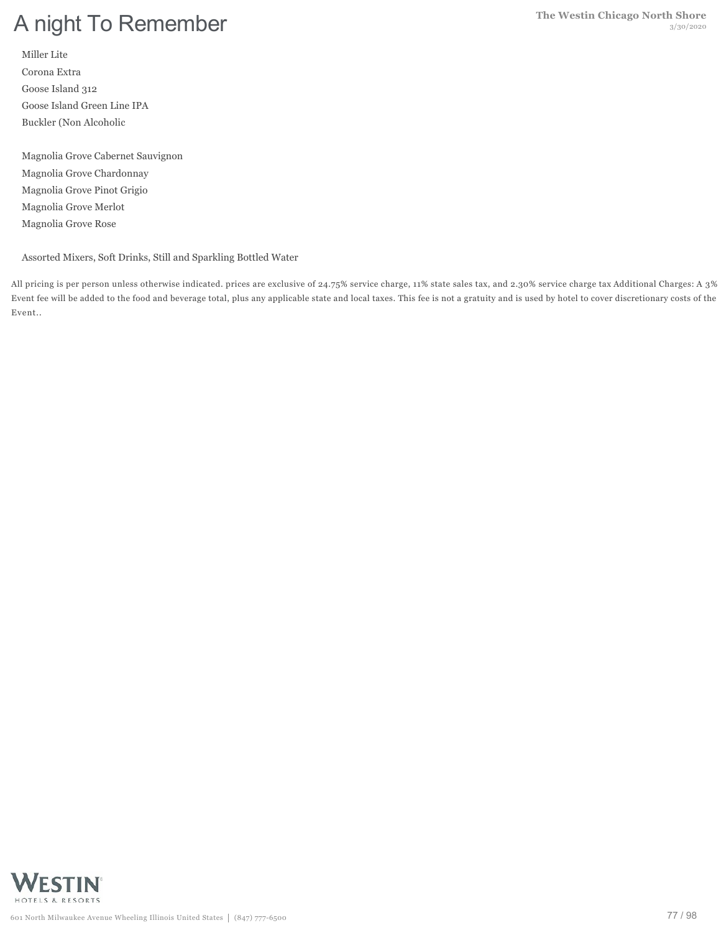Miller Lite Corona Extra Goose Island 312 Goose Island Green Line IPA Buckler (Non Alcoholic

Magnolia Grove Cabernet Sauvignon Magnolia Grove Chardonnay Magnolia Grove Pinot Grigio Magnolia Grove Merlot Magnolia Grove Rose

Assorted Mixers, Soft Drinks, Still and Sparkling Bottled Water

All pricing is per person unless otherwise indicated. prices are exclusive of 24.75% service charge, 11% state sales tax, and 2.30% service charge tax Additional Charges: A 3% Event fee will be added to the food and beverage total, plus any applicable state and local taxes. This fee is not a gratuity and is used by hotel to cover discretionary costs of the Event..

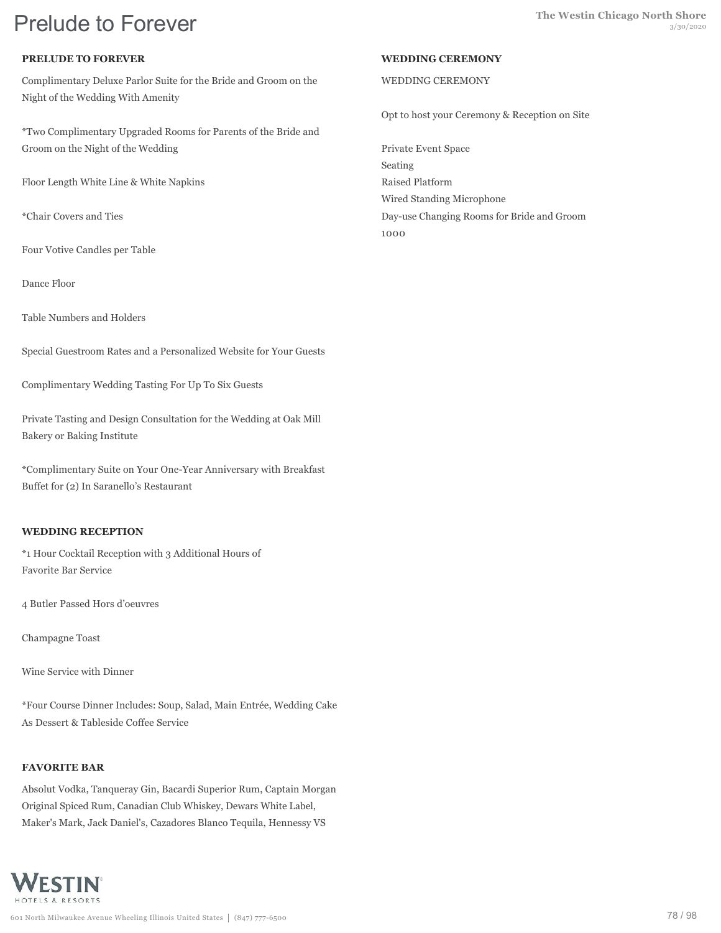# **Prelude to Forever** and the Westin Chicago North Shore

# **PRELUDE TO FOREVER**

Complimentary Deluxe Parlor Suite for the Bride and Groom on the Night of the Wedding With Amenity

\*Two Complimentary Upgraded Rooms for Parents of the Bride and Groom on the Night of the Wedding

Floor Length White Line & White Napkins

\*Chair Covers and Ties

Four Votive Candles per Table

Dance Floor

Table Numbers and Holders

Special Guestroom Rates and a Personalized Website for Your Guests

Complimentary Wedding Tasting For Up To Six Guests

Private Tasting and Design Consultation for the Wedding at Oak Mill Bakery or Baking Institute

\*Complimentary Suite on Your One-Year Anniversary with Breakfast Buffet for (2) In Saranello's Restaurant

# **WEDDING RECEPTION**

\*1 Hour Cocktail Reception with 3 Additional Hours of Favorite Bar Service

4 Butler Passed Hors d'oeuvres

Champagne Toast

Wine Service with Dinner

\*Four Course Dinner Includes: Soup, Salad, Main Entrée, Wedding Cake As Dessert & Tableside Coffee Service

# **FAVORITE BAR**

Absolut Vodka, Tanqueray Gin, Bacardi Superior Rum, Captain Morgan Original Spiced Rum, Canadian Club Whiskey, Dewars White Label, Maker's Mark, Jack Daniel's, Cazadores Blanco Tequila, Hennessy VS



# **WEDDING CEREMONY**

# WEDDING CEREMONY

Opt to host your Ceremony & Reception on Site

Private Event Space Seating Raised Platform Wired Standing Microphone Day-use Changing Rooms for Bride and Groom 1000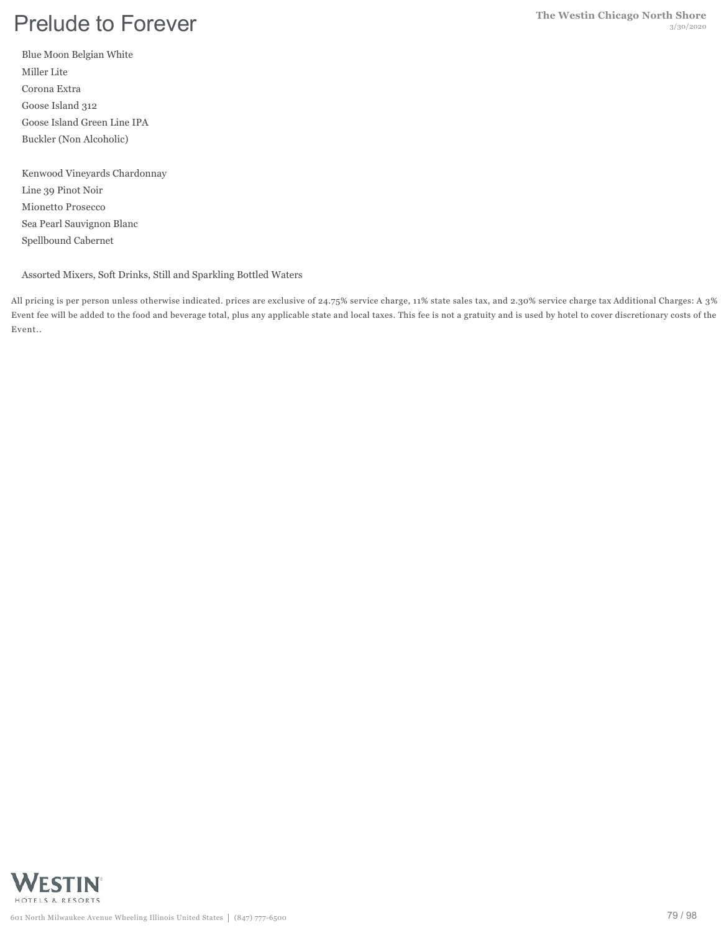# **Prelude to Forever The Westin Chicago North Shore** 3/30/2020

Blue Moon Belgian White Miller Lite Corona Extra Goose Island 312 Goose Island Green Line IPA Buckler (Non Alcoholic)

Kenwood Vineyards Chardonnay Line 39 Pinot Noir Mionetto Prosecco Sea Pearl Sauvignon Blanc Spellbound Cabernet

Assorted Mixers, Soft Drinks, Still and Sparkling Bottled Waters

All pricing is per person unless otherwise indicated. prices are exclusive of 24.75% service charge, 11% state sales tax, and 2.30% service charge tax Additional Charges: A 3% Event fee will be added to the food and beverage total, plus any applicable state and local taxes. This fee is not a gratuity and is used by hotel to cover discretionary costs of the Event..

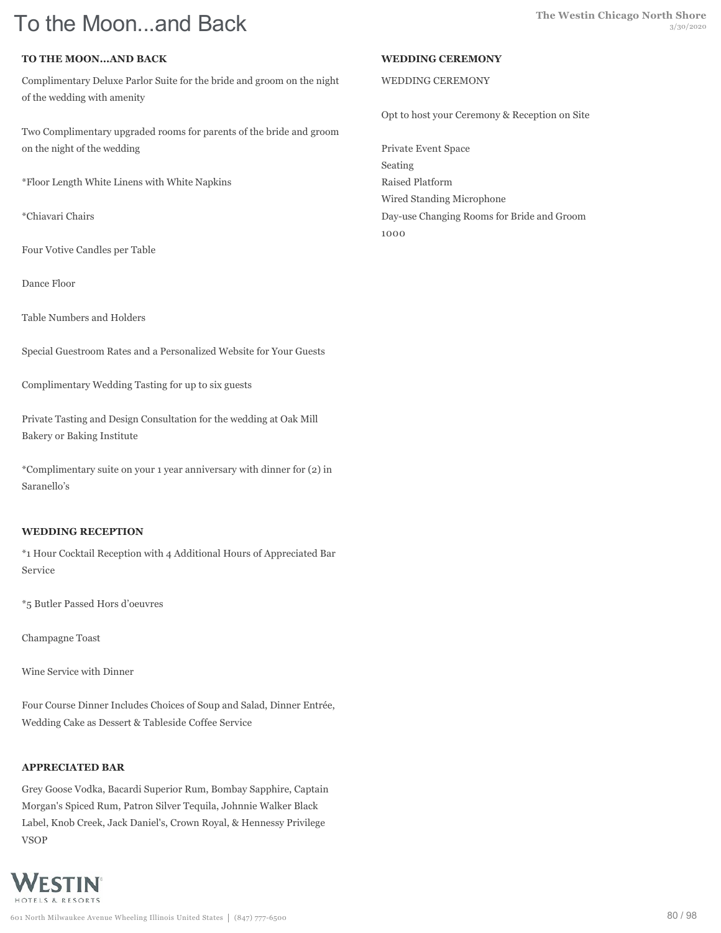# **TO THE MOON...AND BACK**

Complimentary Deluxe Parlor Suite for the bride and groom on the night of the wedding with amenity

Two Complimentary upgraded rooms for parents of the bride and groom on the night of the wedding

\*Floor Length White Linens with White Napkins

\*Chiavari Chairs

Four Votive Candles per Table

Dance Floor

Table Numbers and Holders

Special Guestroom Rates and a Personalized Website for Your Guests

Complimentary Wedding Tasting for up to six guests

Private Tasting and Design Consultation for the wedding at Oak Mill Bakery or Baking Institute

\*Complimentary suite on your 1 year anniversary with dinner for (2) in Saranello's

### **WEDDING RECEPTION**

\*1 Hour Cocktail Reception with 4 Additional Hours of Appreciated Bar Service

\*5 Butler Passed Hors d'oeuvres

Champagne Toast

Wine Service with Dinner

Four Course Dinner Includes Choices of Soup and Salad, Dinner Entrée, Wedding Cake as Dessert & Tableside Coffee Service

### **APPRECIATED BAR**

Grey Goose Vodka, Bacardi Superior Rum, Bombay Sapphire, Captain Morgan's Spiced Rum, Patron Silver Tequila, Johnnie Walker Black Label, Knob Creek, Jack Daniel's, Crown Royal, & Hennessy Privilege VSOP



#### **WEDDING CEREMONY**

#### WEDDING CEREMONY

Opt to host your Ceremony & Reception on Site

Private Event Space Seating Raised Platform Wired Standing Microphone Day-use Changing Rooms for Bride and Groom 1000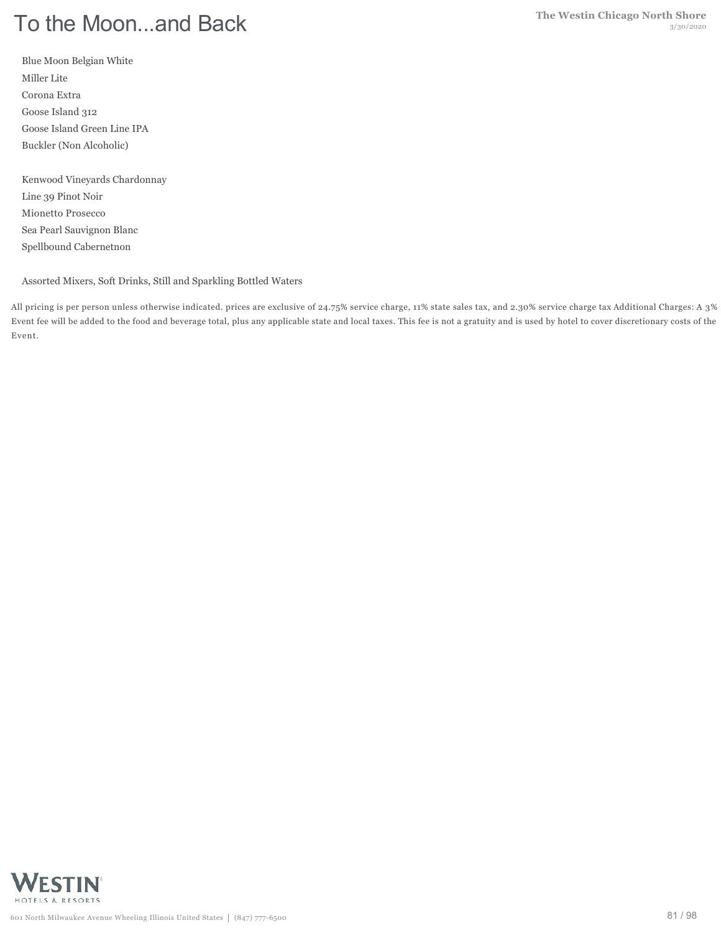Blue Moon Belgian White Miller Lite Corona Extra Goose Island 312 Goose Island Green Line IPA Buckler (Non Alcoholic)

Kenwood Vineyards Chardonnay Line 39 Pinot Noir Mionetto Prosecco Sea Pearl Sauvignon Blanc Spellbound Cabernetnon

Assorted Mixers, Soft Drinks, Still and Sparkling Bottled Waters

All pricing is per person unless otherwise indicated. prices are exclusive of 24.75% service charge, 11% state sales tax, and 2.30% service charge tax Additional Charges: A 3% Event fee will be added to the food and beverage total, plus any applicable state and local taxes. This fee is not a gratuity and is used by hotel to cover discretionary costs of the Event.

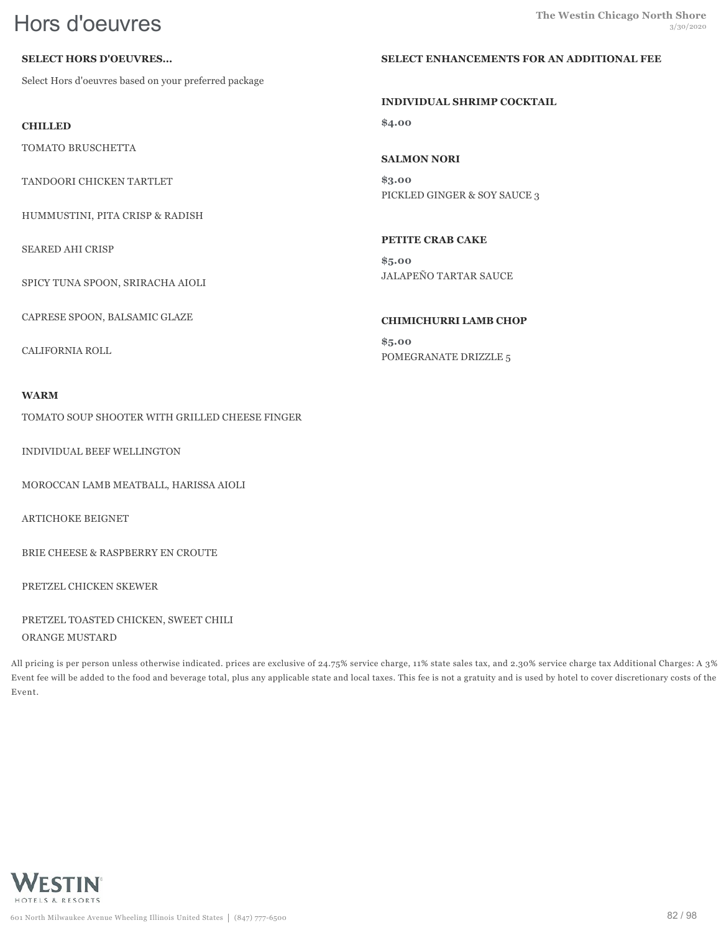# **SELECT HORS D'OEUVRES...**

Select Hors d'oeuvres based on your preferred package

**CHILLED**

TOMATO BRUSCHETTA

TANDOORI CHICKEN TARTLET

HUMMUSTINI, PITA CRISP & RADISH

SEARED AHI CRISP

SPICY TUNA SPOON, SRIRACHA AIOLI

CAPRESE SPOON, BALSAMIC GLAZE

CALIFORNIA ROLL

### **WARM**

TOMATO SOUP SHOOTER WITH GRILLED CHEESE FINGER

INDIVIDUAL BEEF WELLINGTON

MOROCCAN LAMB MEATBALL, HARISSA AIOLI

ARTICHOKE BEIGNET

BRIE CHEESE & RASPBERRY EN CROUTE

PRETZEL CHICKEN SKEWER

PRETZEL TOASTED CHICKEN, SWEET CHILI ORANGE MUSTARD

All pricing is per person unless otherwise indicated. prices are exclusive of 24.75% service charge, 11% state sales tax, and 2.30% service charge tax Additional Charges: A 3% Event fee will be added to the food and beverage total, plus any applicable state and local taxes. This fee is not a gratuity and is used by hotel to cover discretionary costs of the Event.



#### **SELECT ENHANCEMENTS FOR AN ADDITIONAL FEE**

#### **INDIVIDUAL SHRIMP COCKTAIL**

**\$4.00**

# **SALMON NORI**

**\$3.00** PICKLED GINGER & SOY SAUCE 3

# **PETITE CRAB CAKE**

**\$5.00** JALAPEÑO TARTAR SAUCE

### **CHIMICHURRI LAMB CHOP**

**\$5.00** POMEGRANATE DRIZZLE 5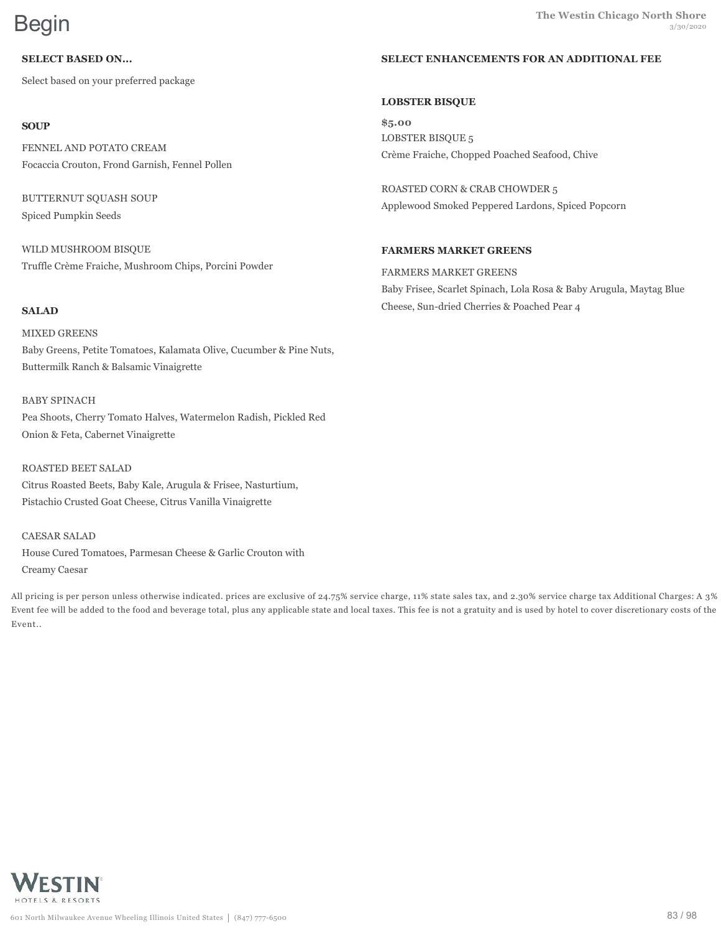Select based on your preferred package

# **SOUP**

FENNEL AND POTATO CREAM Focaccia Crouton, Frond Garnish, Fennel Pollen

BUTTERNUT SQUASH SOUP Spiced Pumpkin Seeds

WILD MUSHROOM BISQUE Truffle Crème Fraiche, Mushroom Chips, Porcini Powder

# **SALAD**

MIXED GREENS Baby Greens, Petite Tomatoes, Kalamata Olive, Cucumber & Pine Nuts, Buttermilk Ranch & Balsamic Vinaigrette

## BABY SPINACH

Pea Shoots, Cherry Tomato Halves, Watermelon Radish, Pickled Red Onion & Feta, Cabernet Vinaigrette

ROASTED BEET SALAD Citrus Roasted Beets, Baby Kale, Arugula & Frisee, Nasturtium, Pistachio Crusted Goat Cheese, Citrus Vanilla Vinaigrette

CAESAR SALAD House Cured Tomatoes, Parmesan Cheese & Garlic Crouton with Creamy Caesar

All pricing is per person unless otherwise indicated. prices are exclusive of 24.75% service charge, 11% state sales tax, and 2.30% service charge tax Additional Charges: A 3% Event fee will be added to the food and beverage total, plus any applicable state and local taxes. This fee is not a gratuity and is used by hotel to cover discretionary costs of the Event..

# **LOBSTER BISQUE**

**\$5.00** LOBSTER BISQUE 5 Crème Fraiche, Chopped Poached Seafood, Chive

ROASTED CORN & CRAB CHOWDER 5 Applewood Smoked Peppered Lardons, Spiced Popcorn

# **FARMERS MARKET GREENS**

FARMERS MARKET GREENS Baby Frisee, Scarlet Spinach, Lola Rosa & Baby Arugula, Maytag Blue Cheese, Sun-dried Cherries & Poached Pear 4

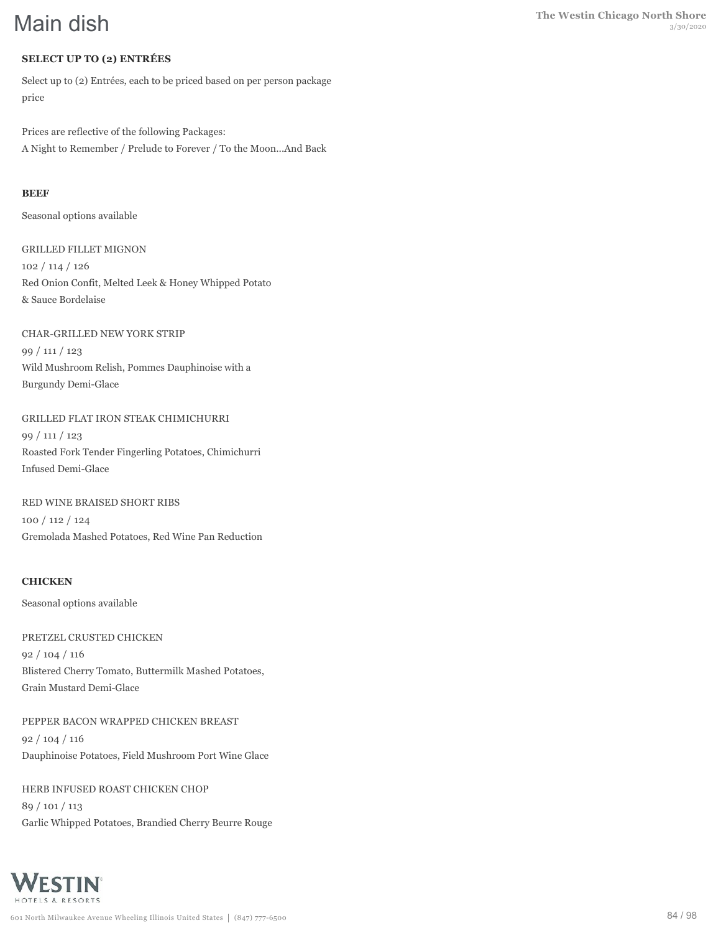# **SELECT UP TO (2) ENTRÉES**

Select up to (2) Entrées, each to be priced based on per person package price

Prices are reflective of the following Packages: A Night to Remember / Prelude to Forever / To the Moon...And Back

# **BEEF**

Seasonal options available

GRILLED FILLET MIGNON 102 / 114 / 126 Red Onion Confit, Melted Leek & Honey Whipped Potato & Sauce Bordelaise

CHAR-GRILLED NEW YORK STRIP 99 / 111 / 123 Wild Mushroom Relish, Pommes Dauphinoise with a Burgundy Demi-Glace

GRILLED FLAT IRON STEAK CHIMICHURRI 99 / 111 / 123 Roasted Fork Tender Fingerling Potatoes, Chimichurri Infused Demi-Glace

RED WINE BRAISED SHORT RIBS 100 / 112 / 124 Gremolada Mashed Potatoes, Red Wine Pan Reduction

# **CHICKEN**

Seasonal options available

PRETZEL CRUSTED CHICKEN 92 / 104 / 116 Blistered Cherry Tomato, Buttermilk Mashed Potatoes, Grain Mustard Demi-Glace

PEPPER BACON WRAPPED CHICKEN BREAST 92 / 104 / 116 Dauphinoise Potatoes, Field Mushroom Port Wine Glace

HERB INFUSED ROAST CHICKEN CHOP 89 / 101 / 113 Garlic Whipped Potatoes, Brandied Cherry Beurre Rouge

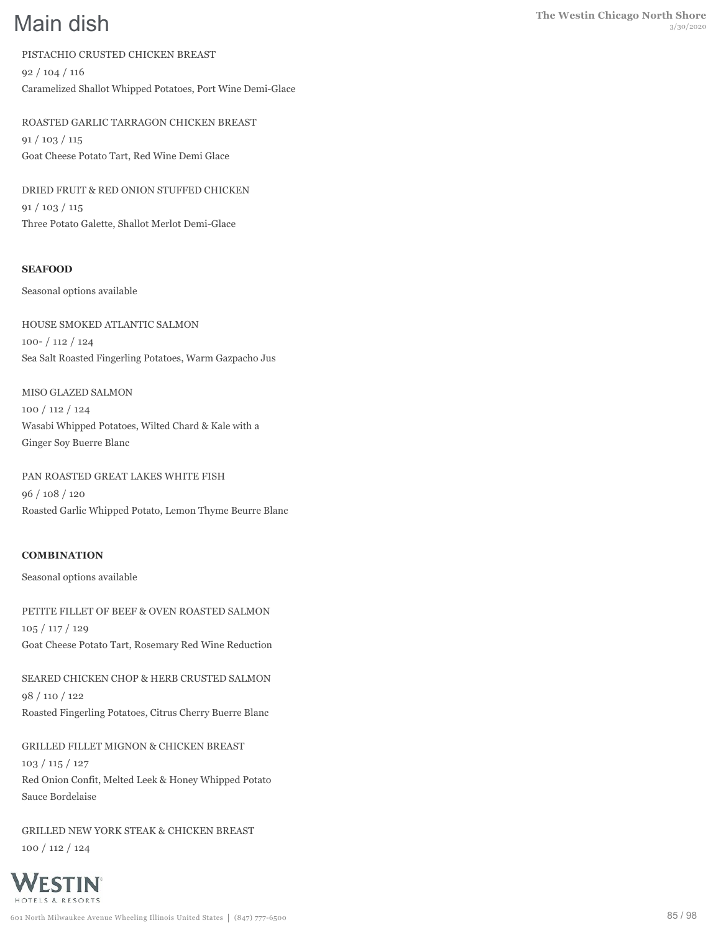PISTACHIO CRUSTED CHICKEN BREAST 92 / 104 / 116

Caramelized Shallot Whipped Potatoes, Port Wine Demi-Glace

ROASTED GARLIC TARRAGON CHICKEN BREAST 91 / 103 / 115 Goat Cheese Potato Tart, Red Wine Demi Glace

DRIED FRUIT & RED ONION STUFFED CHICKEN 91 / 103 / 115 Three Potato Galette, Shallot Merlot Demi-Glace

# **SEAFOOD**

Seasonal options available

HOUSE SMOKED ATLANTIC SALMON 100- / 112 / 124 Sea Salt Roasted Fingerling Potatoes, Warm Gazpacho Jus

MISO GLAZED SALMON 100 / 112 / 124 Wasabi Whipped Potatoes, Wilted Chard & Kale with a Ginger Soy Buerre Blanc

PAN ROASTED GREAT LAKES WHITE FISH 96 / 108 / 120 Roasted Garlic Whipped Potato, Lemon Thyme Beurre Blanc

### **COMBINATION**

Seasonal options available

PETITE FILLET OF BEEF & OVEN ROASTED SALMON 105 / 117 / 129 Goat Cheese Potato Tart, Rosemary Red Wine Reduction

SEARED CHICKEN CHOP & HERB CRUSTED SALMON 98 / 110 / 122 Roasted Fingerling Potatoes, Citrus Cherry Buerre Blanc

GRILLED FILLET MIGNON & CHICKEN BREAST 103 / 115 / 127 Red Onion Confit, Melted Leek & Honey Whipped Potato Sauce Bordelaise

GRILLED NEW YORK STEAK & CHICKEN BREAST 100 / 112 / 124

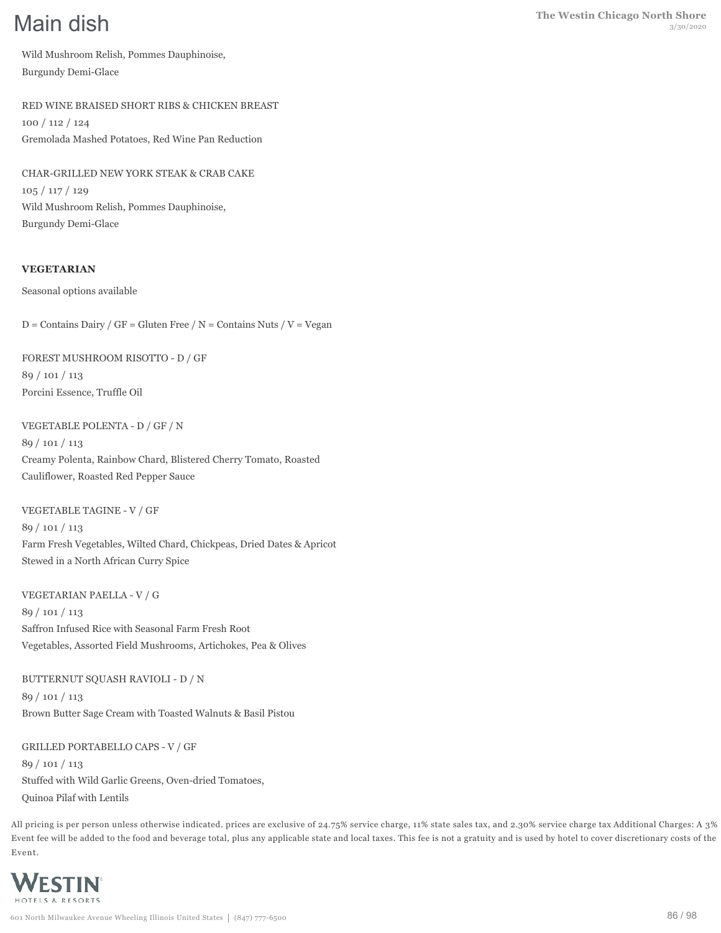Wild Mushroom Relish, Pommes Dauphinoise, Burgundy Demi-Glace

RED WINE BRAISED SHORT RIBS & CHICKEN BREAST 100 / 112 / 124 Gremolada Mashed Potatoes, Red Wine Pan Reduction

CHAR-GRILLED NEW YORK STEAK & CRAB CAKE 105 / 117 / 129 Wild Mushroom Relish, Pommes Dauphinoise, Burgundy Demi-Glace

# **VEGETARIAN**

Seasonal options available

 $D =$  Contains Dairy / GF = Gluten Free / N = Contains Nuts / V = Vegan

FOREST MUSHROOM RISOTTO - D / GF 89 / 101 / 113 Porcini Essence, Truffle Oil

VEGETABLE POLENTA - D / GF / N 89 / 101 / 113 Creamy Polenta, Rainbow Chard, Blistered Cherry Tomato, Roasted Cauliflower, Roasted Red Pepper Sauce

VEGETABLE TAGINE - V / GF 89 / 101 / 113 Farm Fresh Vegetables, Wilted Chard, Chickpeas, Dried Dates & Apricot Stewed in a North African Curry Spice

VEGETARIAN PAELLA - V / G 89 / 101 / 113 Saffron Infused Rice with Seasonal Farm Fresh Root Vegetables, Assorted Field Mushrooms, Artichokes, Pea & Olives

BUTTERNUT SQUASH RAVIOLI - D / N 89 / 101 / 113 Brown Butter Sage Cream with Toasted Walnuts & Basil Pistou

GRILLED PORTABELLO CAPS - V / GF 89 / 101 / 113 Stuffed with Wild Garlic Greens, Oven-dried Tomatoes, Quinoa Pilaf with Lentils

All pricing is per person unless otherwise indicated. prices are exclusive of 24.75% service charge, 11% state sales tax, and 2.30% service charge tax Additional Charges: A 3% Event fee will be added to the food and beverage total, plus any applicable state and local taxes. This fee is not a gratuity and is used by hotel to cover discretionary costs of the Event.

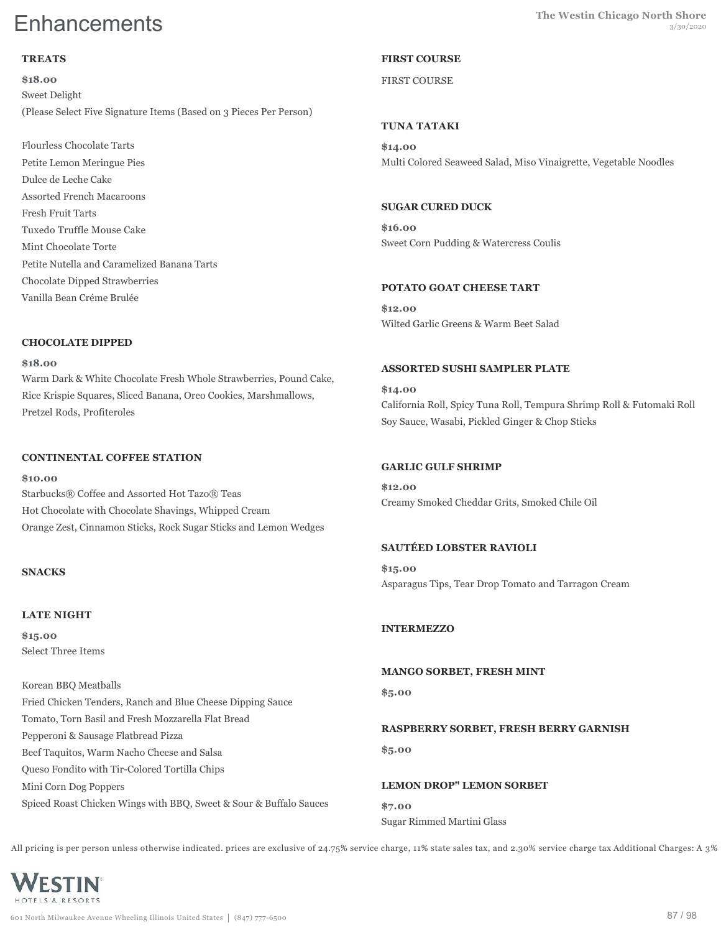# **TREATS**

**\$18.00** Sweet Delight (Please Select Five Signature Items (Based on 3 Pieces Per Person)

Flourless Chocolate Tarts Petite Lemon Meringue Pies Dulce de Leche Cake Assorted French Macaroons Fresh Fruit Tarts Tuxedo Truffle Mouse Cake Mint Chocolate Torte Petite Nutella and Caramelized Banana Tarts Chocolate Dipped Strawberries Vanilla Bean Créme Brulée

## **CHOCOLATE DIPPED**

#### **\$18.00**

Warm Dark & White Chocolate Fresh Whole Strawberries, Pound Cake, Rice Krispie Squares, Sliced Banana, Oreo Cookies, Marshmallows, Pretzel Rods, Profiteroles

# **CONTINENTAL COFFEE STATION**

#### **\$10.00**

Starbucks® Coffee and Assorted Hot Tazo® Teas Hot Chocolate with Chocolate Shavings, Whipped Cream Orange Zest, Cinnamon Sticks, Rock Sugar Sticks and Lemon Wedges

# **SNACKS**

# **LATE NIGHT**

**\$15.00** Select Three Items

Korean BBQ Meatballs Fried Chicken Tenders, Ranch and Blue Cheese Dipping Sauce Tomato, Torn Basil and Fresh Mozzarella Flat Bread Pepperoni & Sausage Flatbread Pizza Beef Taquitos, Warm Nacho Cheese and Salsa Queso Fondito with Tir-Colored Tortilla Chips Mini Corn Dog Poppers Spiced Roast Chicken Wings with BBQ, Sweet & Sour & Buffalo Sauces

# **FIRST COURSE**

# FIRST COURSE

# **TUNA TATAKI**

**\$14.00** Multi Colored Seaweed Salad, Miso Vinaigrette, Vegetable Noodles

## **SUGAR CURED DUCK**

**\$16.00** Sweet Corn Pudding & Watercress Coulis

## **POTATO GOAT CHEESE TART**

**\$12.00** Wilted Garlic Greens & Warm Beet Salad

## **ASSORTED SUSHI SAMPLER PLATE**

**\$14.00** California Roll, Spicy Tuna Roll, Tempura Shrimp Roll & Futomaki Roll Soy Sauce, Wasabi, Pickled Ginger & Chop Sticks

# **GARLIC GULF SHRIMP**

**\$12.00** Creamy Smoked Cheddar Grits, Smoked Chile Oil

# **SAUTÉED LOBSTER RAVIOLI**

**\$15.00** Asparagus Tips, Tear Drop Tomato and Tarragon Cream

# **INTERMEZZO**

**MANGO SORBET, FRESH MINT \$5.00**

# **RASPBERRY SORBET, FRESH BERRY GARNISH**

**\$5.00**

**LEMON DROP" LEMON SORBET \$7.00** Sugar Rimmed Martini Glass

All pricing is per person unless otherwise indicated. prices are exclusive of 24.75% service charge, 11% state sales tax, and 2.30% service charge tax Additional Charges: A 3%

WESTIN HOTFIS & RESORTS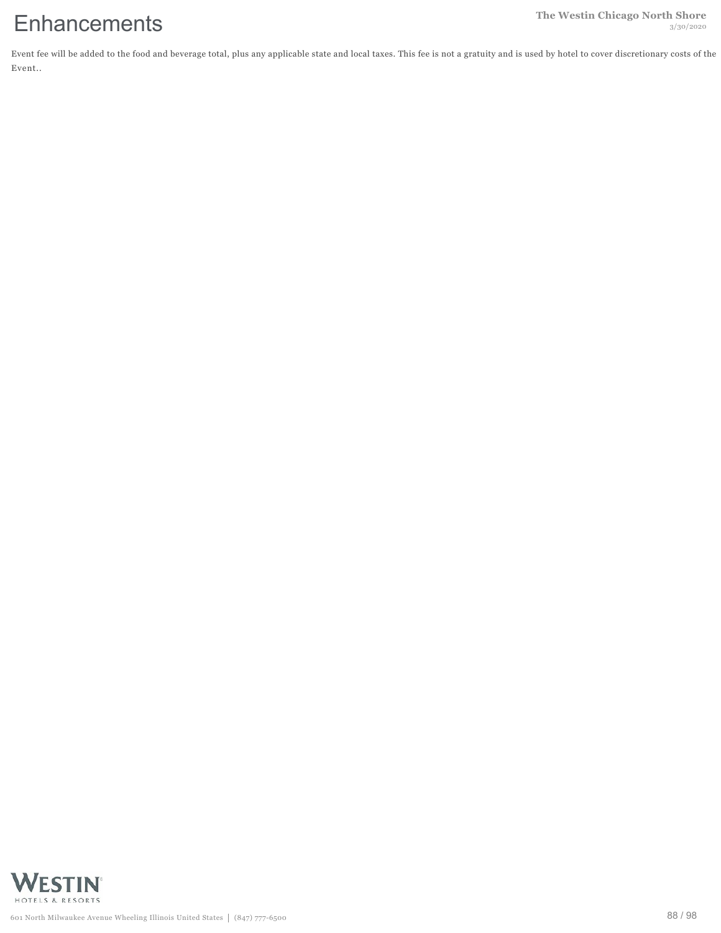Event fee will be added to the food and beverage total, plus any applicable state and local taxes. This fee is not a gratuity and is used by hotel to cover discretionary costs of the Event..

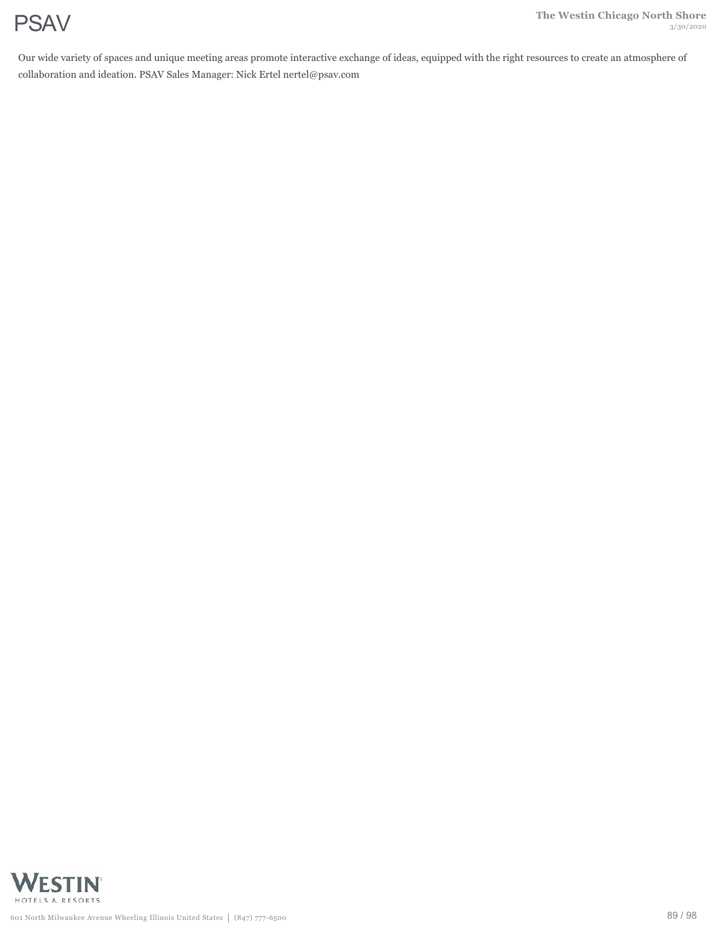Our wide variety of spaces and unique meeting areas promote interactive exchange of ideas, equipped with the right resources to create an atmosphere of collaboration and ideation. PSAV Sales Manager: Nick Ertel nertel@psav.com

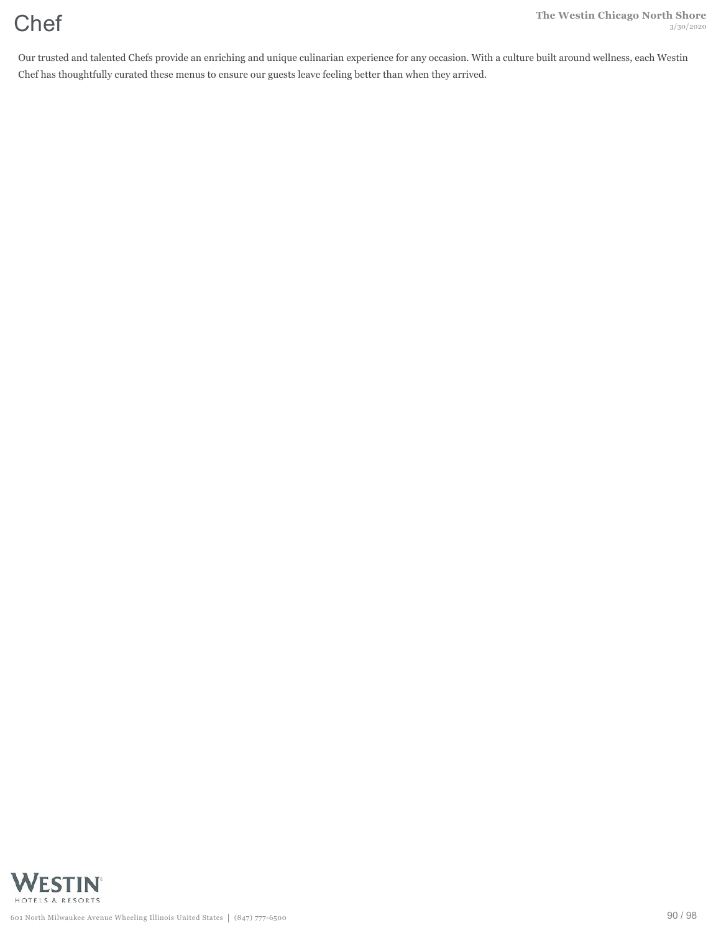Our trusted and talented Chefs provide an enriching and unique culinarian experience for any occasion. With a culture built around wellness, each Westin Chef has thoughtfully curated these menus to ensure our guests leave feeling better than when they arrived.

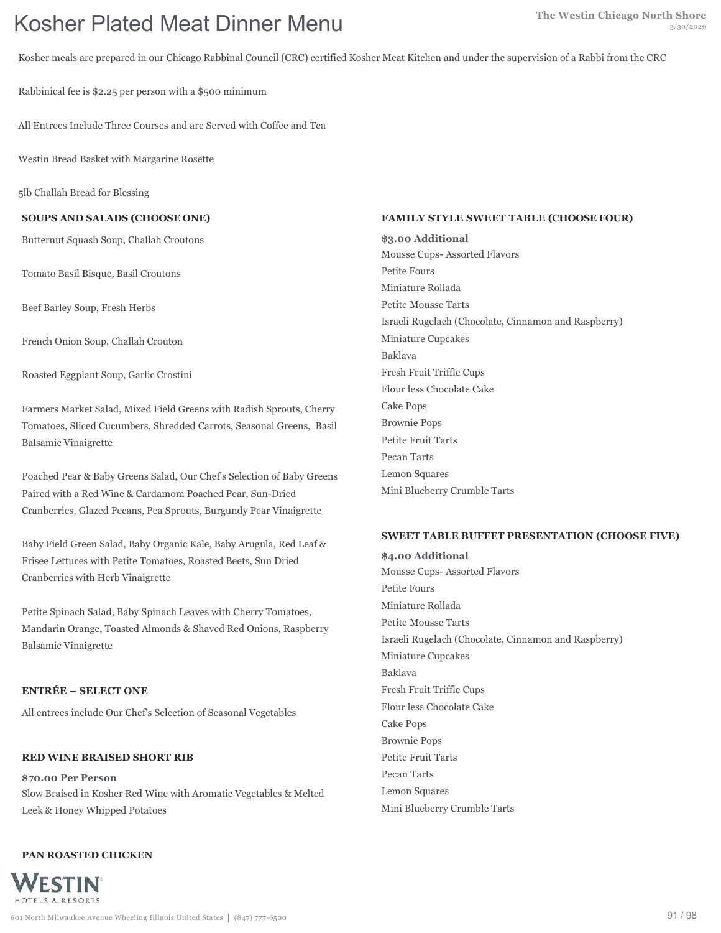# **The Westin Chicago North Shore The Westin Chicago North Shore Kosher Plated Meat Dinner Menu**

Kosher meals are prepared in our Chicago Rabbinal Council (CRC) certified Kosher Meat Kitchen and under the supervision of a Rabbi from the CRC

Rabbinical fee is \$2.25 per person with a \$500 minimum

All Entrees Include Three Courses and are Served with Coffee and Tea

Westin Bread Basket with Margarine Rosette

5lb Challah Bread for Blessing

**SOUPS AND SALADS (CHOOSE ONE)**

Butternut Squash Soup, Challah Croutons

Tomato Basil Bisque, Basil Croutons

Beef Barley Soup, Fresh Herbs

French Onion Soup, Challah Crouton

Roasted Eggplant Soup, Garlic Crostini

Farmers Market Salad, Mixed Field Greens with Radish Sprouts, Cherry Tomatoes, Sliced Cucumbers, Shredded Carrots, Seasonal Greens, Basil Balsamic Vinaigrette

Poached Pear & Baby Greens Salad, Our Chef's Selection of Baby Greens Paired with a Red Wine & Cardamom Poached Pear, Sun-Dried Cranberries, Glazed Pecans, Pea Sprouts, Burgundy Pear Vinaigrette

Baby Field Green Salad, Baby Organic Kale, Baby Arugula, Red Leaf & Frisee Lettuces with Petite Tomatoes, Roasted Beets, Sun Dried Cranberries with Herb Vinaigrette

Petite Spinach Salad, Baby Spinach Leaves with Cherry Tomatoes, Mandarin Orange, Toasted Almonds & Shaved Red Onions, Raspberry Balsamic Vinaigrette

### **ENTRÉE – SELECT ONE**

All entrees include Our Chef's Selection of Seasonal Vegetables

# **RED WINE BRAISED SHORT RIB**

**\$70.00 Per Person** Slow Braised in Kosher Red Wine with Aromatic Vegetables & Melted Leek & Honey Whipped Potatoes

# **PAN ROASTED CHICKEN**



#### **FAMILY STYLE SWEET TABLE (CHOOSE FOUR)**

**\$3.00 Additional** Mousse Cups- Assorted Flavors Petite Fours Miniature Rollada Petite Mousse Tarts Israeli Rugelach (Chocolate, Cinnamon and Raspberry) Miniature Cupcakes Baklava Fresh Fruit Triffle Cups Flour less Chocolate Cake Cake Pops Brownie Pops Petite Fruit Tarts Pecan Tarts Lemon Squares Mini Blueberry Crumble Tarts

#### **SWEET TABLE BUFFET PRESENTATION (CHOOSE FIVE)**

**\$4.00 Additional** Mousse Cups- Assorted Flavors Petite Fours Miniature Rollada Petite Mousse Tarts Israeli Rugelach (Chocolate, Cinnamon and Raspberry) Miniature Cupcakes Baklava Fresh Fruit Triffle Cups Flour less Chocolate Cake Cake Pops Brownie Pops Petite Fruit Tarts Pecan Tarts Lemon Squares Mini Blueberry Crumble Tarts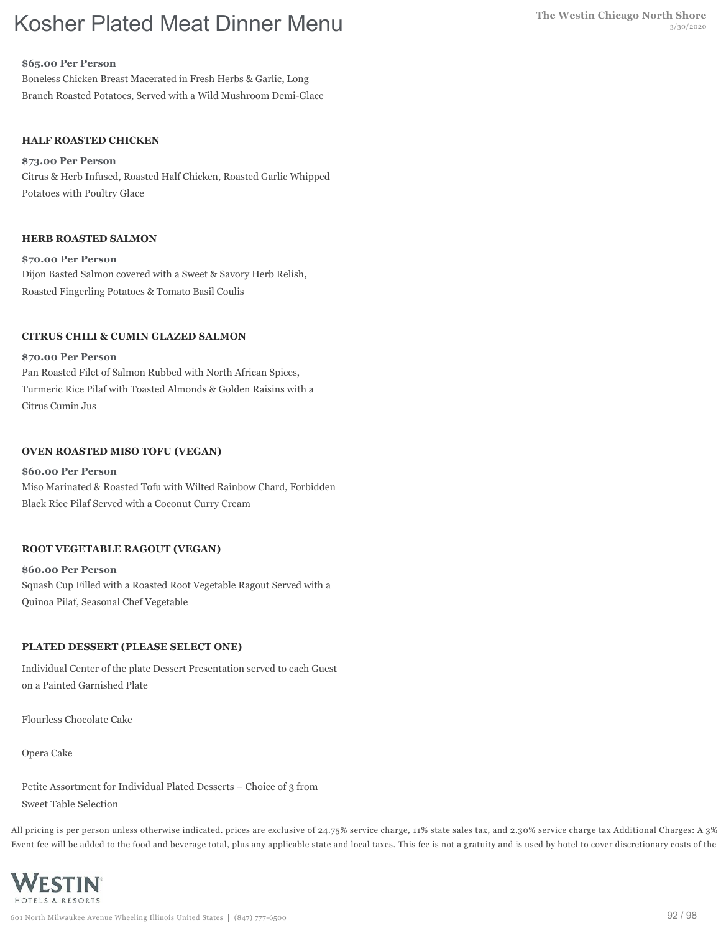# **The Westin Chicago North Shore The Westin Chicago North Shore Kosher Plated Meat Dinner Menu**

#### **\$65.00 Per Person**

Boneless Chicken Breast Macerated in Fresh Herbs & Garlic, Long Branch Roasted Potatoes, Served with a Wild Mushroom Demi-Glace

## **HALF ROASTED CHICKEN**

#### **\$73.00 Per Person**

Citrus & Herb Infused, Roasted Half Chicken, Roasted Garlic Whipped Potatoes with Poultry Glace

### **HERB ROASTED SALMON**

**\$70.00 Per Person** Dijon Basted Salmon covered with a Sweet & Savory Herb Relish, Roasted Fingerling Potatoes & Tomato Basil Coulis

### **CITRUS CHILI & CUMIN GLAZED SALMON**

#### **\$70.00 Per Person**

Pan Roasted Filet of Salmon Rubbed with North African Spices, Turmeric Rice Pilaf with Toasted Almonds & Golden Raisins with a Citrus Cumin Jus

### **OVEN ROASTED MISO TOFU (VEGAN)**

#### **\$60.00 Per Person**

Miso Marinated & Roasted Tofu with Wilted Rainbow Chard, Forbidden Black Rice Pilaf Served with a Coconut Curry Cream

### **ROOT VEGETABLE RAGOUT (VEGAN)**

**\$60.00 Per Person** Squash Cup Filled with a Roasted Root Vegetable Ragout Served with a Quinoa Pilaf, Seasonal Chef Vegetable

### **PLATED DESSERT (PLEASE SELECT ONE)**

Individual Center of the plate Dessert Presentation served to each Guest on a Painted Garnished Plate

Flourless Chocolate Cake

Opera Cake

Petite Assortment for Individual Plated Desserts – Choice of 3 from Sweet Table Selection

All pricing is per person unless otherwise indicated. prices are exclusive of 24.75% service charge, 11% state sales tax, and 2.30% service charge tax Additional Charges: A 3% Event fee will be added to the food and beverage total, plus any applicable state and local taxes. This fee is not a gratuity and is used by hotel to cover discretionary costs of the

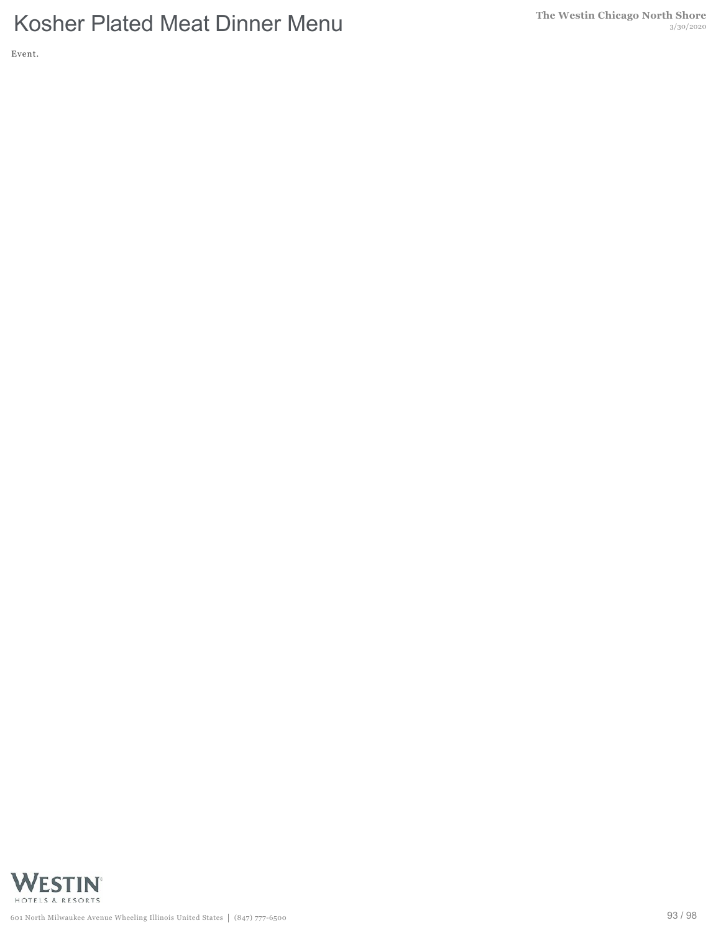Event.

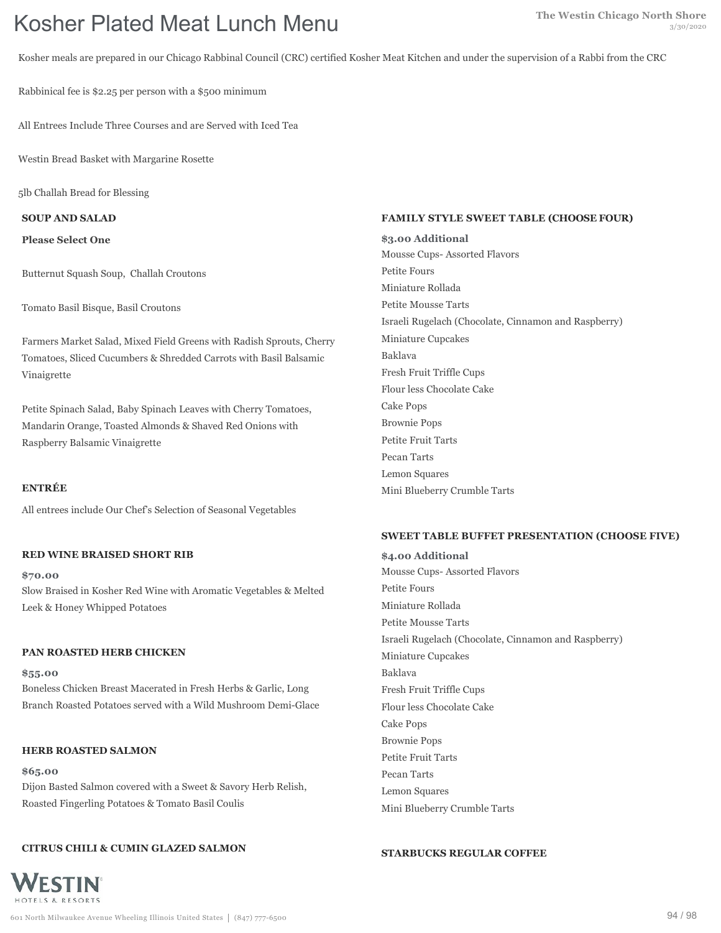Kosher meals are prepared in our Chicago Rabbinal Council (CRC) certified Kosher Meat Kitchen and under the supervision of a Rabbi from the CRC

Rabbinical fee is \$2.25 per person with a \$500 minimum

All Entrees Include Three Courses and are Served with Iced Tea

Westin Bread Basket with Margarine Rosette

5lb Challah Bread for Blessing

**SOUP AND SALAD**

**Please Select One**

Butternut Squash Soup, Challah Croutons

Tomato Basil Bisque, Basil Croutons

Farmers Market Salad, Mixed Field Greens with Radish Sprouts, Cherry Tomatoes, Sliced Cucumbers & Shredded Carrots with Basil Balsamic Vinaigrette

Petite Spinach Salad, Baby Spinach Leaves with Cherry Tomatoes, Mandarin Orange, Toasted Almonds & Shaved Red Onions with Raspberry Balsamic Vinaigrette

## **ENTRÉE**

All entrees include Our Chef's Selection of Seasonal Vegetables

### **RED WINE BRAISED SHORT RIB**

**\$70.00** Slow Braised in Kosher Red Wine with Aromatic Vegetables & Melted Leek & Honey Whipped Potatoes

### **PAN ROASTED HERB CHICKEN**

**\$55.00** Boneless Chicken Breast Macerated in Fresh Herbs & Garlic, Long Branch Roasted Potatoes served with a Wild Mushroom Demi-Glace

### **HERB ROASTED SALMON**

**\$65.00** Dijon Basted Salmon covered with a Sweet & Savory Herb Relish, Roasted Fingerling Potatoes & Tomato Basil Coulis

### **CITRUS CHILI & CUMIN GLAZED SALMON**

#### **FAMILY STYLE SWEET TABLE (CHOOSE FOUR)**

**\$3.00 Additional** Mousse Cups- Assorted Flavors Petite Fours Miniature Rollada Petite Mousse Tarts Israeli Rugelach (Chocolate, Cinnamon and Raspberry) Miniature Cupcakes Baklava Fresh Fruit Triffle Cups Flour less Chocolate Cake Cake Pops Brownie Pops Petite Fruit Tarts Pecan Tarts Lemon Squares Mini Blueberry Crumble Tarts

### **SWEET TABLE BUFFET PRESENTATION (CHOOSE FIVE)**

**\$4.00 Additional** Mousse Cups- Assorted Flavors Petite Fours Miniature Rollada Petite Mousse Tarts Israeli Rugelach (Chocolate, Cinnamon and Raspberry) Miniature Cupcakes Baklava Fresh Fruit Triffle Cups Flour less Chocolate Cake Cake Pops Brownie Pops Petite Fruit Tarts Pecan Tarts Lemon Squares Mini Blueberry Crumble Tarts

#### **STARBUCKS REGULAR COFFEE**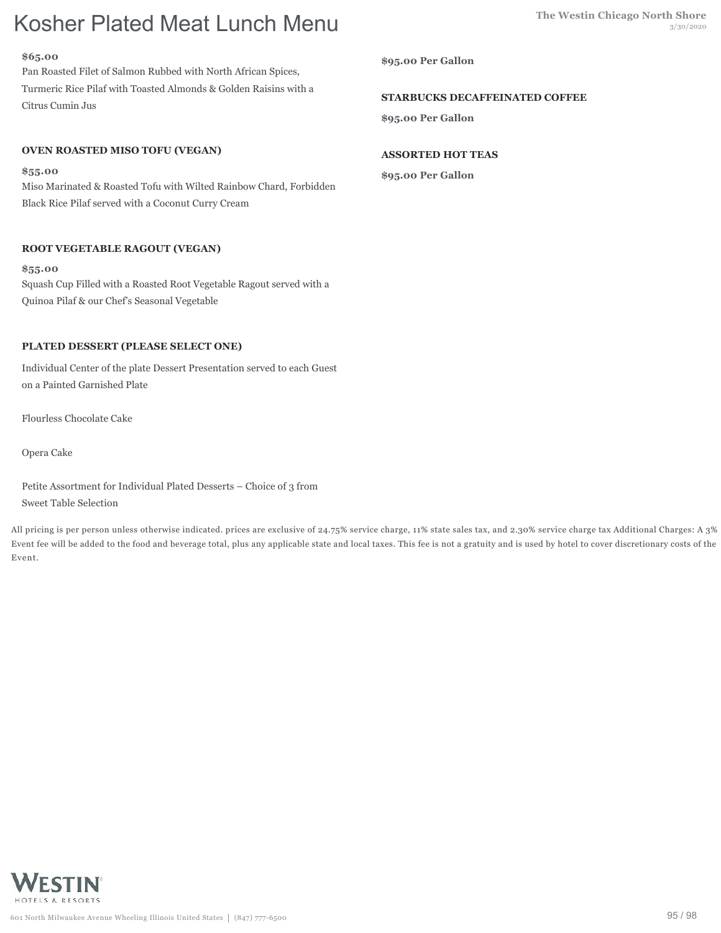### **\$65.00**

Pan Roasted Filet of Salmon Rubbed with North African Spices, Turmeric Rice Pilaf with Toasted Almonds & Golden Raisins with a Citrus Cumin Jus

# **OVEN ROASTED MISO TOFU (VEGAN)**

### **\$55.00**

Miso Marinated & Roasted Tofu with Wilted Rainbow Chard, Forbidden Black Rice Pilaf served with a Coconut Curry Cream

# **ROOT VEGETABLE RAGOUT (VEGAN)**

**\$55.00** Squash Cup Filled with a Roasted Root Vegetable Ragout served with a Quinoa Pilaf & our Chef's Seasonal Vegetable

# **PLATED DESSERT (PLEASE SELECT ONE)**

Individual Center of the plate Dessert Presentation served to each Guest on a Painted Garnished Plate

Flourless Chocolate Cake

Opera Cake

Petite Assortment for Individual Plated Desserts – Choice of 3 from Sweet Table Selection

All pricing is per person unless otherwise indicated. prices are exclusive of 24.75% service charge, 11% state sales tax, and 2.30% service charge tax Additional Charges: A 3% Event fee will be added to the food and beverage total, plus any applicable state and local taxes. This fee is not a gratuity and is used by hotel to cover discretionary costs of the Event.



# **STARBUCKS DECAFFEINATED COFFEE**

**\$95.00 Per Gallon**

# **ASSORTED HOT TEAS**

**\$95.00 Per Gallon**

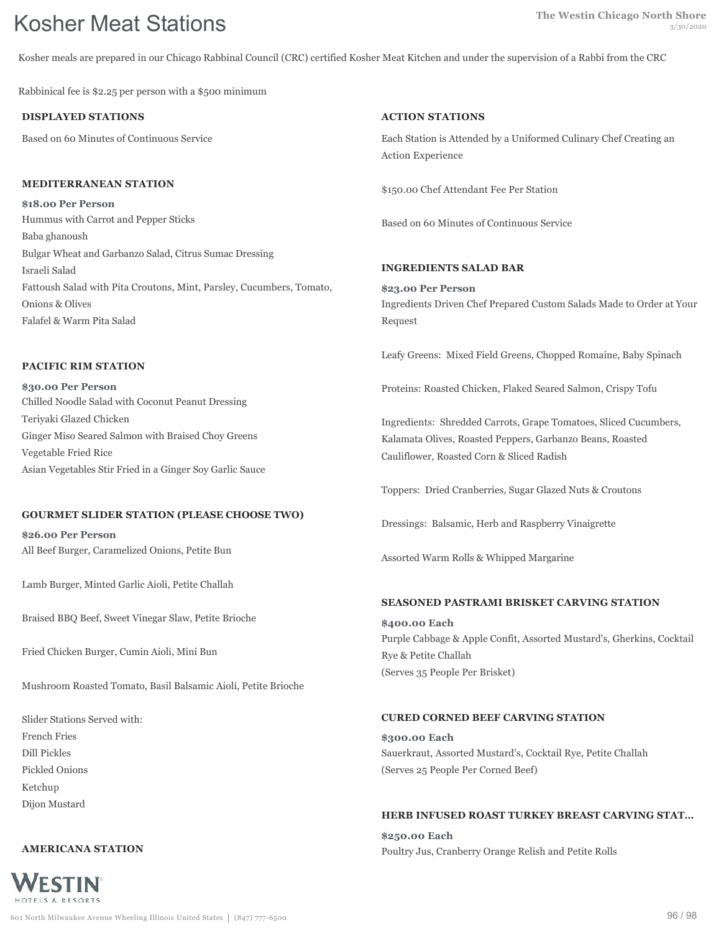Kosher meals are prepared in our Chicago Rabbinal Council (CRC) certified Kosher Meat Kitchen and under the supervision of a Rabbi from the CRC

Rabbinical fee is \$2.25 per person with a \$500 minimum

## **DISPLAYED STATIONS**

Based on 60 Minutes of Continuous Service

#### **MEDITERRANEAN STATION**

**\$18.00 Per Person** Hummus with Carrot and Pepper Sticks Baba ghanoush Bulgar Wheat and Garbanzo Salad, Citrus Sumac Dressing Israeli Salad Fattoush Salad with Pita Croutons, Mint, Parsley, Cucumbers, Tomato, Onions & Olives Falafel & Warm Pita Salad

## **PACIFIC RIM STATION**

**\$30.00 Per Person** Chilled Noodle Salad with Coconut Peanut Dressing Teriyaki Glazed Chicken Ginger Miso Seared Salmon with Braised Choy Greens Vegetable Fried Rice Asian Vegetables Stir Fried in a Ginger Soy Garlic Sauce

# **GOURMET SLIDER STATION (PLEASE CHOOSE TWO)**

**\$26.00 Per Person** All Beef Burger, Caramelized Onions, Petite Bun

Lamb Burger, Minted Garlic Aioli, Petite Challah

Braised BBQ Beef, Sweet Vinegar Slaw, Petite Brioche

Fried Chicken Burger, Cumin Aioli, Mini Bun

Mushroom Roasted Tomato, Basil Balsamic Aioli, Petite Brioche

Slider Stations Served with: French Fries Dill Pickles Pickled Onions Ketchup Dijon Mustard

### **AMERICANA STATION**



# **ACTION STATIONS**

Each Station is Attended by a Uniformed Culinary Chef Creating an Action Experience

\$150.00 Chef Attendant Fee Per Station

Based on 60 Minutes of Continuous Service

### **INGREDIENTS SALAD BAR**

**\$23.00 Per Person** Ingredients Driven Chef Prepared Custom Salads Made to Order at Your Request

Leafy Greens: Mixed Field Greens, Chopped Romaine, Baby Spinach

Proteins: Roasted Chicken, Flaked Seared Salmon, Crispy Tofu

Ingredients: Shredded Carrots, Grape Tomatoes, Sliced Cucumbers, Kalamata Olives, Roasted Peppers, Garbanzo Beans, Roasted Cauliflower, Roasted Corn & Sliced Radish

Toppers: Dried Cranberries, Sugar Glazed Nuts & Croutons

Dressings: Balsamic, Herb and Raspberry Vinaigrette

Assorted Warm Rolls & Whipped Margarine

### **SEASONED PASTRAMI BRISKET CARVING STATION**

**\$400.00 Each** Purple Cabbage & Apple Confit, Assorted Mustard's, Gherkins, Cocktail Rye & Petite Challah (Serves 35 People Per Brisket)

### **CURED CORNED BEEF CARVING STATION**

**\$300.00 Each** Sauerkraut, Assorted Mustard's, Cocktail Rye, Petite Challah (Serves 25 People Per Corned Beef)

# **HERB INFUSED ROAST TURKEY BREAST CARVING STAT…**

**\$250.00 Each** Poultry Jus, Cranberry Orange Relish and Petite Rolls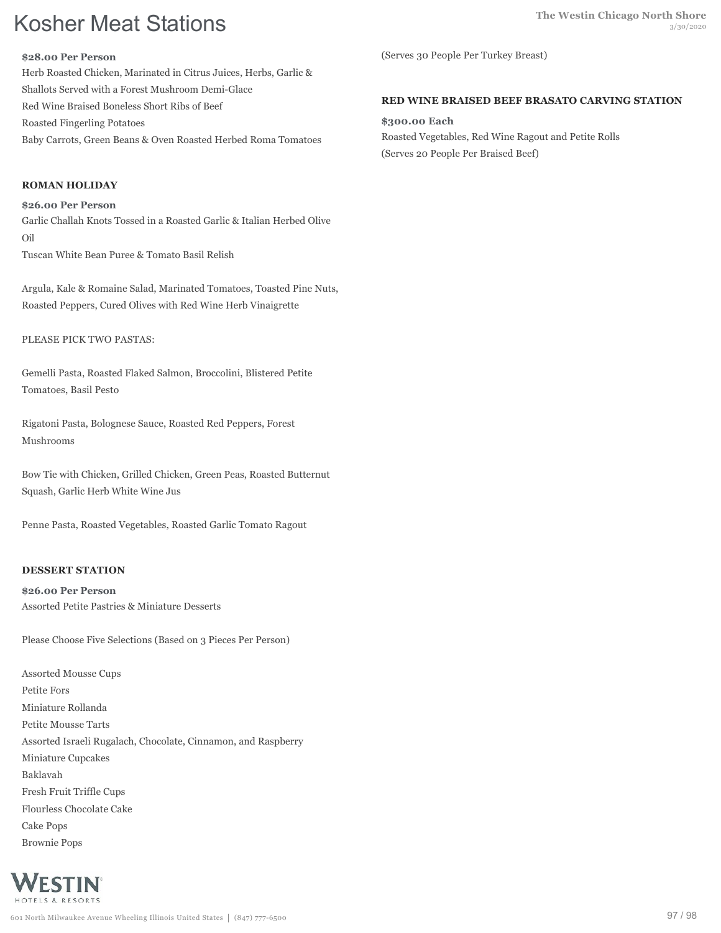#### **\$28.00 Per Person**

Herb Roasted Chicken, Marinated in Citrus Juices, Herbs, Garlic & Shallots Served with a Forest Mushroom Demi-Glace Red Wine Braised Boneless Short Ribs of Beef Roasted Fingerling Potatoes Baby Carrots, Green Beans & Oven Roasted Herbed Roma Tomatoes

# **ROMAN HOLIDAY**

**\$26.00 Per Person** Garlic Challah Knots Tossed in a Roasted Garlic & Italian Herbed Olive Oil Tuscan White Bean Puree & Tomato Basil Relish

Argula, Kale & Romaine Salad, Marinated Tomatoes, Toasted Pine Nuts, Roasted Peppers, Cured Olives with Red Wine Herb Vinaigrette

PLEASE PICK TWO PASTAS:

Gemelli Pasta, Roasted Flaked Salmon, Broccolini, Blistered Petite Tomatoes, Basil Pesto

Rigatoni Pasta, Bolognese Sauce, Roasted Red Peppers, Forest Mushrooms

Bow Tie with Chicken, Grilled Chicken, Green Peas, Roasted Butternut Squash, Garlic Herb White Wine Jus

Penne Pasta, Roasted Vegetables, Roasted Garlic Tomato Ragout

# **DESSERT STATION**

**\$26.00 Per Person** Assorted Petite Pastries & Miniature Desserts

Please Choose Five Selections (Based on 3 Pieces Per Person)

Assorted Mousse Cups Petite Fors Miniature Rollanda Petite Mousse Tarts Assorted Israeli Rugalach, Chocolate, Cinnamon, and Raspberry Miniature Cupcakes Baklavah Fresh Fruit Triffle Cups Flourless Chocolate Cake Cake Pops Brownie Pops



(Serves 30 People Per Turkey Breast)

# **RED WINE BRAISED BEEF BRASATO CARVING STATION**

**\$300.00 Each** Roasted Vegetables, Red Wine Ragout and Petite Rolls (Serves 20 People Per Braised Beef)